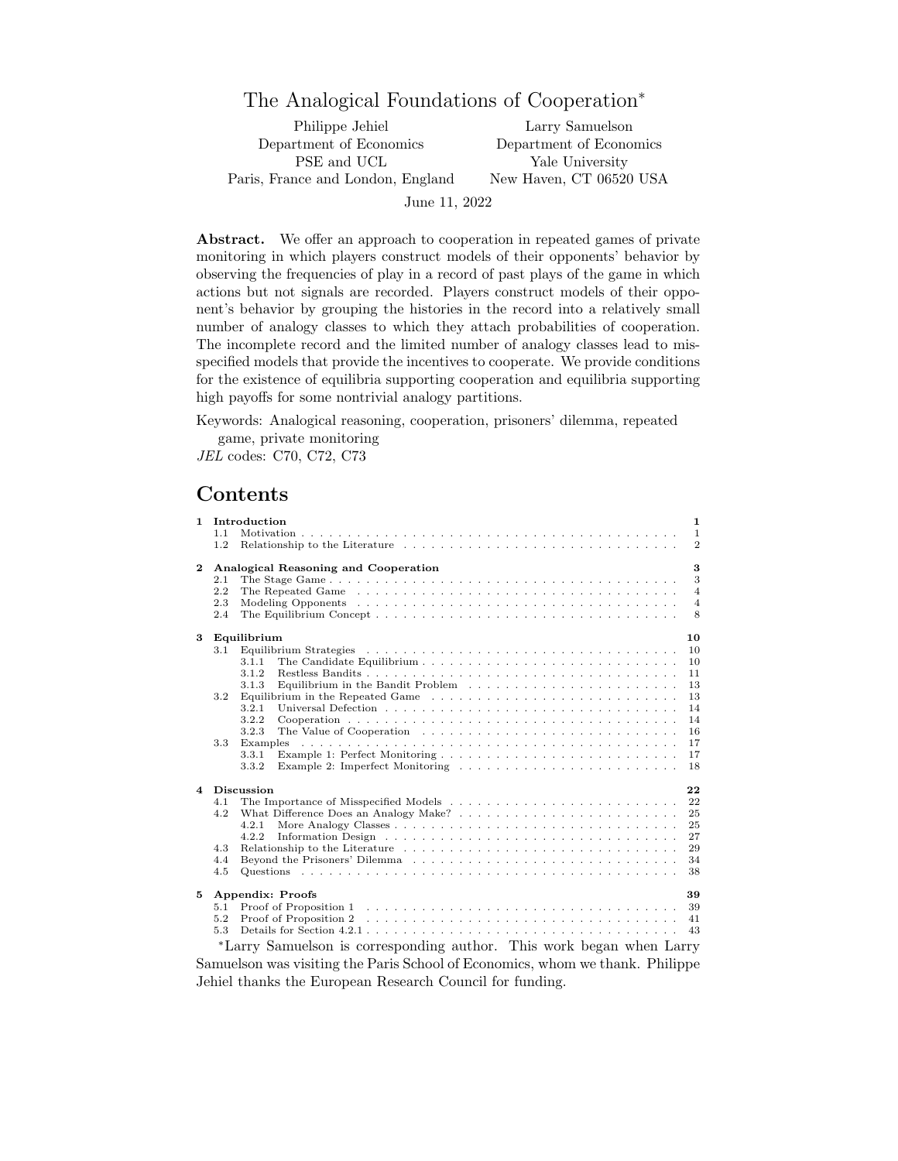# The Analogical Foundations of Cooperation<sup>∗</sup>

Department of Economics Department of Economics Paris, France and London, England

Philippe Jehiel Larry Samuelson PSE and UCL Yale University<br>nce and London, England New Haven, CT 06520 USA

June 11, 2022

Abstract. We offer an approach to cooperation in repeated games of private monitoring in which players construct models of their opponents' behavior by observing the frequencies of play in a record of past plays of the game in which actions but not signals are recorded. Players construct models of their opponent's behavior by grouping the histories in the record into a relatively small number of analogy classes to which they attach probabilities of cooperation. The incomplete record and the limited number of analogy classes lead to misspecified models that provide the incentives to cooperate. We provide conditions for the existence of equilibria supporting cooperation and equilibria supporting high payoffs for some nontrivial analogy partitions.

Keywords: Analogical reasoning, cooperation, prisoners' dilemma, repeated game, private monitoring

JEL codes: C70, C72, C73

# Contents

| $\mathbf{1}$            | Introduction<br>1.1<br>1.2                                                                                                                                                                                                                                                                        | $\mathbf{1}$<br>$\mathbf{1}$<br>$\overline{2}$                       |
|-------------------------|---------------------------------------------------------------------------------------------------------------------------------------------------------------------------------------------------------------------------------------------------------------------------------------------------|----------------------------------------------------------------------|
| $\mathbf{2}$            | Analogical Reasoning and Cooperation<br>2.1<br>2.2<br>2.3<br>2.4                                                                                                                                                                                                                                  | 3<br>3<br>$\overline{4}$<br>$\overline{4}$<br>8                      |
| 3                       | Equilibrium<br>3.1<br>3.1.1<br>3.1.2<br>Equilibrium in the Bandit Problem $\ldots \ldots \ldots \ldots \ldots \ldots \ldots \ldots$<br>3.1.3<br>3.2<br>3.2.1<br>3.2.2<br>3.2.3<br>3.3<br>Examples<br>3.3.1<br>3.3.2                                                                               | 10<br>10<br>10<br>11<br>13<br>13<br>14<br>14<br>16<br>17<br>17<br>18 |
| $\overline{\mathbf{4}}$ | Discussion<br>4.1<br>4.2<br>4.2.1<br>4.2.2<br>4.3<br>Relationship to the Literature resources in the set of the Literature resources in the set of the Literature resources in the set of the set of the Literature resources in the set of the set of the set of the set of the se<br>4.4<br>4.5 | 22<br>22<br>25<br>25<br>27<br>29<br>34<br>38                         |
| 5                       | <b>Appendix: Proofs</b><br>5.1<br>5.2<br>5.3<br>*Larry Samuelson is corresponding outbor. This work began when Larry                                                                                                                                                                              | 39<br>39<br>41<br>43                                                 |

Larry Samuelson is corresponding author. This work began when Larry Samuelson was visiting the Paris School of Economics, whom we thank. Philippe Jehiel thanks the European Research Council for funding.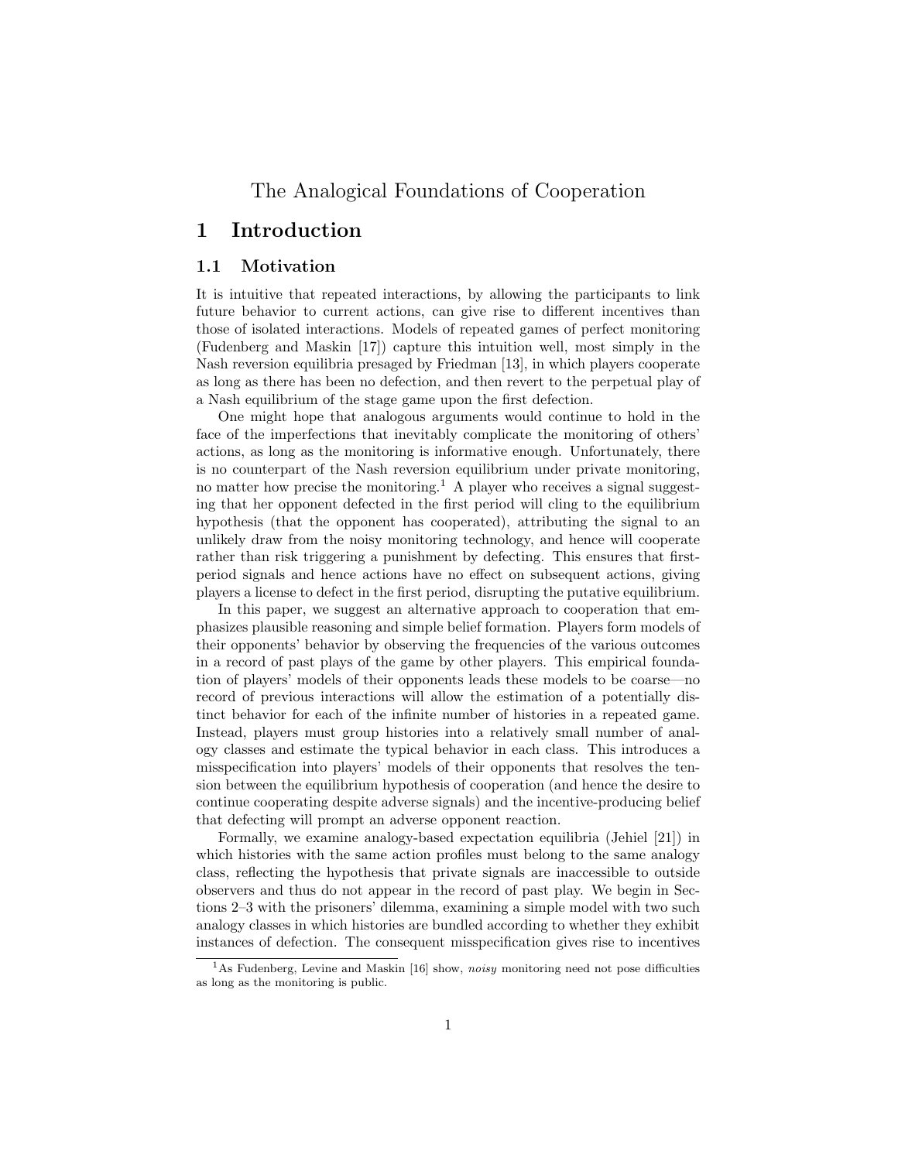# The Analogical Foundations of Cooperation

# 1 Introduction

## 1.1 Motivation

It is intuitive that repeated interactions, by allowing the participants to link future behavior to current actions, can give rise to different incentives than those of isolated interactions. Models of repeated games of perfect monitoring (Fudenberg and Maskin [17]) capture this intuition well, most simply in the Nash reversion equilibria presaged by Friedman [13], in which players cooperate as long as there has been no defection, and then revert to the perpetual play of a Nash equilibrium of the stage game upon the first defection.

One might hope that analogous arguments would continue to hold in the face of the imperfections that inevitably complicate the monitoring of others' actions, as long as the monitoring is informative enough. Unfortunately, there is no counterpart of the Nash reversion equilibrium under private monitoring, no matter how precise the monitoring.<sup>1</sup> A player who receives a signal suggesting that her opponent defected in the first period will cling to the equilibrium hypothesis (that the opponent has cooperated), attributing the signal to an unlikely draw from the noisy monitoring technology, and hence will cooperate rather than risk triggering a punishment by defecting. This ensures that firstperiod signals and hence actions have no effect on subsequent actions, giving players a license to defect in the first period, disrupting the putative equilibrium.

In this paper, we suggest an alternative approach to cooperation that emphasizes plausible reasoning and simple belief formation. Players form models of their opponents' behavior by observing the frequencies of the various outcomes in a record of past plays of the game by other players. This empirical foundation of players' models of their opponents leads these models to be coarse—no record of previous interactions will allow the estimation of a potentially distinct behavior for each of the infinite number of histories in a repeated game. Instead, players must group histories into a relatively small number of analogy classes and estimate the typical behavior in each class. This introduces a misspecification into players' models of their opponents that resolves the tension between the equilibrium hypothesis of cooperation (and hence the desire to continue cooperating despite adverse signals) and the incentive-producing belief that defecting will prompt an adverse opponent reaction.

Formally, we examine analogy-based expectation equilibria (Jehiel [21]) in which histories with the same action profiles must belong to the same analogy class, reflecting the hypothesis that private signals are inaccessible to outside observers and thus do not appear in the record of past play. We begin in Sections 2–3 with the prisoners' dilemma, examining a simple model with two such analogy classes in which histories are bundled according to whether they exhibit instances of defection. The consequent misspecification gives rise to incentives

<sup>&</sup>lt;sup>1</sup>As Fudenberg, Levine and Maskin [16] show, *noisy* monitoring need not pose difficulties as long as the monitoring is public.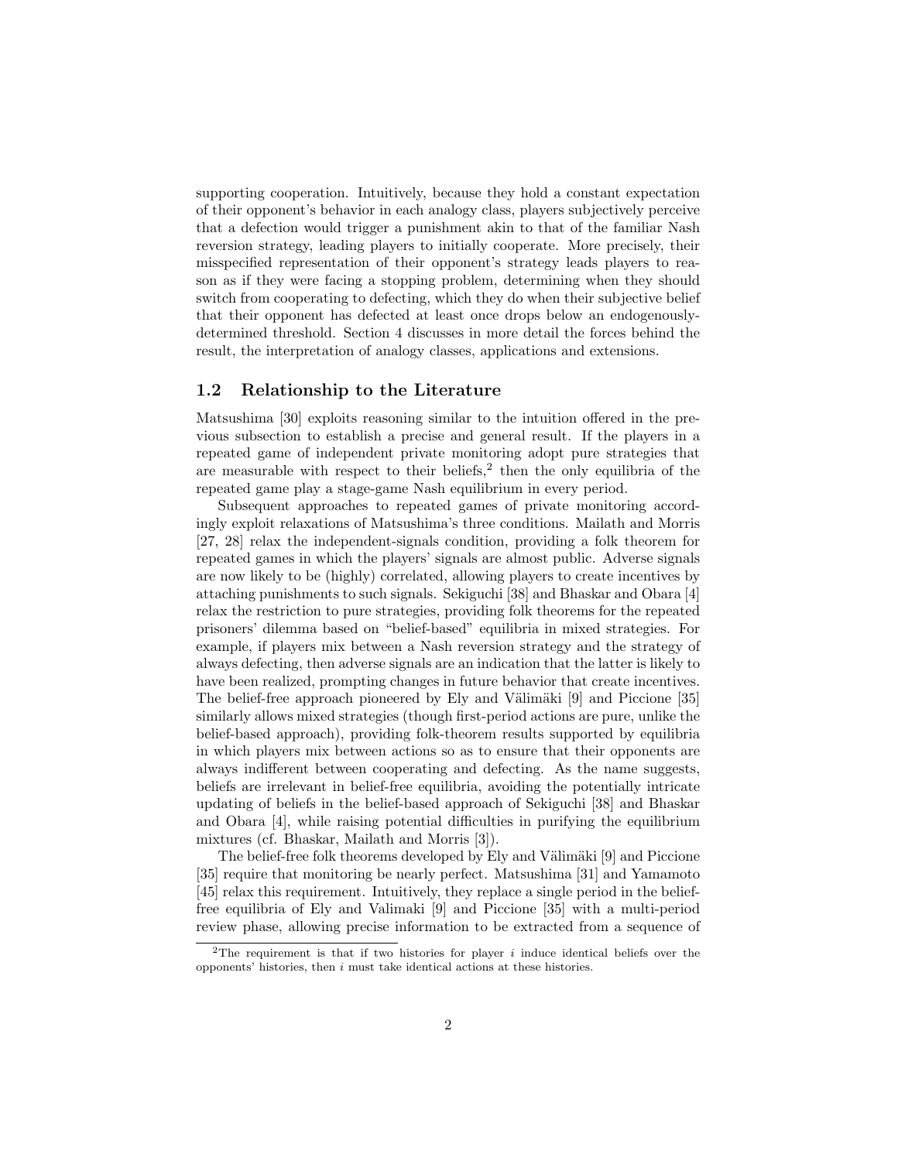supporting cooperation. Intuitively, because they hold a constant expectation of their opponent's behavior in each analogy class, players subjectively perceive that a defection would trigger a punishment akin to that of the familiar Nash reversion strategy, leading players to initially cooperate. More precisely, their misspecified representation of their opponent's strategy leads players to reason as if they were facing a stopping problem, determining when they should switch from cooperating to defecting, which they do when their subjective belief that their opponent has defected at least once drops below an endogenouslydetermined threshold. Section 4 discusses in more detail the forces behind the result, the interpretation of analogy classes, applications and extensions.

## 1.2 Relationship to the Literature

Matsushima [30] exploits reasoning similar to the intuition offered in the previous subsection to establish a precise and general result. If the players in a repeated game of independent private monitoring adopt pure strategies that are measurable with respect to their beliefs, $2$  then the only equilibria of the repeated game play a stage-game Nash equilibrium in every period.

Subsequent approaches to repeated games of private monitoring accordingly exploit relaxations of Matsushima's three conditions. Mailath and Morris [27, 28] relax the independent-signals condition, providing a folk theorem for repeated games in which the players' signals are almost public. Adverse signals are now likely to be (highly) correlated, allowing players to create incentives by attaching punishments to such signals. Sekiguchi [38] and Bhaskar and Obara [4] relax the restriction to pure strategies, providing folk theorems for the repeated prisoners' dilemma based on "belief-based" equilibria in mixed strategies. For example, if players mix between a Nash reversion strategy and the strategy of always defecting, then adverse signals are an indication that the latter is likely to have been realized, prompting changes in future behavior that create incentives. The belief-free approach pioneered by Ely and Välimäki [9] and Piccione [35] similarly allows mixed strategies (though first-period actions are pure, unlike the belief-based approach), providing folk-theorem results supported by equilibria in which players mix between actions so as to ensure that their opponents are always indifferent between cooperating and defecting. As the name suggests, beliefs are irrelevant in belief-free equilibria, avoiding the potentially intricate updating of beliefs in the belief-based approach of Sekiguchi [38] and Bhaskar and Obara [4], while raising potential difficulties in purifying the equilibrium mixtures (cf. Bhaskar, Mailath and Morris [3]).

The belief-free folk theorems developed by Ely and Välimäki [9] and Piccione [35] require that monitoring be nearly perfect. Matsushima [31] and Yamamoto [45] relax this requirement. Intuitively, they replace a single period in the belieffree equilibria of Ely and Valimaki [9] and Piccione [35] with a multi-period review phase, allowing precise information to be extracted from a sequence of

<sup>&</sup>lt;sup>2</sup>The requirement is that if two histories for player  $i$  induce identical beliefs over the  $opponents'$  histories, then  $i$  must take identical actions at these histories.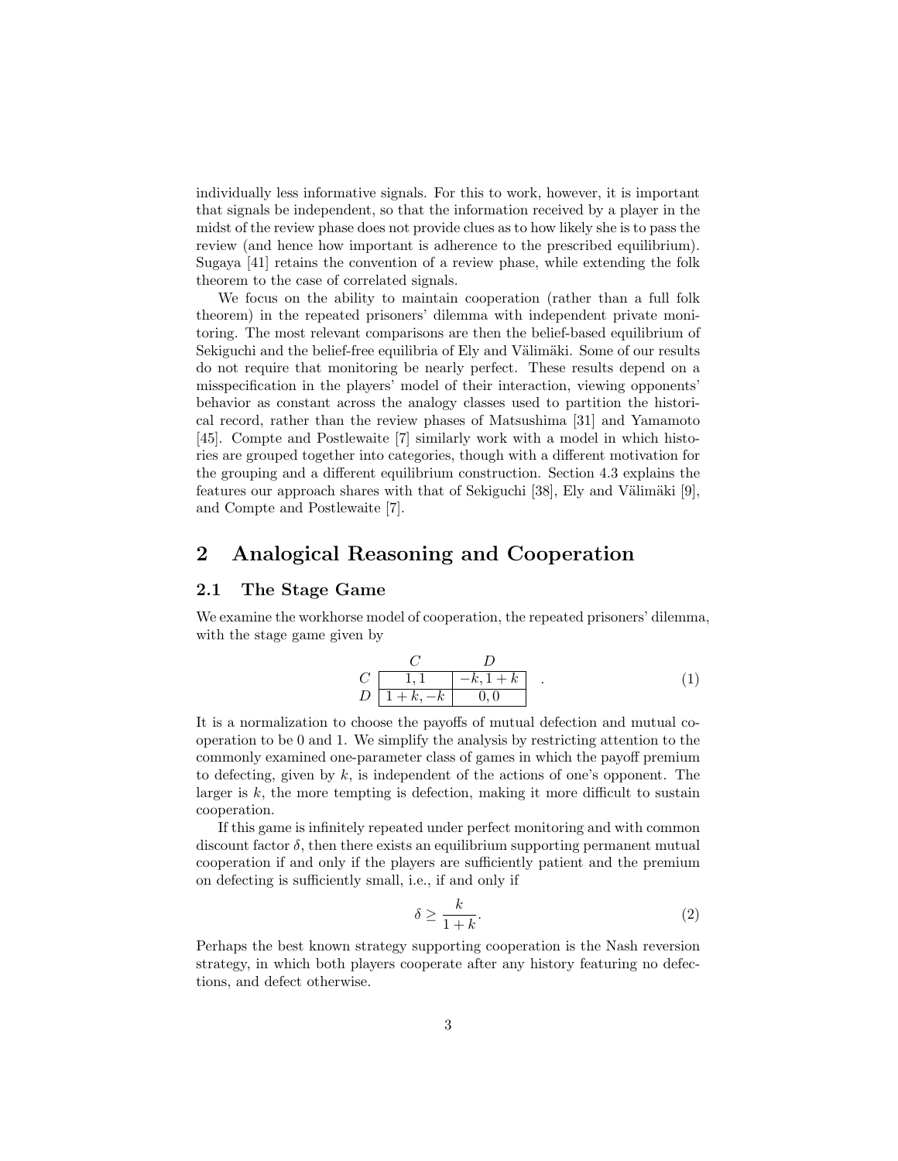individually less informative signals. For this to work, however, it is important that signals be independent, so that the information received by a player in the midst of the review phase does not provide clues as to how likely she is to pass the review (and hence how important is adherence to the prescribed equilibrium). Sugaya [41] retains the convention of a review phase, while extending the folk theorem to the case of correlated signals.

We focus on the ability to maintain cooperation (rather than a full folk theorem) in the repeated prisoners' dilemma with independent private monitoring. The most relevant comparisons are then the belief-based equilibrium of Sekiguchi and the belief-free equilibria of Ely and Välimäki. Some of our results do not require that monitoring be nearly perfect. These results depend on a misspecification in the players' model of their interaction, viewing opponents' behavior as constant across the analogy classes used to partition the historical record, rather than the review phases of Matsushima [31] and Yamamoto [45]. Compte and Postlewaite [7] similarly work with a model in which histories are grouped together into categories, though with a different motivation for the grouping and a different equilibrium construction. Section 4.3 explains the features our approach shares with that of Sekiguchi [38], Ely and Välimäki [9], and Compte and Postlewaite [7].

# 2 Analogical Reasoning and Cooperation

### 2.1 The Stage Game

We examine the workhorse model of cooperation, the repeated prisoners' dilemma, with the stage game given by

$$
\begin{array}{c|c}\n & C & D \\
C & 1,1 & -k,1+k \\
D & 1+k,-k & 0,0\n\end{array}.
$$
\n(1)

It is a normalization to choose the payoffs of mutual defection and mutual cooperation to be 0 and 1. We simplify the analysis by restricting attention to the commonly examined one-parameter class of games in which the payoff premium to defecting, given by  $k$ , is independent of the actions of one's opponent. The larger is  $k$ , the more tempting is defection, making it more difficult to sustain cooperation.

If this game is infinitely repeated under perfect monitoring and with common discount factor  $\delta$ , then there exists an equilibrium supporting permanent mutual cooperation if and only if the players are sufficiently patient and the premium on defecting is sufficiently small, i.e., if and only if

$$
\delta \ge \frac{k}{1+k}.\tag{2}
$$

Perhaps the best known strategy supporting cooperation is the Nash reversion strategy, in which both players cooperate after any history featuring no defections, and defect otherwise.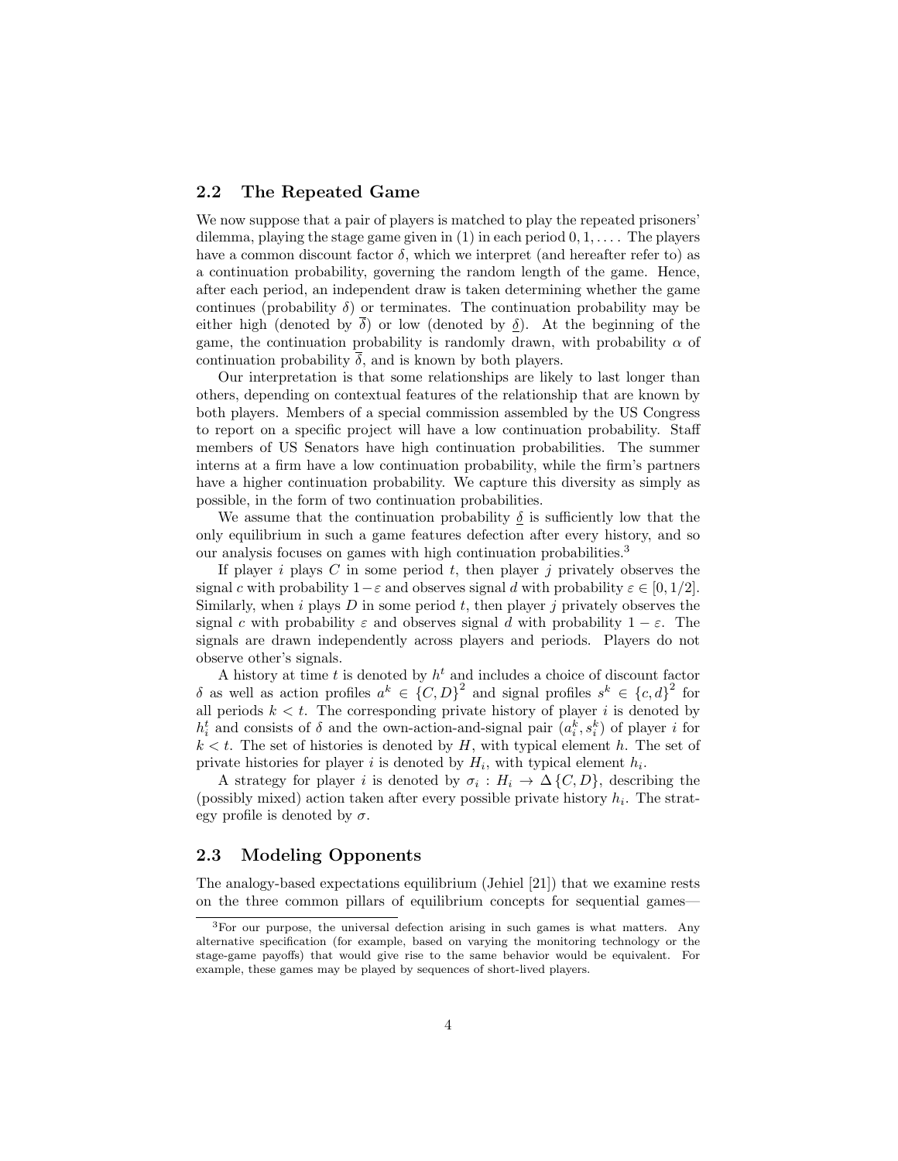## 2.2 The Repeated Game

We now suppose that a pair of players is matched to play the repeated prisoners' dilemma, playing the stage game given in  $(1)$  in each period  $0, 1, \ldots$ . The players have a common discount factor  $\delta$ , which we interpret (and hereafter refer to) as a continuation probability, governing the random length of the game. Hence, after each period, an independent draw is taken determining whether the game continues (probability  $\delta$ ) or terminates. The continuation probability may be either high (denoted by  $\delta$ ) or low (denoted by  $\delta$ ). At the beginning of the game, the continuation probability is randomly drawn, with probability  $\alpha$  of continuation probability  $\delta$ , and is known by both players.

Our interpretation is that some relationships are likely to last longer than others, depending on contextual features of the relationship that are known by both players. Members of a special commission assembled by the US Congress to report on a specific project will have a low continuation probability. Staff members of US Senators have high continuation probabilities. The summer interns at a firm have a low continuation probability, while the firm's partners have a higher continuation probability. We capture this diversity as simply as possible, in the form of two continuation probabilities.

We assume that the continuation probability  $\delta$  is sufficiently low that the only equilibrium in such a game features defection after every history, and so our analysis focuses on games with high continuation probabilities.<sup>3</sup>

If player i plays  $C$  in some period  $t$ , then player j privately observes the signal c with probability  $1-\varepsilon$  and observes signal d with probability  $\varepsilon \in [0, 1/2]$ . Similarly, when  $i$  plays  $D$  in some period  $t$ , then player  $j$  privately observes the signal c with probability  $\varepsilon$  and observes signal d with probability  $1 - \varepsilon$ . The signals are drawn independently across players and periods. Players do not observe other's signals.

A history at time t is denoted by  $h<sup>t</sup>$  and includes a choice of discount factor δ as well as action profiles  $a^k$  ∈  ${C, D}^2$  and signal profiles  $s^k$  ∈  ${c, d}^2$  for all periods  $k < t$ . The corresponding private history of player i is denoted by  $h_i^t$  and consists of  $\delta$  and the own-action-and-signal pair  $(a_i^k, s_i^k)$  of player i for  $k < t$ . The set of histories is denoted by H, with typical element h. The set of private histories for player i is denoted by  $H_i$ , with typical element  $h_i$ .

A strategy for player *i* is denoted by  $\sigma_i : H_i \to \Delta \{C, D\}$ , describing the (possibly mixed) action taken after every possible private history  $h_i$ . The strategy profile is denoted by  $\sigma$ .

## 2.3 Modeling Opponents

The analogy-based expectations equilibrium (Jehiel [21]) that we examine rests on the three common pillars of equilibrium concepts for sequential games—

<sup>3</sup>For our purpose, the universal defection arising in such games is what matters. Any alternative specification (for example, based on varying the monitoring technology or the stage-game payoffs) that would give rise to the same behavior would be equivalent. For example, these games may be played by sequences of short-lived players.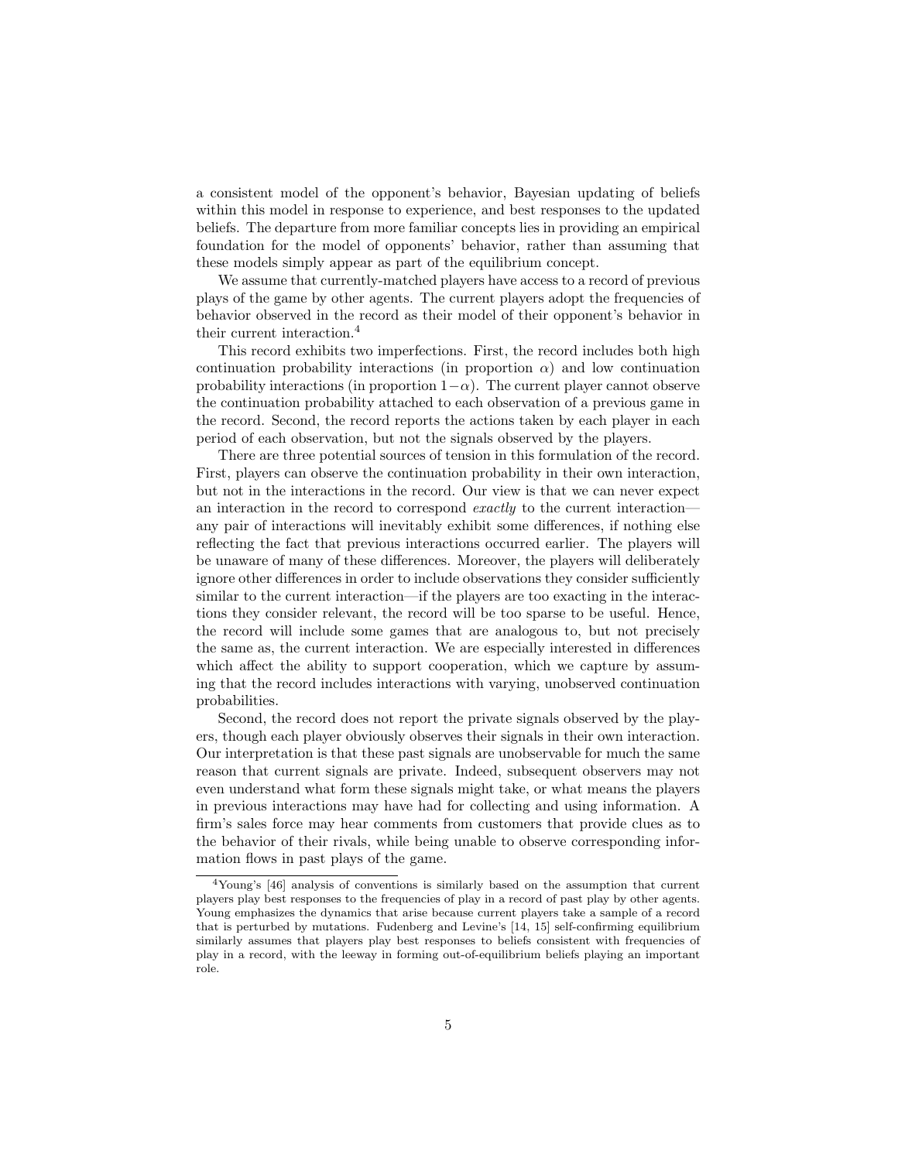a consistent model of the opponent's behavior, Bayesian updating of beliefs within this model in response to experience, and best responses to the updated beliefs. The departure from more familiar concepts lies in providing an empirical foundation for the model of opponents' behavior, rather than assuming that these models simply appear as part of the equilibrium concept.

We assume that currently-matched players have access to a record of previous plays of the game by other agents. The current players adopt the frequencies of behavior observed in the record as their model of their opponent's behavior in their current interaction.<sup>4</sup>

This record exhibits two imperfections. First, the record includes both high continuation probability interactions (in proportion  $\alpha$ ) and low continuation probability interactions (in proportion  $1-\alpha$ ). The current player cannot observe the continuation probability attached to each observation of a previous game in the record. Second, the record reports the actions taken by each player in each period of each observation, but not the signals observed by the players.

There are three potential sources of tension in this formulation of the record. First, players can observe the continuation probability in their own interaction, but not in the interactions in the record. Our view is that we can never expect an interaction in the record to correspond exactly to the current interaction any pair of interactions will inevitably exhibit some differences, if nothing else reflecting the fact that previous interactions occurred earlier. The players will be unaware of many of these differences. Moreover, the players will deliberately ignore other differences in order to include observations they consider sufficiently similar to the current interaction—if the players are too exacting in the interactions they consider relevant, the record will be too sparse to be useful. Hence, the record will include some games that are analogous to, but not precisely the same as, the current interaction. We are especially interested in differences which affect the ability to support cooperation, which we capture by assuming that the record includes interactions with varying, unobserved continuation probabilities.

Second, the record does not report the private signals observed by the players, though each player obviously observes their signals in their own interaction. Our interpretation is that these past signals are unobservable for much the same reason that current signals are private. Indeed, subsequent observers may not even understand what form these signals might take, or what means the players in previous interactions may have had for collecting and using information. A firm's sales force may hear comments from customers that provide clues as to the behavior of their rivals, while being unable to observe corresponding information flows in past plays of the game.

<sup>4</sup>Young's [46] analysis of conventions is similarly based on the assumption that current players play best responses to the frequencies of play in a record of past play by other agents. Young emphasizes the dynamics that arise because current players take a sample of a record that is perturbed by mutations. Fudenberg and Levine's [14, 15] self-confirming equilibrium similarly assumes that players play best responses to beliefs consistent with frequencies of play in a record, with the leeway in forming out-of-equilibrium beliefs playing an important role.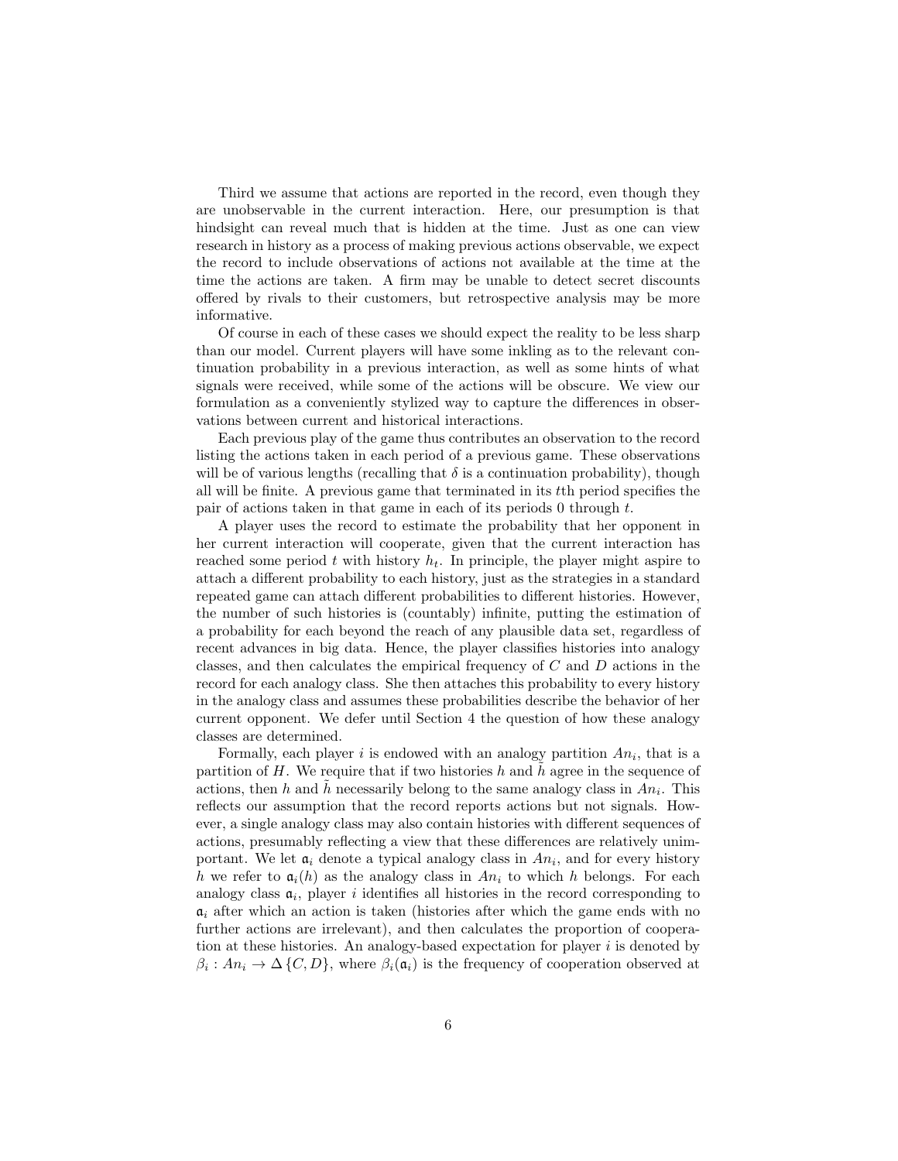Third we assume that actions are reported in the record, even though they are unobservable in the current interaction. Here, our presumption is that hindsight can reveal much that is hidden at the time. Just as one can view research in history as a process of making previous actions observable, we expect the record to include observations of actions not available at the time at the time the actions are taken. A firm may be unable to detect secret discounts offered by rivals to their customers, but retrospective analysis may be more informative.

Of course in each of these cases we should expect the reality to be less sharp than our model. Current players will have some inkling as to the relevant continuation probability in a previous interaction, as well as some hints of what signals were received, while some of the actions will be obscure. We view our formulation as a conveniently stylized way to capture the differences in observations between current and historical interactions.

Each previous play of the game thus contributes an observation to the record listing the actions taken in each period of a previous game. These observations will be of various lengths (recalling that  $\delta$  is a continuation probability), though all will be finite. A previous game that terminated in its tth period specifies the pair of actions taken in that game in each of its periods 0 through t.

A player uses the record to estimate the probability that her opponent in her current interaction will cooperate, given that the current interaction has reached some period t with history  $h_t$ . In principle, the player might aspire to attach a different probability to each history, just as the strategies in a standard repeated game can attach different probabilities to different histories. However, the number of such histories is (countably) infinite, putting the estimation of a probability for each beyond the reach of any plausible data set, regardless of recent advances in big data. Hence, the player classifies histories into analogy classes, and then calculates the empirical frequency of C and D actions in the record for each analogy class. She then attaches this probability to every history in the analogy class and assumes these probabilities describe the behavior of her current opponent. We defer until Section 4 the question of how these analogy classes are determined.

Formally, each player i is endowed with an analogy partition  $An_i$ , that is a partition of  $H$ . We require that if two histories  $h$  and  $h$  agree in the sequence of actions, then h and  $\tilde{h}$  necessarily belong to the same analogy class in  $An_i$ . This reflects our assumption that the record reports actions but not signals. However, a single analogy class may also contain histories with different sequences of actions, presumably reflecting a view that these differences are relatively unimportant. We let  $a_i$  denote a typical analogy class in  $An_i$ , and for every history h we refer to  $a_i(h)$  as the analogy class in  $An_i$  to which h belongs. For each analogy class  $a_i$ , player i identifies all histories in the record corresponding to  $a_i$  after which an action is taken (histories after which the game ends with no further actions are irrelevant), and then calculates the proportion of cooperation at these histories. An analogy-based expectation for player  $i$  is denoted by  $\beta_i: An_i \to \Delta\{C, D\}$ , where  $\beta_i(\mathfrak{a}_i)$  is the frequency of cooperation observed at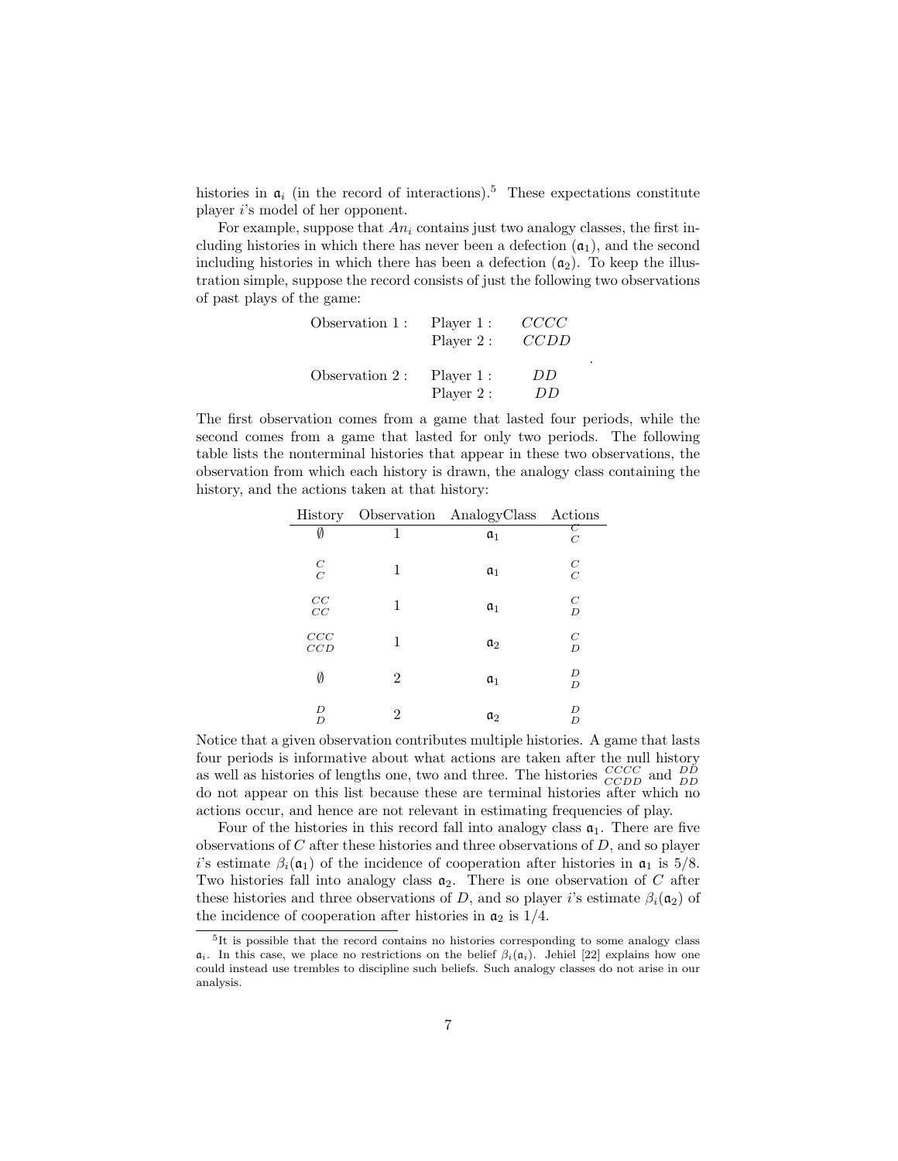histories in  $a_i$  (in the record of interactions).<sup>5</sup> These expectations constitute player i's model of her opponent.

For example, suppose that  $An_i$  contains just two analogy classes, the first including histories in which there has never been a defection  $(a_1)$ , and the second including histories in which there has been a defection  $(a_2)$ . To keep the illustration simple, suppose the record consists of just the following two observations of past plays of the game:

| Observation 1: | Player 1:<br>Player 2: | CCCC<br>CCDD |
|----------------|------------------------|--------------|
| Observation 2: | Player 1:<br>Player 2: | DD<br>ÐĐ     |

.

The first observation comes from a game that lasted four periods, while the second comes from a game that lasted for only two periods. The following table lists the nonterminal histories that appear in these two observations, the observation from which each history is drawn, the analogy class containing the history, and the actions taken at that history:

|                                         |                | History Observation AnalogyClass Actions |                            |
|-----------------------------------------|----------------|------------------------------------------|----------------------------|
| Ø                                       | 1              | $a_1$                                    | $\,C$                      |
| $\frac{C}{C}$                           | 1              | $a_1$                                    | $\cal C$<br>$\overline{C}$ |
| $\begin{array}{c} CC \\ CC \end{array}$ | 1              | $a_1$                                    | $\cal C$<br>$\overline{D}$ |
| CCC<br>CCD                              | 1              | $a_2$                                    | $\cal C$<br>$\overline{D}$ |
| Ø                                       | $\overline{2}$ | $a_1$                                    | D<br>D                     |
| D<br>D                                  | 2              | $\mathfrak{a}_2$                         | D<br>D                     |

Notice that a given observation contributes multiple histories. A game that lasts four periods is informative about what actions are taken after the null history as well as histories of lengths one, two and three. The histories  $\frac{CCCC}{CCDD}$  and  $\frac{DD}{DD}$ do not appear on this list because these are terminal histories after which no actions occur, and hence are not relevant in estimating frequencies of play.

Four of the histories in this record fall into analogy class  $a_1$ . There are five observations of  $C$  after these histories and three observations of  $D$ , and so player i's estimate  $\beta_i(\mathfrak{a}_1)$  of the incidence of cooperation after histories in  $\mathfrak{a}_1$  is 5/8. Two histories fall into analogy class  $a_2$ . There is one observation of C after these histories and three observations of D, and so player i's estimate  $\beta_i(\mathfrak{a}_2)$  of the incidence of cooperation after histories in  $\mathfrak{a}_2$  is  $1/4$ .

<sup>&</sup>lt;sup>5</sup>It is possible that the record contains no histories corresponding to some analogy class  $a_i$ . In this case, we place no restrictions on the belief  $\beta_i(a_i)$ . Jehiel [22] explains how one could instead use trembles to discipline such beliefs. Such analogy classes do not arise in our analysis.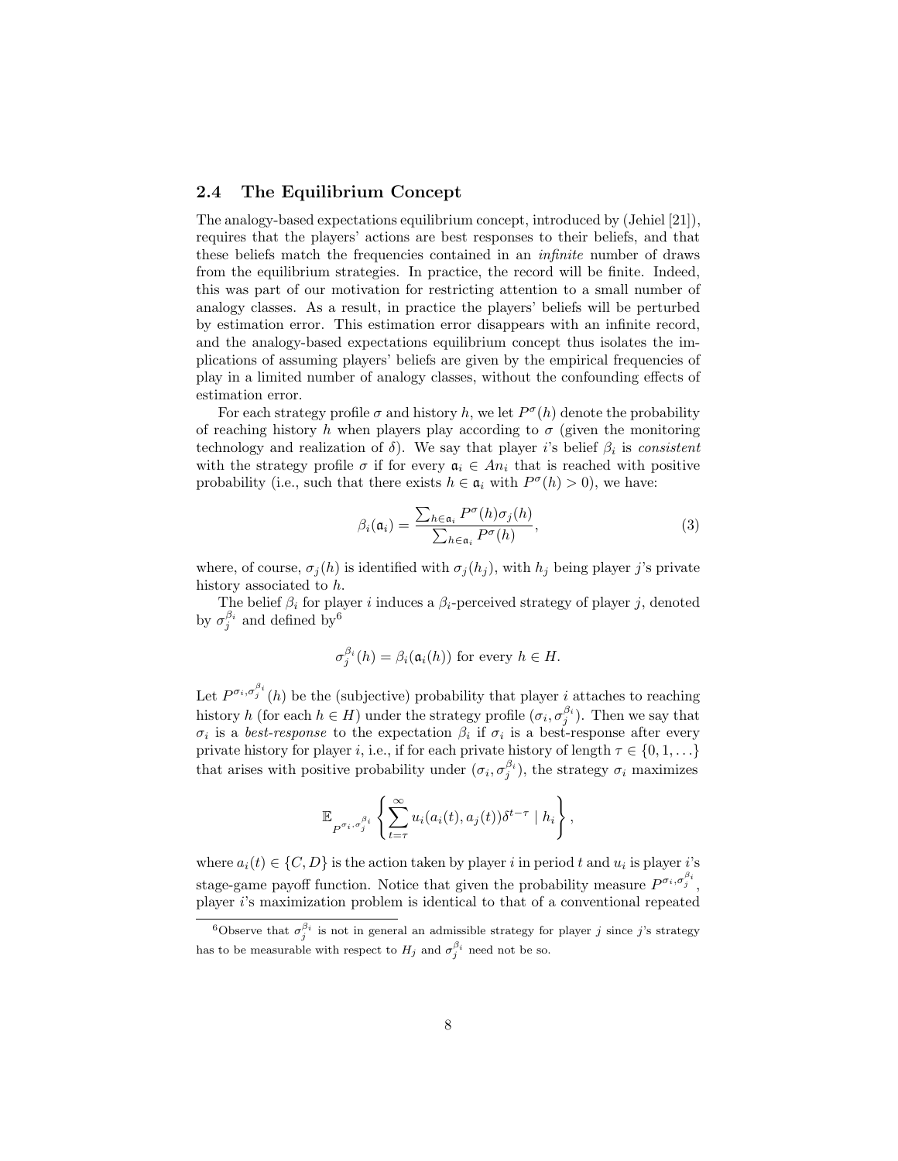### 2.4 The Equilibrium Concept

The analogy-based expectations equilibrium concept, introduced by (Jehiel [21]), requires that the players' actions are best responses to their beliefs, and that these beliefs match the frequencies contained in an infinite number of draws from the equilibrium strategies. In practice, the record will be finite. Indeed, this was part of our motivation for restricting attention to a small number of analogy classes. As a result, in practice the players' beliefs will be perturbed by estimation error. This estimation error disappears with an infinite record, and the analogy-based expectations equilibrium concept thus isolates the implications of assuming players' beliefs are given by the empirical frequencies of play in a limited number of analogy classes, without the confounding effects of estimation error.

For each strategy profile  $\sigma$  and history h, we let  $P^{\sigma}(h)$  denote the probability of reaching history h when players play according to  $\sigma$  (given the monitoring technology and realization of  $\delta$ ). We say that player i's belief  $\beta_i$  is consistent with the strategy profile  $\sigma$  if for every  $a_i \in An_i$  that is reached with positive probability (i.e., such that there exists  $h \in \mathfrak{a}_i$  with  $P^{\sigma}(h) > 0$ ), we have:

$$
\beta_i(\mathfrak{a}_i) = \frac{\sum_{h \in \mathfrak{a}_i} P^{\sigma}(h)\sigma_j(h)}{\sum_{h \in \mathfrak{a}_i} P^{\sigma}(h)},
$$
\n(3)

where, of course,  $\sigma_j(h)$  is identified with  $\sigma_j(h_j)$ , with  $h_j$  being player j's private history associated to h.

The belief  $\beta_i$  for player i induces a  $\beta_i$ -perceived strategy of player j, denoted by  $\sigma_j^{\beta_i}$  and defined by <sup>6</sup>

$$
\sigma_j^{\beta_i}(h) = \beta_i(\mathfrak{a}_i(h))
$$
 for every  $h \in H$ .

Let  $P^{\sigma_i,\sigma_j^{\beta_i}}(h)$  be the (subjective) probability that player *i* attaches to reaching history h (for each  $h \in H$ ) under the strategy profile  $(\sigma_i, \sigma_j^{\beta_i})$ . Then we say that  $\sigma_i$  is a best-response to the expectation  $\beta_i$  if  $\sigma_i$  is a best-response after every private history for player i, i.e., if for each private history of length  $\tau \in \{0, 1, \ldots\}$ that arises with positive probability under  $(\sigma_i, \sigma_j^{\beta_i})$ , the strategy  $\sigma_i$  maximizes

$$
\mathbb{E}_{P^{\sigma_i,\sigma_j^{\beta_i}}}\left\{\sum_{t=\tau}^{\infty}u_i(a_i(t),a_j(t))\delta^{t-\tau}\mid h_i\right\},\,
$$

where  $a_i(t) \in \{C, D\}$  is the action taken by player i in period t and  $u_i$  is player i's stage-game payoff function. Notice that given the probability measure  $P^{\sigma_i,\sigma_j^{\beta_i}}$ , player i's maximization problem is identical to that of a conventional repeated

<sup>&</sup>lt;sup>6</sup>Observe that  $\sigma_j^{\beta_i}$  is not in general an admissible strategy for player j since j's strategy has to be measurable with respect to  $H_j$  and  $\sigma_j^{\beta_i}$  need not be so.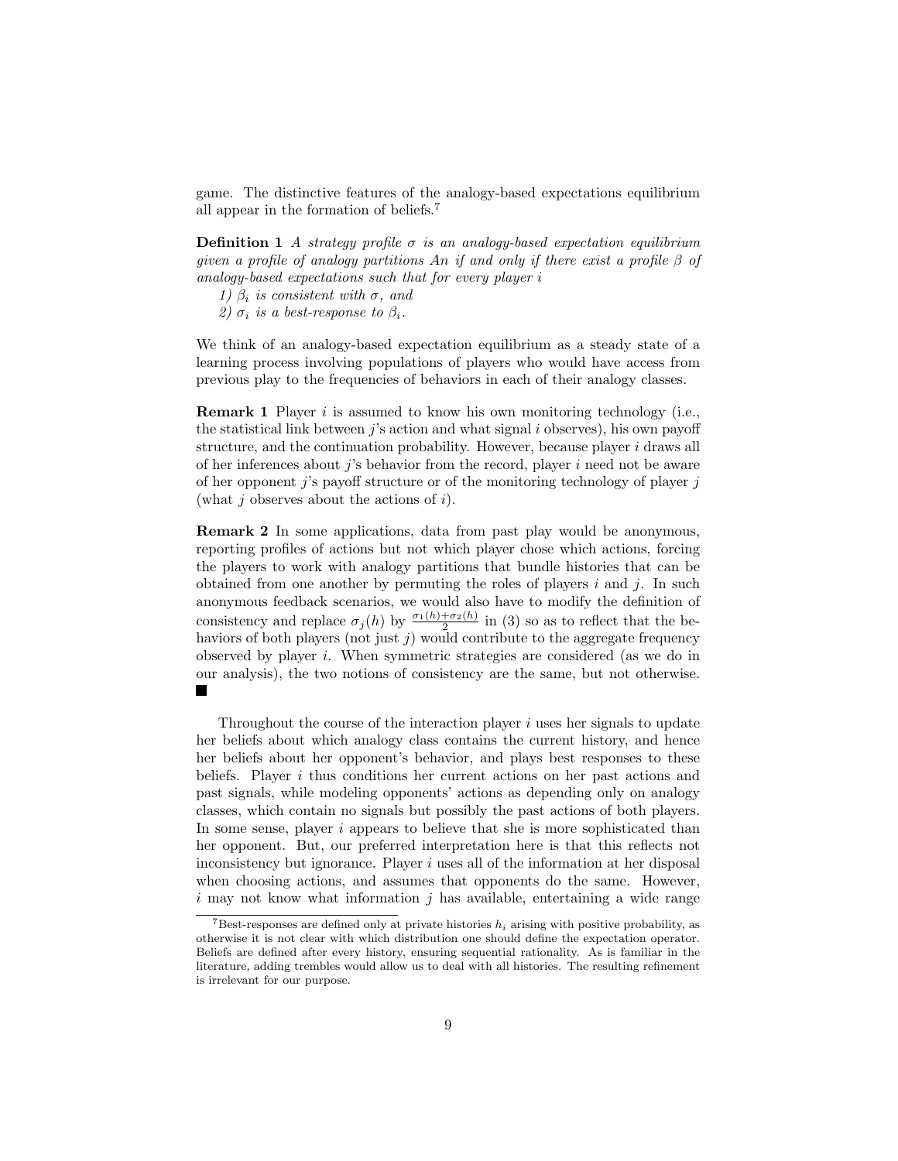game. The distinctive features of the analogy-based expectations equilibrium all appear in the formation of beliefs.<sup>7</sup>

**Definition 1** A strategy profile  $\sigma$  is an analogy-based expectation equilibrium given a profile of analogy partitions An if and only if there exist a profile  $\beta$  of analogy-based expectations such that for every player i

1)  $\beta_i$  is consistent with  $\sigma$ , and

2)  $\sigma_i$  is a best-response to  $\beta_i$ .

We think of an analogy-based expectation equilibrium as a steady state of a learning process involving populations of players who would have access from previous play to the frequencies of behaviors in each of their analogy classes.

**Remark 1** Player  $i$  is assumed to know his own monitoring technology (i.e., the statistical link between  $j$ 's action and what signal i observes), his own payoff structure, and the continuation probability. However, because player  $i$  draws all of her inferences about  $i$ 's behavior from the record, player i need not be aware of her opponent  $j$ 's payoff structure or of the monitoring technology of player  $j$ (what  $j$  observes about the actions of  $i$ ).

Remark 2 In some applications, data from past play would be anonymous, reporting profiles of actions but not which player chose which actions, forcing the players to work with analogy partitions that bundle histories that can be obtained from one another by permuting the roles of players i and j. In such anonymous feedback scenarios, we would also have to modify the definition of consistency and replace  $\sigma_j(h)$  by  $\frac{\sigma_1(h) + \sigma_2(h)}{2}$  in (3) so as to reflect that the behaviors of both players (not just  $j$ ) would contribute to the aggregate frequency observed by player i. When symmetric strategies are considered (as we do in our analysis), the two notions of consistency are the same, but not otherwise. **College** 

Throughout the course of the interaction player  $i$  uses her signals to update her beliefs about which analogy class contains the current history, and hence her beliefs about her opponent's behavior, and plays best responses to these beliefs. Player  $i$  thus conditions her current actions on her past actions and past signals, while modeling opponents' actions as depending only on analogy classes, which contain no signals but possibly the past actions of both players. In some sense, player i appears to believe that she is more sophisticated than her opponent. But, our preferred interpretation here is that this reflects not inconsistency but ignorance. Player  $i$  uses all of the information at her disposal when choosing actions, and assumes that opponents do the same. However, i may not know what information  $i$  has available, entertaining a wide range

<sup>&</sup>lt;sup>7</sup>Best-responses are defined only at private histories  $h_i$  arising with positive probability, as otherwise it is not clear with which distribution one should define the expectation operator. Beliefs are defined after every history, ensuring sequential rationality. As is familiar in the literature, adding trembles would allow us to deal with all histories. The resulting refinement is irrelevant for our purpose.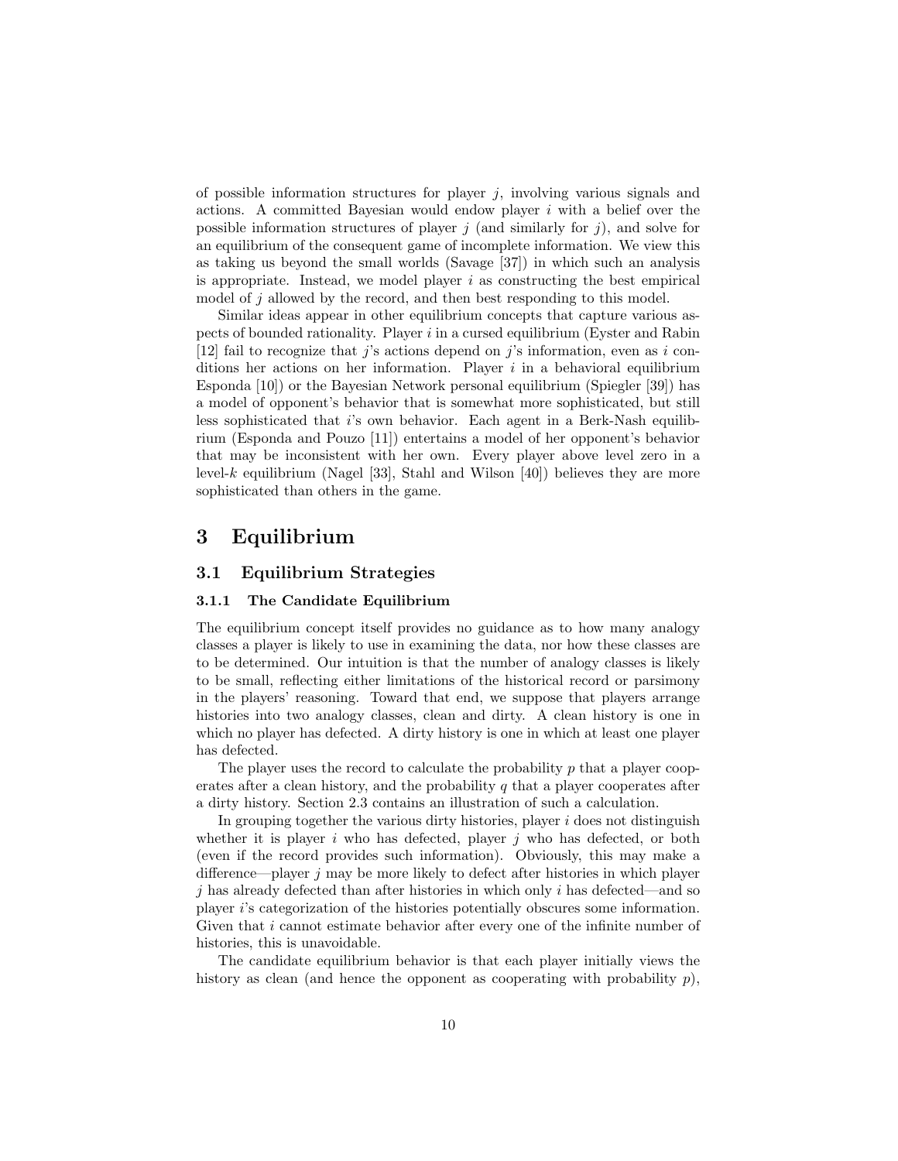of possible information structures for player  $j$ , involving various signals and actions. A committed Bayesian would endow player  $i$  with a belief over the possible information structures of player j (and similarly for j), and solve for an equilibrium of the consequent game of incomplete information. We view this as taking us beyond the small worlds (Savage [37]) in which such an analysis is appropriate. Instead, we model player  $i$  as constructing the best empirical model of j allowed by the record, and then best responding to this model.

Similar ideas appear in other equilibrium concepts that capture various aspects of bounded rationality. Player i in a cursed equilibrium (Eyster and Rabin [12] fail to recognize that j's actions depend on j's information, even as i conditions her actions on her information. Player i in a behavioral equilibrium Esponda [10]) or the Bayesian Network personal equilibrium (Spiegler [39]) has a model of opponent's behavior that is somewhat more sophisticated, but still less sophisticated that i's own behavior. Each agent in a Berk-Nash equilibrium (Esponda and Pouzo [11]) entertains a model of her opponent's behavior that may be inconsistent with her own. Every player above level zero in a level-k equilibrium (Nagel [33], Stahl and Wilson [40]) believes they are more sophisticated than others in the game.

## 3 Equilibrium

### 3.1 Equilibrium Strategies

### 3.1.1 The Candidate Equilibrium

The equilibrium concept itself provides no guidance as to how many analogy classes a player is likely to use in examining the data, nor how these classes are to be determined. Our intuition is that the number of analogy classes is likely to be small, reflecting either limitations of the historical record or parsimony in the players' reasoning. Toward that end, we suppose that players arrange histories into two analogy classes, clean and dirty. A clean history is one in which no player has defected. A dirty history is one in which at least one player has defected.

The player uses the record to calculate the probability  $p$  that a player cooperates after a clean history, and the probability  $q$  that a player cooperates after a dirty history. Section 2.3 contains an illustration of such a calculation.

In grouping together the various dirty histories, player  $i$  does not distinguish whether it is player  $i$  who has defected, player  $j$  who has defected, or both (even if the record provides such information). Obviously, this may make a difference—player  $j$  may be more likely to defect after histories in which player  $j$  has already defected than after histories in which only i has defected—and so player i's categorization of the histories potentially obscures some information. Given that *i* cannot estimate behavior after every one of the infinite number of histories, this is unavoidable.

The candidate equilibrium behavior is that each player initially views the history as clean (and hence the opponent as cooperating with probability  $p$ ),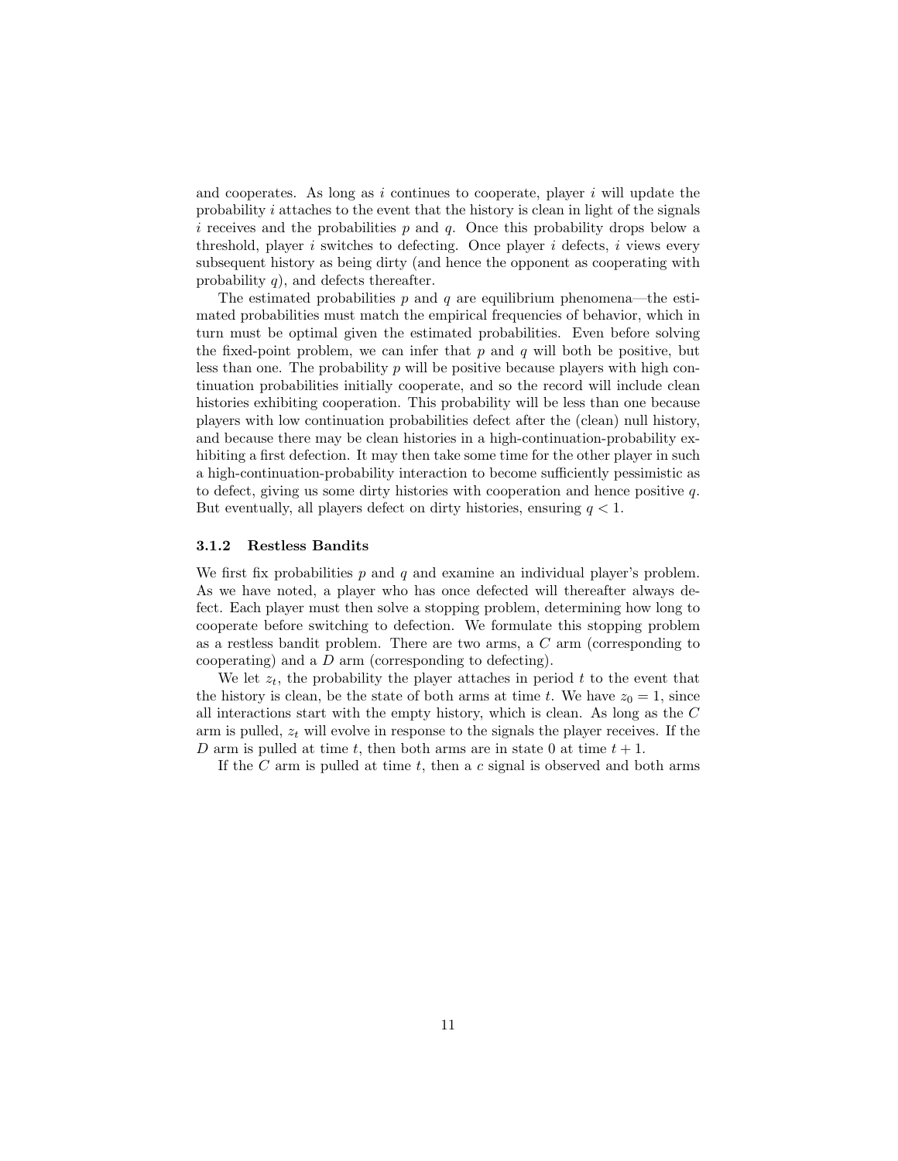and cooperates. As long as i continues to cooperate, player i will update the probability  $i$  attaches to the event that the history is clean in light of the signals i receives and the probabilities p and q. Once this probability drops below a threshold, player  $i$  switches to defecting. Once player  $i$  defects,  $i$  views every subsequent history as being dirty (and hence the opponent as cooperating with probability  $q$ ), and defects thereafter.

The estimated probabilities  $p$  and  $q$  are equilibrium phenomena—the estimated probabilities must match the empirical frequencies of behavior, which in turn must be optimal given the estimated probabilities. Even before solving the fixed-point problem, we can infer that  $p$  and  $q$  will both be positive, but less than one. The probability  $p$  will be positive because players with high continuation probabilities initially cooperate, and so the record will include clean histories exhibiting cooperation. This probability will be less than one because players with low continuation probabilities defect after the (clean) null history, and because there may be clean histories in a high-continuation-probability exhibiting a first defection. It may then take some time for the other player in such a high-continuation-probability interaction to become sufficiently pessimistic as to defect, giving us some dirty histories with cooperation and hence positive q. But eventually, all players defect on dirty histories, ensuring  $q < 1$ .

#### 3.1.2 Restless Bandits

We first fix probabilities  $p$  and  $q$  and examine an individual player's problem. As we have noted, a player who has once defected will thereafter always defect. Each player must then solve a stopping problem, determining how long to cooperate before switching to defection. We formulate this stopping problem as a restless bandit problem. There are two arms, a C arm (corresponding to cooperating) and a D arm (corresponding to defecting).

We let  $z_t$ , the probability the player attaches in period t to the event that the history is clean, be the state of both arms at time t. We have  $z_0 = 1$ , since all interactions start with the empty history, which is clean. As long as the C arm is pulled,  $z_t$  will evolve in response to the signals the player receives. If the D arm is pulled at time t, then both arms are in state 0 at time  $t + 1$ .

If the C arm is pulled at time t, then a c signal is observed and both arms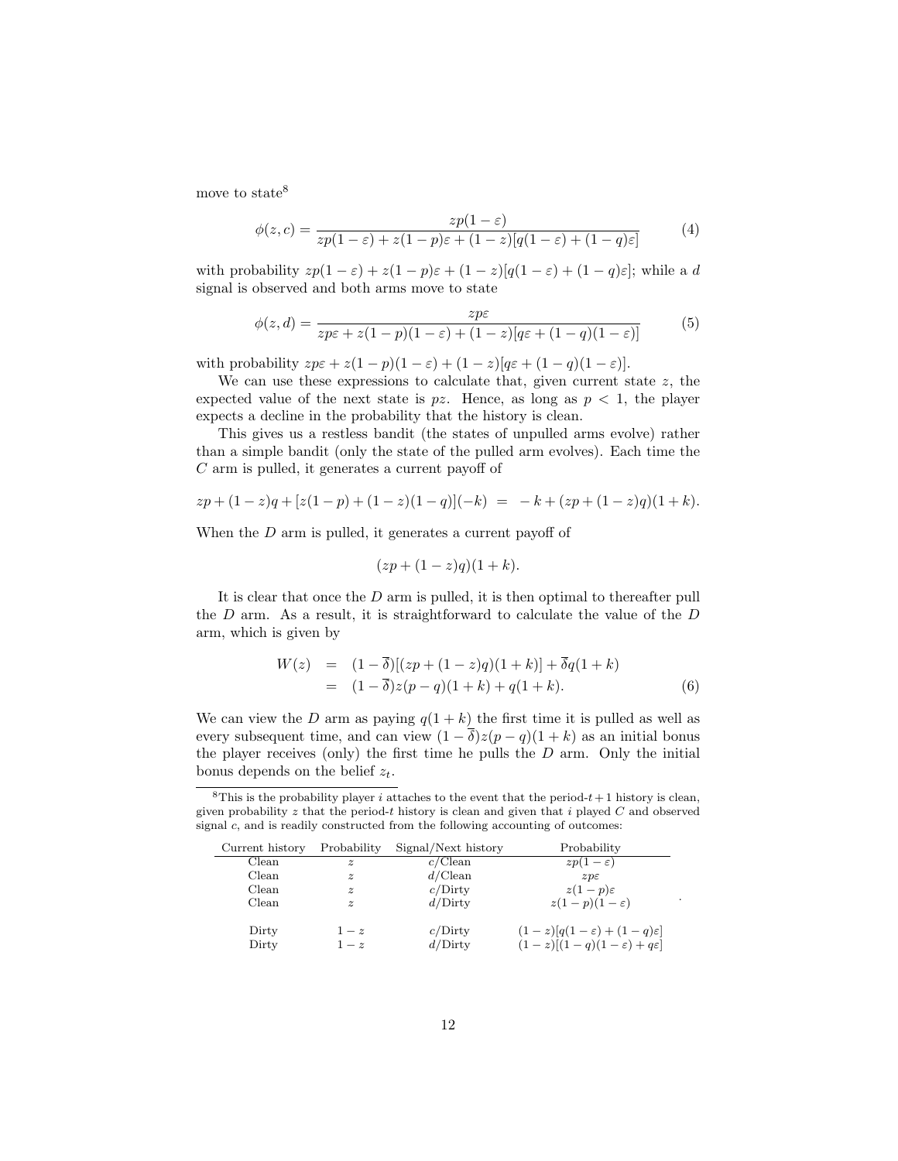move to state<sup>8</sup>

$$
\phi(z,c) = \frac{zp(1-\varepsilon)}{zp(1-\varepsilon) + z(1-p)\varepsilon + (1-z)[q(1-\varepsilon) + (1-q)\varepsilon]}
$$
(4)

with probability  $zp(1 - \varepsilon) + z(1 - p)\varepsilon + (1 - z)[q(1 - \varepsilon) + (1 - q)\varepsilon]$ ; while a d signal is observed and both arms move to state

$$
\phi(z,d) = \frac{zp\varepsilon}{zp\varepsilon + z(1-p)(1-\varepsilon) + (1-z)[q\varepsilon + (1-q)(1-\varepsilon)]}
$$
(5)

with probability  $z p \varepsilon + z(1-p)(1-\varepsilon) + (1-z)[q \varepsilon + (1-q)(1-\varepsilon)].$ 

We can use these expressions to calculate that, given current state  $z$ , the expected value of the next state is  $pz$ . Hence, as long as  $p < 1$ , the player expects a decline in the probability that the history is clean.

This gives us a restless bandit (the states of unpulled arms evolve) rather than a simple bandit (only the state of the pulled arm evolves). Each time the C arm is pulled, it generates a current payoff of

$$
zp + (1 - z)q + [z(1 - p) + (1 - z)(1 - q)](-k) = -k + (zp + (1 - z)q)(1 + k).
$$

When the D arm is pulled, it generates a current payoff of

$$
(zp + (1 - z)q)(1 + k).
$$

It is clear that once the D arm is pulled, it is then optimal to thereafter pull the  $D$  arm. As a result, it is straightforward to calculate the value of the  $D$ arm, which is given by

$$
W(z) = (1 - \overline{\delta})[(zp + (1 - z)q)(1 + k)] + \overline{\delta}q(1 + k)
$$
  
=  $(1 - \overline{\delta})z(p - q)(1 + k) + q(1 + k).$  (6)

We can view the D arm as paying  $q(1 + k)$  the first time it is pulled as well as every subsequent time, and can view  $(1 - \overline{\delta})z(p - q)(1 + k)$  as an initial bonus the player receives (only) the first time he pulls the  $D$  arm. Only the initial bonus depends on the belief  $z_t$ .

<sup>8</sup>This is the probability player *i* attaches to the event that the period- $t + 1$  history is clean, given probability  $z$  that the period-t history is clean and given that i played  $C$  and observed signal c, and is readily constructed from the following accounting of outcomes:

| Current history | Probability      | Signal/Next history | Probability                                                                              |
|-----------------|------------------|---------------------|------------------------------------------------------------------------------------------|
| Clean           | $\boldsymbol{z}$ | c/Clean             | $zp(1-\varepsilon)$                                                                      |
| Clean           | $\tilde{z}$      | d/Clean             | $z p \varepsilon$                                                                        |
| Clean           | $\boldsymbol{z}$ | c/Dirty             | $z(1-p)\varepsilon$                                                                      |
| Clean           | $\boldsymbol{z}$ | d/Dirty             | $z(1-p)(1-\varepsilon)$                                                                  |
| Dirty<br>Dirty  | $1-z$<br>$1-z$   | c/Dirty<br>d/Dirty  | $(1-z)[q(1-\varepsilon)+(1-q)\varepsilon]$<br>$(1-z)[(1-q)(1-\varepsilon)+q\varepsilon]$ |

.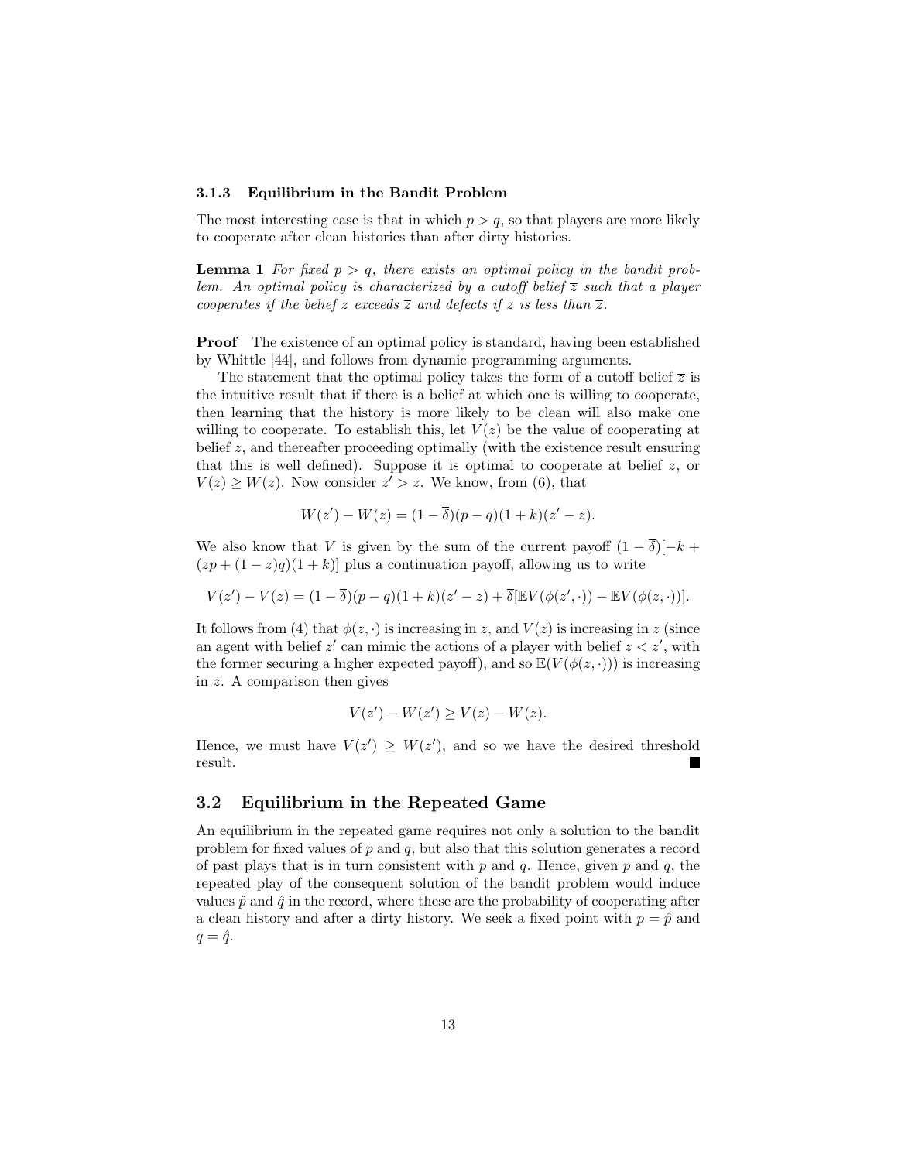#### 3.1.3 Equilibrium in the Bandit Problem

The most interesting case is that in which  $p > q$ , so that players are more likely to cooperate after clean histories than after dirty histories.

**Lemma 1** For fixed  $p > q$ , there exists an optimal policy in the bandit problem. An optimal policy is characterized by a cutoff belief  $\overline{z}$  such that a player cooperates if the belief z exceeds  $\overline{z}$  and defects if z is less than  $\overline{z}$ .

**Proof** The existence of an optimal policy is standard, having been established by Whittle [44], and follows from dynamic programming arguments.

The statement that the optimal policy takes the form of a cutoff belief  $\overline{z}$  is the intuitive result that if there is a belief at which one is willing to cooperate, then learning that the history is more likely to be clean will also make one willing to cooperate. To establish this, let  $V(z)$  be the value of cooperating at belief  $z$ , and thereafter proceeding optimally (with the existence result ensuring that this is well defined). Suppose it is optimal to cooperate at belief  $z$ , or  $V(z) \geq W(z)$ . Now consider  $z' > z$ . We know, from (6), that

$$
W(z') - W(z) = (1 - \overline{\delta})(p - q)(1 + k)(z' - z).
$$

We also know that V is given by the sum of the current payoff  $(1 - \overline{\delta})[-k +$  $(zp + (1-z)q)(1+k)$  plus a continuation payoff, allowing us to write

$$
V(z') - V(z) = (1 - \overline{\delta})(p - q)(1 + k)(z' - z) + \overline{\delta}[\mathbb{E}V(\phi(z', \cdot)) - \mathbb{E}V(\phi(z, \cdot))].
$$

It follows from (4) that  $\phi(z, \cdot)$  is increasing in z, and  $V(z)$  is increasing in z (since an agent with belief  $z'$  can mimic the actions of a player with belief  $z < z'$ , with the former securing a higher expected payoff), and so  $\mathbb{E}(V(\phi(z, \cdot)))$  is increasing in z. A comparison then gives

$$
V(z') - W(z') \ge V(z) - W(z).
$$

Hence, we must have  $V(z') \geq W(z')$ , and so we have the desired threshold result. ш

## 3.2 Equilibrium in the Repeated Game

An equilibrium in the repeated game requires not only a solution to the bandit problem for fixed values of  $p$  and  $q$ , but also that this solution generates a record of past plays that is in turn consistent with p and q. Hence, given p and q, the repeated play of the consequent solution of the bandit problem would induce values  $\hat{p}$  and  $\hat{q}$  in the record, where these are the probability of cooperating after a clean history and after a dirty history. We seek a fixed point with  $p = \hat{p}$  and  $q = \hat{q}$ .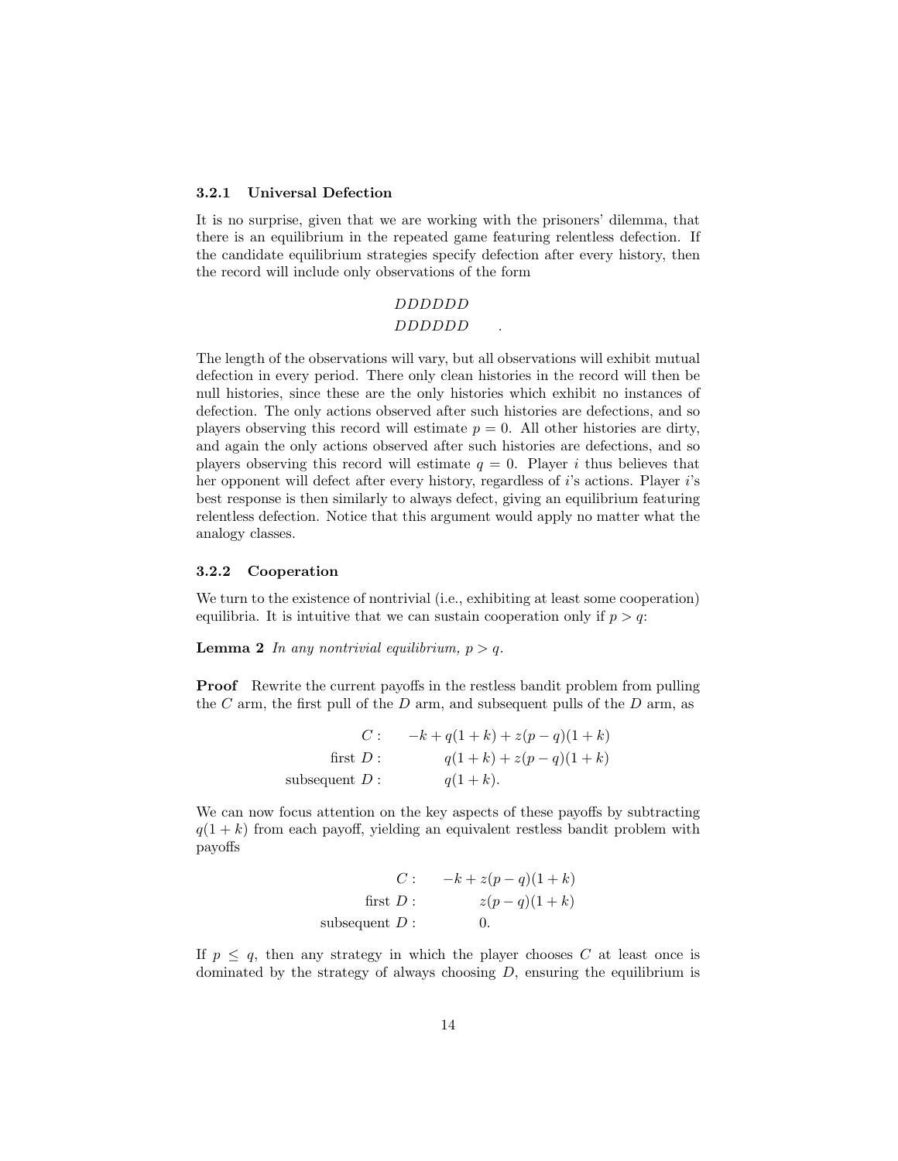#### 3.2.1 Universal Defection

It is no surprise, given that we are working with the prisoners' dilemma, that there is an equilibrium in the repeated game featuring relentless defection. If the candidate equilibrium strategies specify defection after every history, then the record will include only observations of the form

# DDDDDD

## DDDDDD .

The length of the observations will vary, but all observations will exhibit mutual defection in every period. There only clean histories in the record will then be null histories, since these are the only histories which exhibit no instances of defection. The only actions observed after such histories are defections, and so players observing this record will estimate  $p = 0$ . All other histories are dirty, and again the only actions observed after such histories are defections, and so players observing this record will estimate  $q = 0$ . Player i thus believes that her opponent will defect after every history, regardless of i's actions. Player i's best response is then similarly to always defect, giving an equilibrium featuring relentless defection. Notice that this argument would apply no matter what the analogy classes.

#### 3.2.2 Cooperation

We turn to the existence of nontrivial (i.e., exhibiting at least some cooperation) equilibria. It is intuitive that we can sustain cooperation only if  $p > q$ .

**Lemma 2** In any nontrivial equilibrium,  $p > q$ .

Proof Rewrite the current payoffs in the restless bandit problem from pulling the C arm, the first pull of the D arm, and subsequent pulls of the D arm, as

$$
C: \t-k+q(1+k)+z(p-q)(1+k)
$$
  
first  $D: \tq(1+k)+z(p-q)(1+k)$   
subsequent  $D: \tq(1+k)$ .

We can now focus attention on the key aspects of these payoffs by subtracting  $q(1 + k)$  from each payoff, yielding an equivalent restless bandit problem with payoffs

$$
C: \t-k + z(p - q)(1 + k)
$$
  
first  $D: \t z(p - q)(1 + k)$   
subsequent  $D: \t0.$ 

If  $p \leq q$ , then any strategy in which the player chooses C at least once is dominated by the strategy of always choosing  $D$ , ensuring the equilibrium is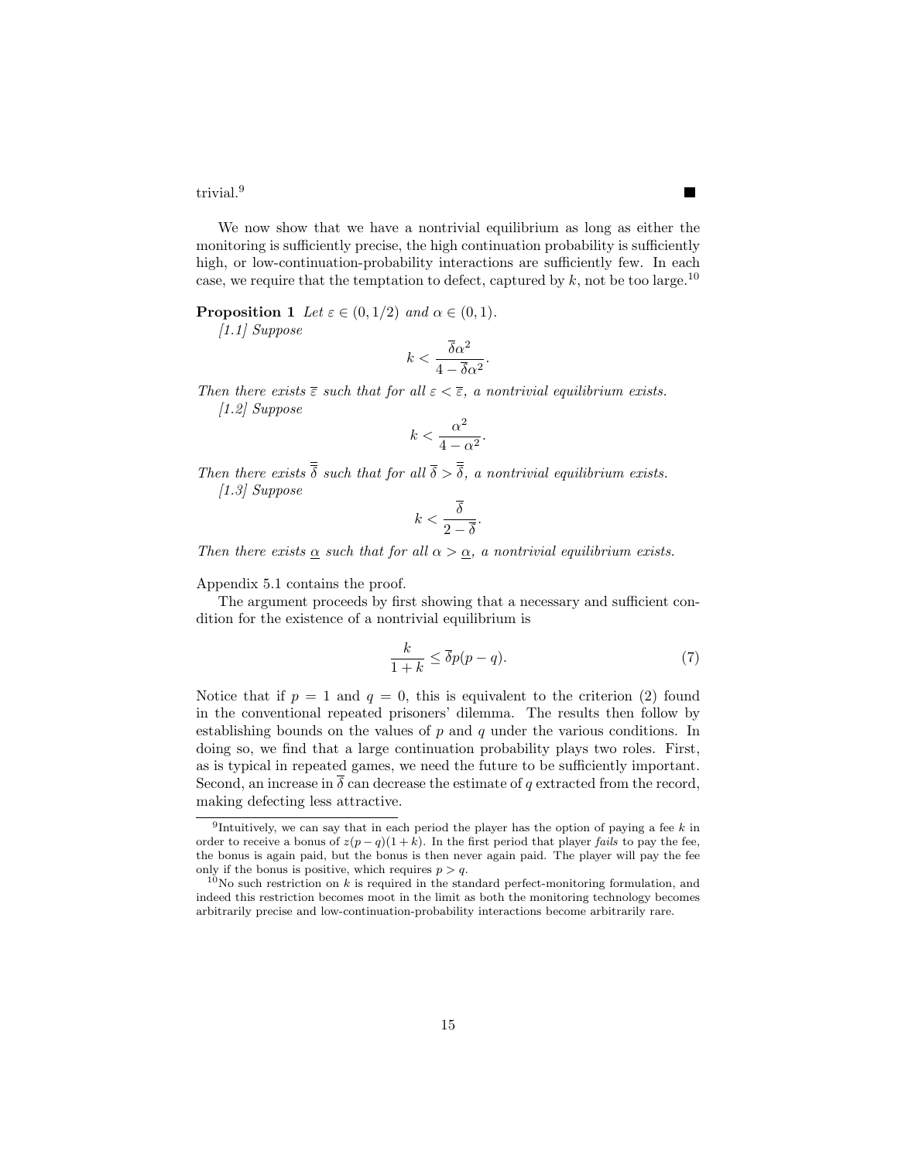trivial.<sup>9</sup>

We now show that we have a nontrivial equilibrium as long as either the monitoring is sufficiently precise, the high continuation probability is sufficiently high, or low-continuation-probability interactions are sufficiently few. In each case, we require that the temptation to defect, captured by  $k$ , not be too large.<sup>10</sup>

**Proposition 1** Let  $\varepsilon \in (0, 1/2)$  and  $\alpha \in (0, 1)$ .

[1.1] Suppose

$$
k < \frac{\overline{\delta}\alpha^2}{4 - \overline{\delta}\alpha^2}.
$$

Then there exists  $\overline{\epsilon}$  such that for all  $\epsilon < \overline{\epsilon}$ , a nontrivial equilibrium exists. [1.2] Suppose

$$
k<\frac{\alpha^2}{4-\alpha^2}.
$$

Then there exists  $\frac{1}{\delta}$  such that for all  $\frac{1}{\delta} > \frac{1}{\delta}$ , a nontrivial equilibrium exists. [1.3] Suppose

$$
k < \frac{\overline{\delta}}{2 - \overline{\delta}}.
$$

Then there exists  $\alpha$  such that for all  $\alpha > \alpha$ , a nontrivial equilibrium exists.

Appendix 5.1 contains the proof.

The argument proceeds by first showing that a necessary and sufficient condition for the existence of a nontrivial equilibrium is

$$
\frac{k}{1+k} \le \overline{\delta}p(p-q). \tag{7}
$$

Notice that if  $p = 1$  and  $q = 0$ , this is equivalent to the criterion (2) found in the conventional repeated prisoners' dilemma. The results then follow by establishing bounds on the values of  $p$  and  $q$  under the various conditions. In doing so, we find that a large continuation probability plays two roles. First, as is typical in repeated games, we need the future to be sufficiently important. Second, an increase in  $\bar{\delta}$  can decrease the estimate of q extracted from the record, making defecting less attractive.

<sup>&</sup>lt;sup>9</sup>Intuitively, we can say that in each period the player has the option of paying a fee k in order to receive a bonus of  $z(p-q)(1+k)$ . In the first period that player fails to pay the fee, the bonus is again paid, but the bonus is then never again paid. The player will pay the fee only if the bonus is positive, which requires  $p > q$ .

 $10$ No such restriction on k is required in the standard perfect-monitoring formulation, and indeed this restriction becomes moot in the limit as both the monitoring technology becomes arbitrarily precise and low-continuation-probability interactions become arbitrarily rare.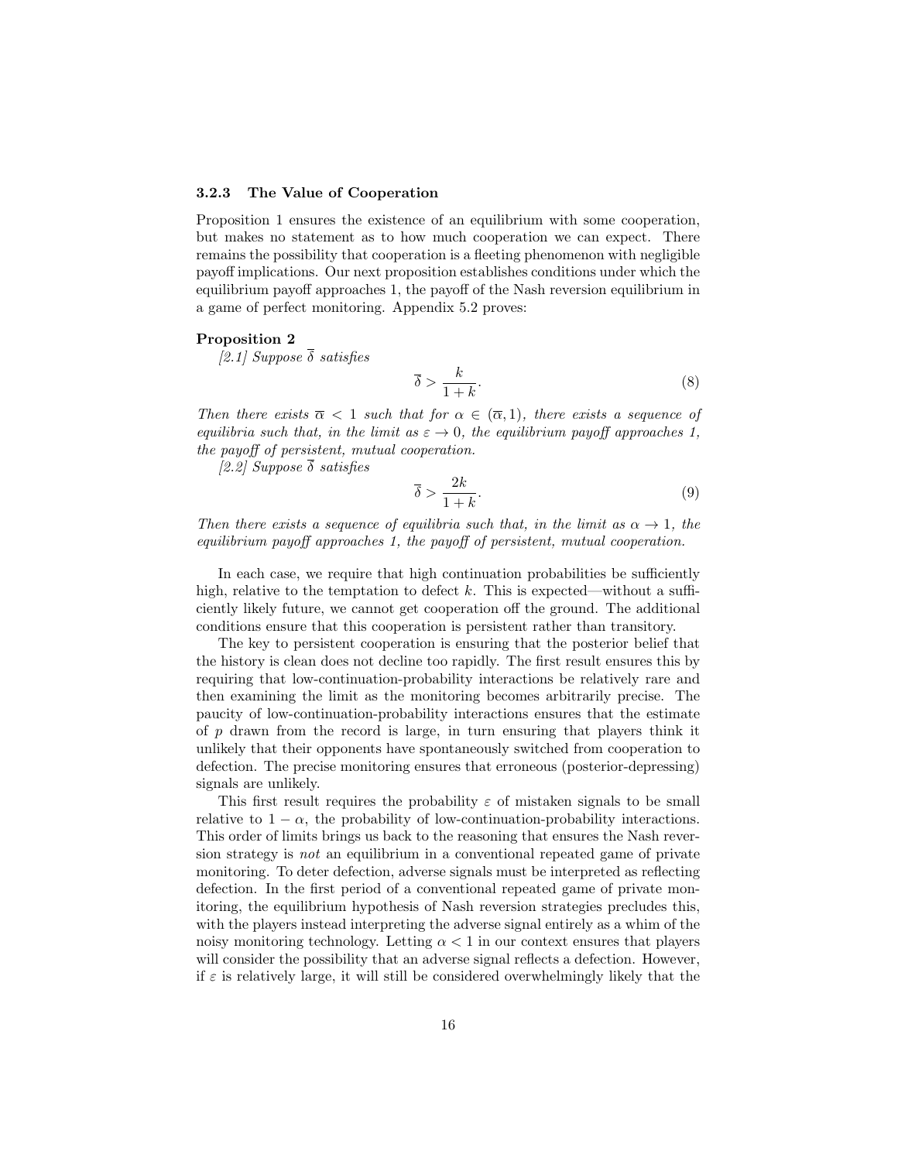#### 3.2.3 The Value of Cooperation

Proposition 1 ensures the existence of an equilibrium with some cooperation, but makes no statement as to how much cooperation we can expect. There remains the possibility that cooperation is a fleeting phenomenon with negligible payoff implications. Our next proposition establishes conditions under which the equilibrium payoff approaches 1, the payoff of the Nash reversion equilibrium in a game of perfect monitoring. Appendix 5.2 proves:

#### Proposition 2

[2.1] Suppose  $\bar{\delta}$  satisfies

$$
\overline{\delta} > \frac{k}{1+k}.\tag{8}
$$

Then there exists  $\overline{\alpha} < 1$  such that for  $\alpha \in (\overline{\alpha}, 1)$ , there exists a sequence of equilibria such that, in the limit as  $\varepsilon \to 0$ , the equilibrium payoff approaches 1. the payoff of persistent, mutual cooperation.

[2.2] Suppose  $\overline{\delta}$  satisfies

$$
\overline{\delta} > \frac{2k}{1+k}.\tag{9}
$$

Then there exists a sequence of equilibria such that, in the limit as  $\alpha \to 1$ , the equilibrium payoff approaches 1, the payoff of persistent, mutual cooperation.

In each case, we require that high continuation probabilities be sufficiently high, relative to the temptation to defect k. This is expected—without a sufficiently likely future, we cannot get cooperation off the ground. The additional conditions ensure that this cooperation is persistent rather than transitory.

The key to persistent cooperation is ensuring that the posterior belief that the history is clean does not decline too rapidly. The first result ensures this by requiring that low-continuation-probability interactions be relatively rare and then examining the limit as the monitoring becomes arbitrarily precise. The paucity of low-continuation-probability interactions ensures that the estimate of  $p$  drawn from the record is large, in turn ensuring that players think it unlikely that their opponents have spontaneously switched from cooperation to defection. The precise monitoring ensures that erroneous (posterior-depressing) signals are unlikely.

This first result requires the probability  $\varepsilon$  of mistaken signals to be small relative to  $1 - \alpha$ , the probability of low-continuation-probability interactions. This order of limits brings us back to the reasoning that ensures the Nash reversion strategy is not an equilibrium in a conventional repeated game of private monitoring. To deter defection, adverse signals must be interpreted as reflecting defection. In the first period of a conventional repeated game of private monitoring, the equilibrium hypothesis of Nash reversion strategies precludes this, with the players instead interpreting the adverse signal entirely as a whim of the noisy monitoring technology. Letting  $\alpha < 1$  in our context ensures that players will consider the possibility that an adverse signal reflects a defection. However, if  $\varepsilon$  is relatively large, it will still be considered overwhelmingly likely that the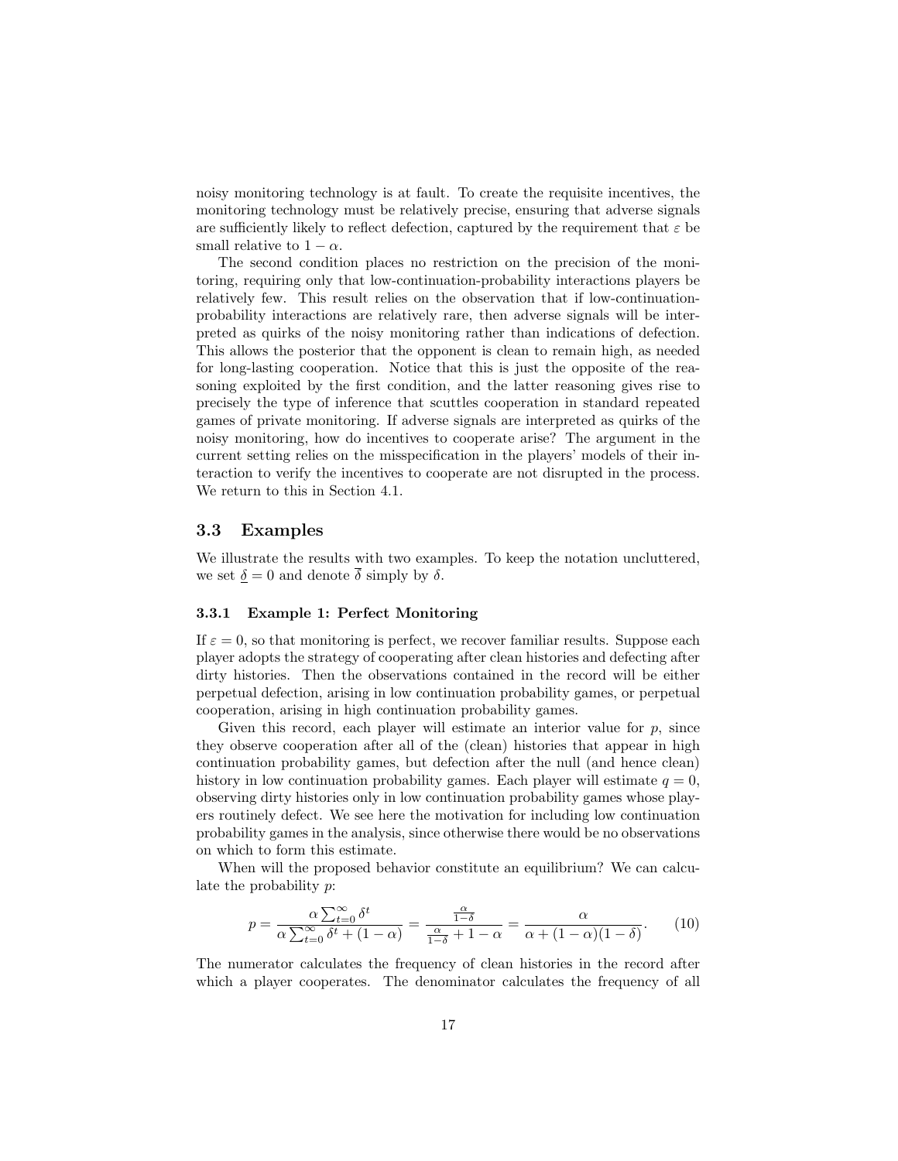noisy monitoring technology is at fault. To create the requisite incentives, the monitoring technology must be relatively precise, ensuring that adverse signals are sufficiently likely to reflect defection, captured by the requirement that  $\varepsilon$  be small relative to  $1 - \alpha$ .

The second condition places no restriction on the precision of the monitoring, requiring only that low-continuation-probability interactions players be relatively few. This result relies on the observation that if low-continuationprobability interactions are relatively rare, then adverse signals will be interpreted as quirks of the noisy monitoring rather than indications of defection. This allows the posterior that the opponent is clean to remain high, as needed for long-lasting cooperation. Notice that this is just the opposite of the reasoning exploited by the first condition, and the latter reasoning gives rise to precisely the type of inference that scuttles cooperation in standard repeated games of private monitoring. If adverse signals are interpreted as quirks of the noisy monitoring, how do incentives to cooperate arise? The argument in the current setting relies on the misspecification in the players' models of their interaction to verify the incentives to cooperate are not disrupted in the process. We return to this in Section 4.1.

### 3.3 Examples

We illustrate the results with two examples. To keep the notation uncluttered, we set  $\delta = 0$  and denote  $\overline{\delta}$  simply by  $\delta$ .

### 3.3.1 Example 1: Perfect Monitoring

If  $\varepsilon = 0$ , so that monitoring is perfect, we recover familiar results. Suppose each player adopts the strategy of cooperating after clean histories and defecting after dirty histories. Then the observations contained in the record will be either perpetual defection, arising in low continuation probability games, or perpetual cooperation, arising in high continuation probability games.

Given this record, each player will estimate an interior value for  $p$ , since they observe cooperation after all of the (clean) histories that appear in high continuation probability games, but defection after the null (and hence clean) history in low continuation probability games. Each player will estimate  $q = 0$ , observing dirty histories only in low continuation probability games whose players routinely defect. We see here the motivation for including low continuation probability games in the analysis, since otherwise there would be no observations on which to form this estimate.

When will the proposed behavior constitute an equilibrium? We can calculate the probability p:

$$
p = \frac{\alpha \sum_{t=0}^{\infty} \delta^t}{\alpha \sum_{t=0}^{\infty} \delta^t + (1 - \alpha)} = \frac{\frac{\alpha}{1 - \delta}}{\frac{\alpha}{1 - \delta} + 1 - \alpha} = \frac{\alpha}{\alpha + (1 - \alpha)(1 - \delta)}.
$$
 (10)

The numerator calculates the frequency of clean histories in the record after which a player cooperates. The denominator calculates the frequency of all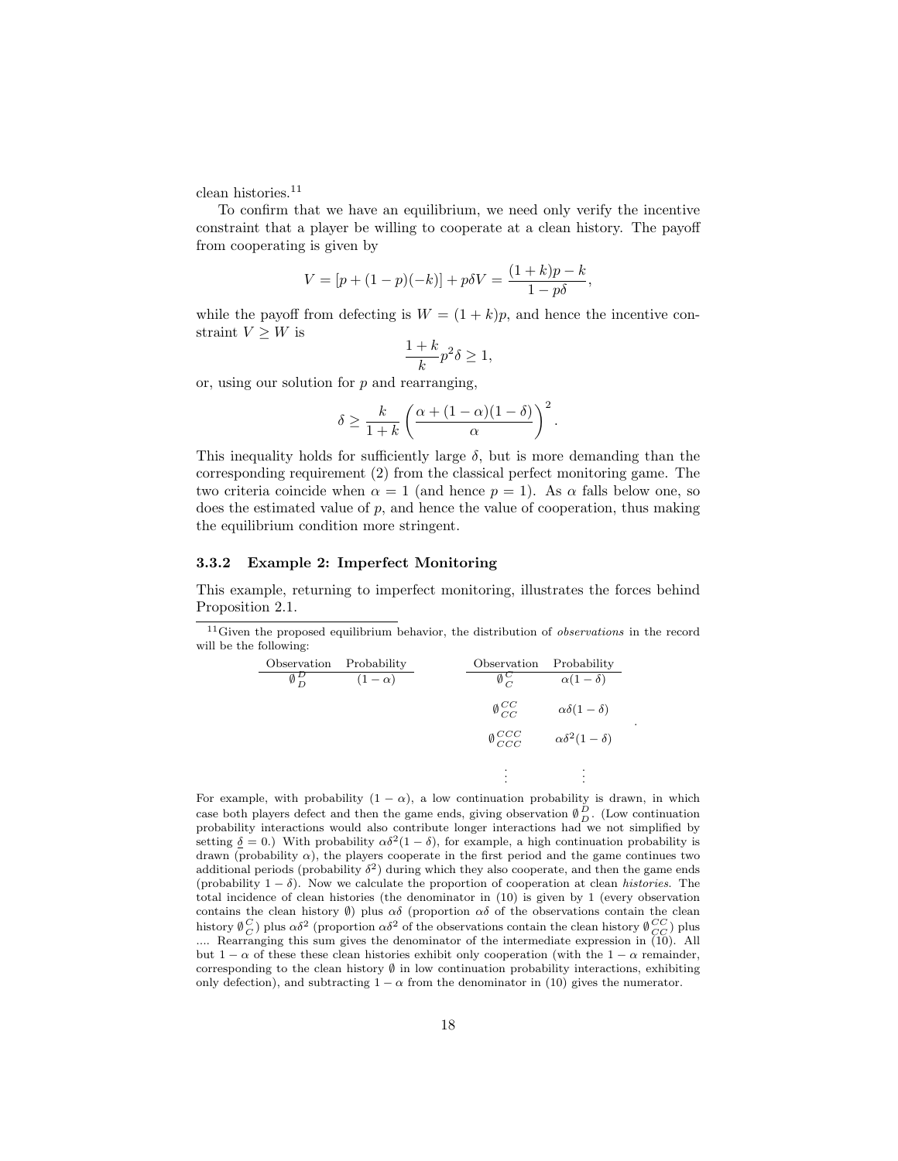clean histories.<sup>11</sup>

To confirm that we have an equilibrium, we need only verify the incentive constraint that a player be willing to cooperate at a clean history. The payoff from cooperating is given by

$$
V = [p + (1 - p)(-k)] + p\delta V = \frac{(1 + k)p - k}{1 - p\delta},
$$

while the payoff from defecting is  $W = (1 + k)p$ , and hence the incentive constraint  $V > W$  is

$$
\frac{1+k}{k}p^2\delta \ge 1,
$$

or, using our solution for p and rearranging,

$$
\delta \geq \frac{k}{1+k} \left( \frac{\alpha + (1-\alpha)(1-\delta)}{\alpha} \right)^2.
$$

This inequality holds for sufficiently large  $\delta$ , but is more demanding than the corresponding requirement (2) from the classical perfect monitoring game. The two criteria coincide when  $\alpha = 1$  (and hence  $p = 1$ ). As  $\alpha$  falls below one, so does the estimated value of  $p$ , and hence the value of cooperation, thus making the equilibrium condition more stringent.

#### 3.3.2 Example 2: Imperfect Monitoring

This example, returning to imperfect monitoring, illustrates the forces behind Proposition 2.1.

<sup>11</sup> Given the proposed equilibrium behavior, the distribution of *observations* in the record will be the following:

| Observation                | Probability  | Observation                | Probability                |
|----------------------------|--------------|----------------------------|----------------------------|
| $\overline{\emptyset}^D_D$ | $(1-\alpha)$ | $\emptyset_C^{\mathbf{C}}$ | $\alpha(1-\delta)$         |
|                            |              | $\emptyset^{CC}_{CC}$      | $\alpha\delta(1-\delta)$   |
|                            |              | $\emptyset^{CCC}_{CCC}$    | $\alpha\delta^2(1-\delta)$ |
|                            |              | ٠<br>$\bullet$<br>٠        | $\bullet$<br>٠             |

.

For example, with probability  $(1 - \alpha)$ , a low continuation probability is drawn, in which case both players defect and then the game ends, giving observation  $\emptyset_D^D$ . (Low continuation probability interactions would also contribute longer interactions had we not simplified by setting  $\delta = 0$ .) With probability  $\alpha \delta^2 (1 - \delta)$ , for example, a high continuation probability is drawn (probability  $\alpha$ ), the players cooperate in the first period and the game continues two additional periods (probability  $\delta^2$ ) during which they also cooperate, and then the game ends (probability  $1 - \delta$ ). Now we calculate the proportion of cooperation at clean *histories*. The total incidence of clean histories (the denominator in (10) is given by 1 (every observation contains the clean history  $\emptyset$ ) plus  $\alpha\delta$  (proportion  $\alpha\delta$  of the observations contain the clean history  $\emptyset_C^C$ ) plus  $\alpha\delta^2$  (proportion  $\alpha\delta^2$  of the observations contain the clean history  $\emptyset_{CC}^{CC}$ ) plus

.... Rearranging this sum gives the denominator of the intermediate expression in (10). All but  $1 - \alpha$  of these these clean histories exhibit only cooperation (with the  $1 - \alpha$  remainder, corresponding to the clean history  $\emptyset$  in low continuation probability interactions, exhibiting only defection), and subtracting  $1 - \alpha$  from the denominator in (10) gives the numerator.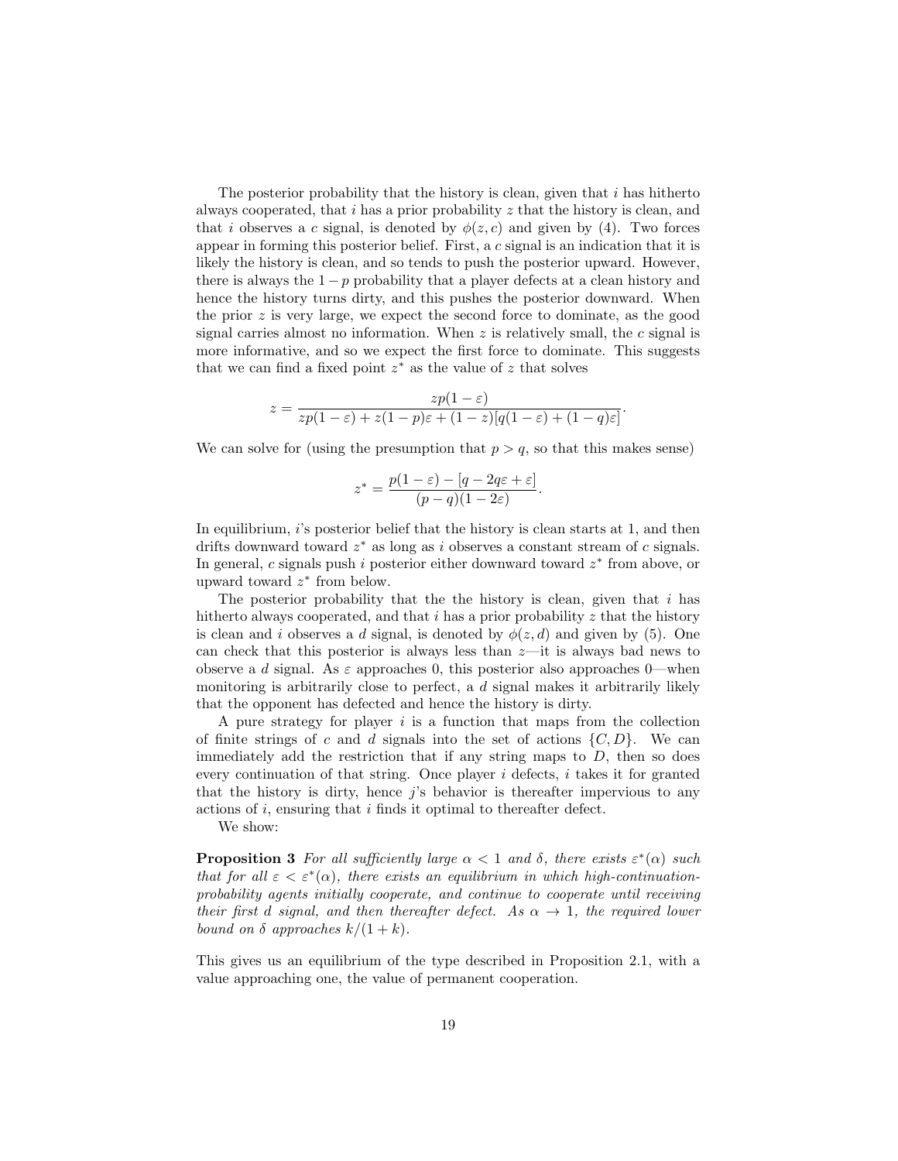The posterior probability that the history is clean, given that  $i$  has hitherto always cooperated, that  $i$  has a prior probability  $z$  that the history is clean, and that i observes a c signal, is denoted by  $\phi(z, c)$  and given by (4). Two forces appear in forming this posterior belief. First, a c signal is an indication that it is likely the history is clean, and so tends to push the posterior upward. However, there is always the  $1 - p$  probability that a player defects at a clean history and hence the history turns dirty, and this pushes the posterior downward. When the prior  $z$  is very large, we expect the second force to dominate, as the good signal carries almost no information. When  $z$  is relatively small, the  $c$  signal is more informative, and so we expect the first force to dominate. This suggests that we can find a fixed point  $z^*$  as the value of z that solves

$$
z = \frac{zp(1-\varepsilon)}{zp(1-\varepsilon) + z(1-p)\varepsilon + (1-z)[q(1-\varepsilon) + (1-q)\varepsilon]}.
$$

We can solve for (using the presumption that  $p > q$ , so that this makes sense)

$$
z^* = \frac{p(1-\varepsilon) - [q - 2q\varepsilon + \varepsilon]}{(p-q)(1-2\varepsilon)}.
$$

In equilibrium, i's posterior belief that the history is clean starts at 1, and then drifts downward toward  $z^*$  as long as i observes a constant stream of c signals. In general, c signals push i posterior either downward toward  $z^*$  from above, or upward toward  $z^*$  from below.

The posterior probability that the the history is clean, given that  $i$  has hitherto always cooperated, and that  $i$  has a prior probability  $z$  that the history is clean and i observes a d signal, is denoted by  $\phi(z, d)$  and given by (5). One can check that this posterior is always less than  $z$ —it is always bad news to observe a d signal. As  $\varepsilon$  approaches 0, this posterior also approaches 0—when monitoring is arbitrarily close to perfect, a d signal makes it arbitrarily likely that the opponent has defected and hence the history is dirty.

A pure strategy for player  $i$  is a function that maps from the collection of finite strings of c and d signals into the set of actions  $\{C, D\}$ . We can immediately add the restriction that if any string maps to  $D$ , then so does every continuation of that string. Once player  $i$  defects,  $i$  takes it for granted that the history is dirty, hence  $j$ 's behavior is thereafter impervious to any actions of i, ensuring that i finds it optimal to thereafter defect.

We show:

**Proposition 3** For all sufficiently large  $\alpha < 1$  and  $\delta$ , there exists  $\varepsilon^*(\alpha)$  such that for all  $\varepsilon < \varepsilon^*(\alpha)$ , there exists an equilibrium in which high-continuationprobability agents initially cooperate, and continue to cooperate until receiving their first d signal, and then thereafter defect. As  $\alpha \rightarrow 1$ , the required lower bound on  $\delta$  approaches  $k/(1+k)$ .

This gives us an equilibrium of the type described in Proposition 2.1, with a value approaching one, the value of permanent cooperation.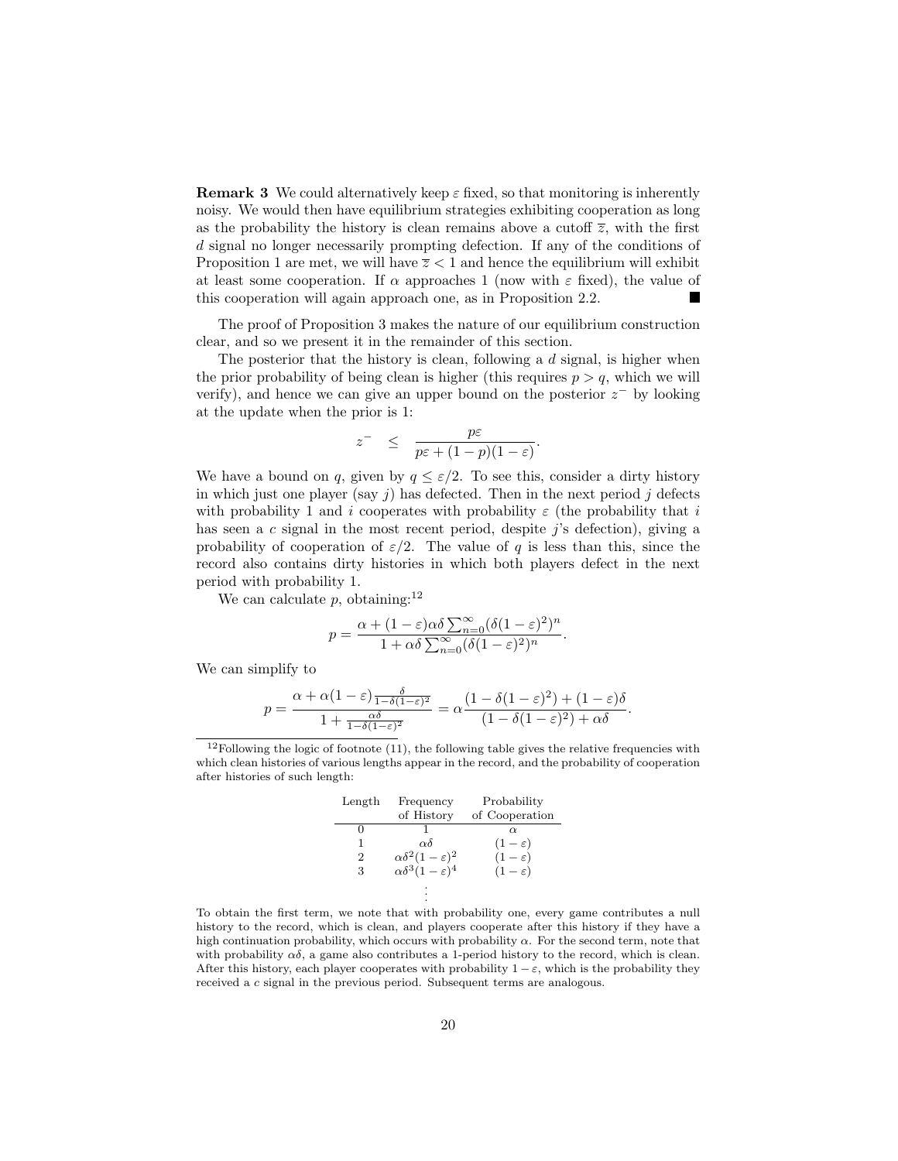**Remark 3** We could alternatively keep  $\varepsilon$  fixed, so that monitoring is inherently noisy. We would then have equilibrium strategies exhibiting cooperation as long as the probability the history is clean remains above a cutoff  $\overline{z}$ , with the first d signal no longer necessarily prompting defection. If any of the conditions of Proposition 1 are met, we will have  $\overline{z}$  < 1 and hence the equilibrium will exhibit at least some cooperation. If  $\alpha$  approaches 1 (now with  $\varepsilon$  fixed), the value of this cooperation will again approach one, as in Proposition 2.2.

The proof of Proposition 3 makes the nature of our equilibrium construction clear, and so we present it in the remainder of this section.

The posterior that the history is clean, following a  $d$  signal, is higher when the prior probability of being clean is higher (this requires  $p > q$ , which we will verify), and hence we can give an upper bound on the posterior  $z^-$  by looking at the update when the prior is 1:

$$
z^{-} \leq \frac{p\varepsilon}{p\varepsilon + (1-p)(1-\varepsilon)}.
$$

We have a bound on q, given by  $q \leq \varepsilon/2$ . To see this, consider a dirty history in which just one player (say j) has defected. Then in the next period j defects with probability 1 and i cooperates with probability  $\varepsilon$  (the probability that i has seen a c signal in the most recent period, despite j's defection), giving a probability of cooperation of  $\varepsilon/2$ . The value of q is less than this, since the record also contains dirty histories in which both players defect in the next period with probability 1.

We can calculate p, obtaining:<sup>12</sup>

$$
p = \frac{\alpha + (1 - \varepsilon)\alpha\delta \sum_{n=0}^{\infty} (\delta(1 - \varepsilon)^2)^n}{1 + \alpha\delta \sum_{n=0}^{\infty} (\delta(1 - \varepsilon)^2)^n}.
$$

We can simplify to

$$
p = \frac{\alpha + \alpha(1-\varepsilon)\frac{\delta}{1-\delta(1-\varepsilon)^2}}{1 + \frac{\alpha\delta}{1-\delta(1-\varepsilon)^2}} = \alpha\frac{(1-\delta(1-\varepsilon)^2) + (1-\varepsilon)\delta}{(1-\delta(1-\varepsilon)^2) + \alpha\delta}.
$$

 $12$ Following the logic of footnote (11), the following table gives the relative frequencies with which clean histories of various lengths appear in the record, and the probability of cooperation after histories of such length:

| Length         | Frequency                         | Probability       |  |
|----------------|-----------------------------------|-------------------|--|
|                | of History                        | of Cooperation    |  |
|                |                                   | $\alpha$          |  |
| 1              | $\alpha\delta$                    | $(1-\varepsilon)$ |  |
| $\overline{2}$ | $\alpha\delta^2(1-\varepsilon)^2$ | $(1-\varepsilon)$ |  |
| 3              | $\alpha\delta^3(1-\varepsilon)^4$ | $(1-\varepsilon)$ |  |
|                |                                   |                   |  |
|                |                                   |                   |  |

To obtain the first term, we note that with probability one, every game contributes a null history to the record, which is clean, and players cooperate after this history if they have a high continuation probability, which occurs with probability  $\alpha$ . For the second term, note that with probability  $\alpha\delta$ , a game also contributes a 1-period history to the record, which is clean. After this history, each player cooperates with probability  $1 - \varepsilon$ , which is the probability they received a c signal in the previous period. Subsequent terms are analogous.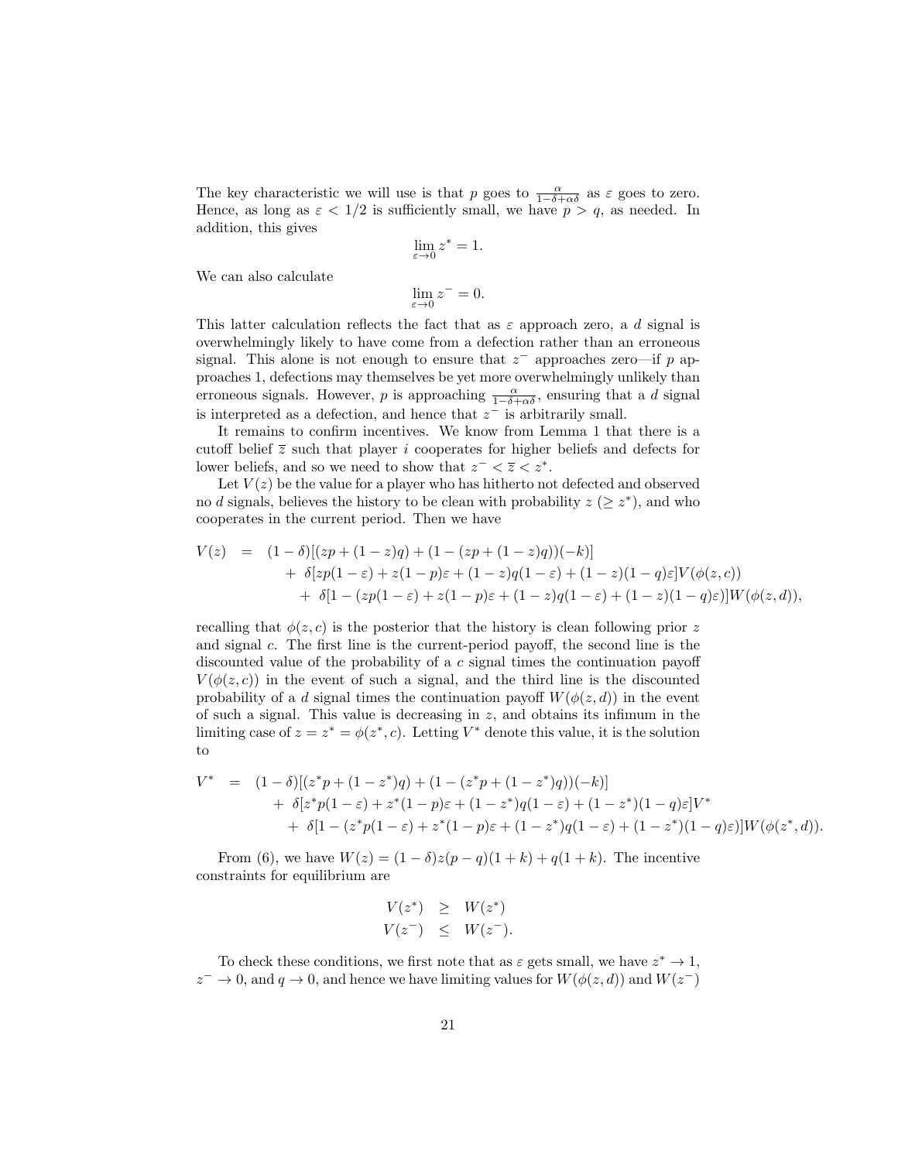The key characteristic we will use is that p goes to  $\frac{\alpha}{1-\delta+\alpha\delta}$  as  $\varepsilon$  goes to zero. Hence, as long as  $\varepsilon < 1/2$  is sufficiently small, we have  $p > q$ , as needed. In addition, this gives

$$
\lim_{\varepsilon \to 0} z^* = 1.
$$

We can also calculate

$$
\lim_{\varepsilon \to 0} z^- = 0.
$$

This latter calculation reflects the fact that as  $\varepsilon$  approach zero, a d signal is overwhelmingly likely to have come from a defection rather than an erroneous signal. This alone is not enough to ensure that  $z^-$  approaches zero—if p approaches 1, defections may themselves be yet more overwhelmingly unlikely than erroneous signals. However, p is approaching  $\frac{\alpha}{1-\delta+\alpha\delta}$ , ensuring that a d signal is interpreted as a defection, and hence that  $z^-$  is arbitrarily small.

It remains to confirm incentives. We know from Lemma 1 that there is a cutoff belief  $\overline{z}$  such that player i cooperates for higher beliefs and defects for lower beliefs, and so we need to show that  $z^- < \overline{z} < z^*$ .

Let  $V(z)$  be the value for a player who has hitherto not defected and observed no d signals, believes the history to be clean with probability  $z \geq z^*$ ), and who cooperates in the current period. Then we have

$$
V(z) = (1 - \delta)[(zp + (1 - z)q) + (1 - (zp + (1 - z)q))(-k)]+ \delta[zp(1 - \varepsilon) + z(1 - p)\varepsilon + (1 - z)q(1 - \varepsilon) + (1 - z)(1 - q)\varepsilon]V(\phi(z, c))+ \delta[1 - (zp(1 - \varepsilon) + z(1 - p)\varepsilon + (1 - z)q(1 - \varepsilon) + (1 - z)(1 - q)\varepsilon)]W(\phi(z, d)),
$$

recalling that  $\phi(z, c)$  is the posterior that the history is clean following prior z and signal c. The first line is the current-period payoff, the second line is the discounted value of the probability of a c signal times the continuation payoff  $V(\phi(z, c))$  in the event of such a signal, and the third line is the discounted probability of a d signal times the continuation payoff  $W(\phi(z, d))$  in the event of such a signal. This value is decreasing in  $z$ , and obtains its infimum in the limiting case of  $z = z^* = \phi(z^*, c)$ . Letting  $V^*$  denote this value, it is the solution to

$$
V^* = (1 - \delta)[(z^*p + (1 - z^*)q) + (1 - (z^*p + (1 - z^*)q))(-k)]
$$
  
+ 
$$
\delta[z^*p(1 - \varepsilon) + z^*(1 - p)\varepsilon + (1 - z^*)q(1 - \varepsilon) + (1 - z^*)(1 - q)\varepsilon]V^*
$$
  
+ 
$$
\delta[1 - (z^*p(1 - \varepsilon) + z^*(1 - p)\varepsilon + (1 - z^*)q(1 - \varepsilon) + (1 - z^*)(1 - q)\varepsilon)]W(\phi(z^*, d)).
$$

From (6), we have  $W(z) = (1 - \delta)z(p - q)(1 + k) + q(1 + k)$ . The incentive constraints for equilibrium are

$$
V(z^*) \geq W(z^*)
$$
  

$$
V(z^-) \leq W(z^-).
$$

To check these conditions, we first note that as  $\varepsilon$  gets small, we have  $z^* \to 1$ ,  $z^- \to 0$ , and  $q \to 0$ , and hence we have limiting values for  $W(\phi(z, d))$  and  $W(z^-)$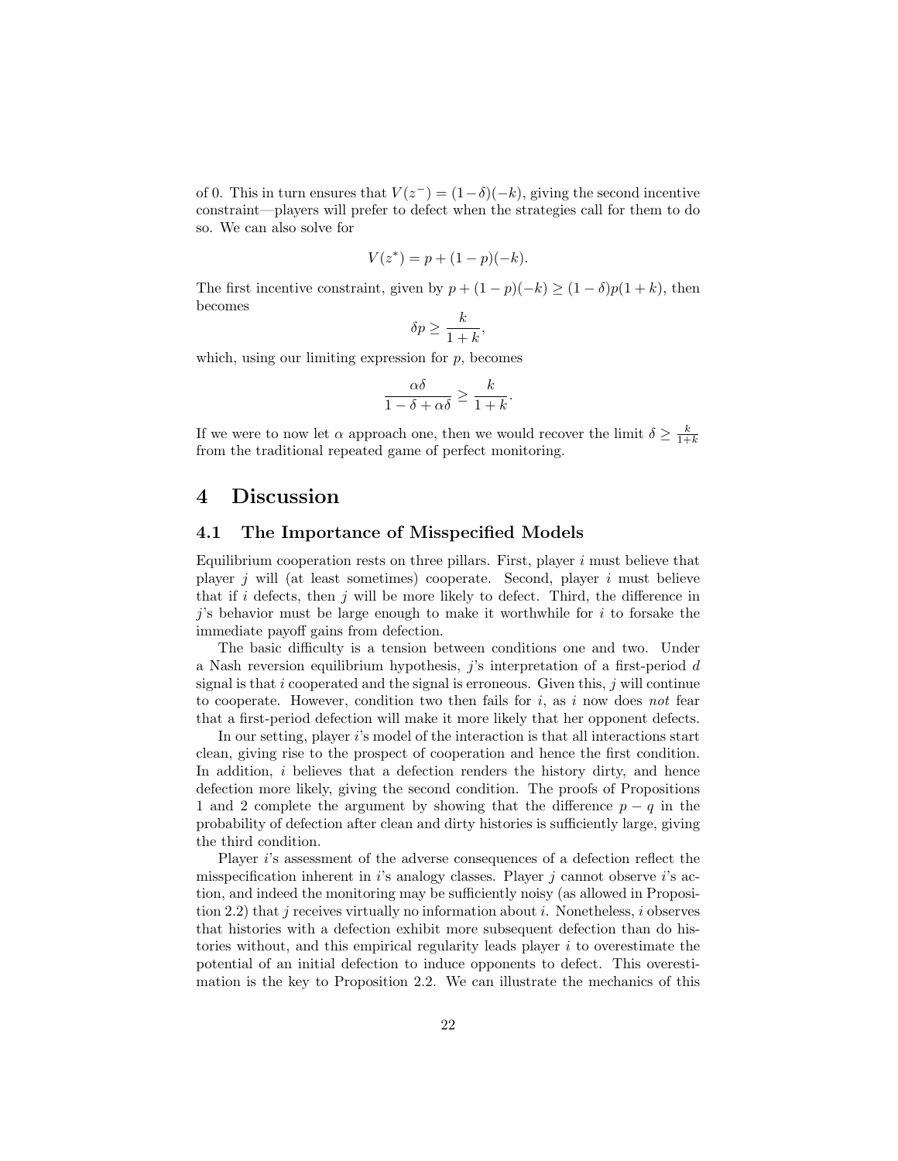of 0. This in turn ensures that  $V(z^-) = (1-\delta)(-k)$ , giving the second incentive constraint—players will prefer to defect when the strategies call for them to do so. We can also solve for

$$
V(z^*) = p + (1 - p)(-k).
$$

The first incentive constraint, given by  $p + (1 - p)(-k) \ge (1 - \delta)p(1 + k)$ , then becomes

$$
\delta p \ge \frac{k}{1+k},
$$

which, using our limiting expression for  $p$ , becomes

$$
\frac{\alpha\delta}{1-\delta+\alpha\delta} \ge \frac{k}{1+k}.
$$

If we were to now let  $\alpha$  approach one, then we would recover the limit  $\delta \geq \frac{k}{1+k}$ from the traditional repeated game of perfect monitoring.

## 4 Discussion

### 4.1 The Importance of Misspecified Models

Equilibrium cooperation rests on three pillars. First, player i must believe that player j will (at least sometimes) cooperate. Second, player i must believe that if i defects, then j will be more likely to defect. Third, the difference in  $j$ 's behavior must be large enough to make it worthwhile for  $i$  to forsake the immediate payoff gains from defection.

The basic difficulty is a tension between conditions one and two. Under a Nash reversion equilibrium hypothesis,  $j$ 's interpretation of a first-period  $d$ signal is that  $i$  cooperated and the signal is erroneous. Given this,  $j$  will continue to cooperate. However, condition two then fails for  $i$ , as  $i$  now does not fear that a first-period defection will make it more likely that her opponent defects.

In our setting, player  $i$ 's model of the interaction is that all interactions start clean, giving rise to the prospect of cooperation and hence the first condition. In addition, i believes that a defection renders the history dirty, and hence defection more likely, giving the second condition. The proofs of Propositions 1 and 2 complete the argument by showing that the difference  $p - q$  in the probability of defection after clean and dirty histories is sufficiently large, giving the third condition.

Player i's assessment of the adverse consequences of a defection reflect the misspecification inherent in i's analogy classes. Player j cannot observe i's action, and indeed the monitoring may be sufficiently noisy (as allowed in Proposition 2.2) that  $j$  receives virtually no information about  $i$ . Nonetheless,  $i$  observes that histories with a defection exhibit more subsequent defection than do histories without, and this empirical regularity leads player i to overestimate the potential of an initial defection to induce opponents to defect. This overestimation is the key to Proposition 2.2. We can illustrate the mechanics of this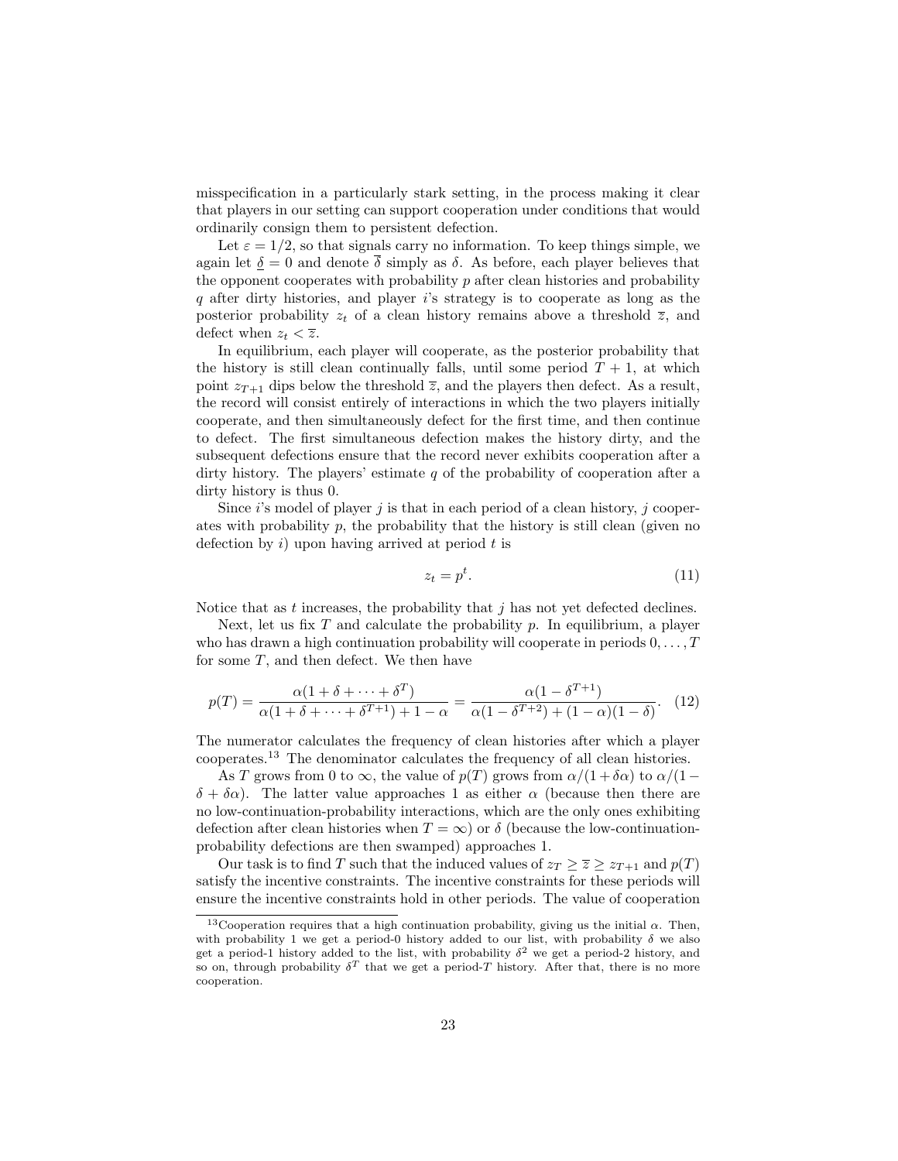misspecification in a particularly stark setting, in the process making it clear that players in our setting can support cooperation under conditions that would ordinarily consign them to persistent defection.

Let  $\varepsilon = 1/2$ , so that signals carry no information. To keep things simple, we again let  $\delta = 0$  and denote  $\overline{\delta}$  simply as  $\delta$ . As before, each player believes that the opponent cooperates with probability  $p$  after clean histories and probability q after dirty histories, and player  $i$ 's strategy is to cooperate as long as the posterior probability  $z_t$  of a clean history remains above a threshold  $\overline{z}$ , and defect when  $z_t < \overline{z}$ .

In equilibrium, each player will cooperate, as the posterior probability that the history is still clean continually falls, until some period  $T + 1$ , at which point  $z_{T+1}$  dips below the threshold  $\overline{z}$ , and the players then defect. As a result, the record will consist entirely of interactions in which the two players initially cooperate, and then simultaneously defect for the first time, and then continue to defect. The first simultaneous defection makes the history dirty, and the subsequent defections ensure that the record never exhibits cooperation after a dirty history. The players' estimate  $q$  of the probability of cooperation after a dirty history is thus 0.

Since  $i$ 's model of player  $j$  is that in each period of a clean history,  $j$  cooperates with probability  $p$ , the probability that the history is still clean (given no defection by  $i)$  upon having arrived at period  $t$  is

$$
z_t = p^t. \tag{11}
$$

Notice that as t increases, the probability that  $j$  has not yet defected declines.

Next, let us fix T and calculate the probability p. In equilibrium, a player who has drawn a high continuation probability will cooperate in periods  $0, \ldots, T$ for some  $T$ , and then defect. We then have

$$
p(T) = \frac{\alpha(1+\delta+\cdots+\delta^T)}{\alpha(1+\delta+\cdots+\delta^{T+1})+1-\alpha} = \frac{\alpha(1-\delta^{T+1})}{\alpha(1-\delta^{T+2})+(1-\alpha)(1-\delta)}.\tag{12}
$$

The numerator calculates the frequency of clean histories after which a player cooperates.<sup>13</sup> The denominator calculates the frequency of all clean histories.

As T grows from 0 to  $\infty$ , the value of  $p(T)$  grows from  $\alpha/(1+\delta\alpha)$  to  $\alpha/(1-\delta\alpha)$  $\delta + \delta \alpha$ ). The latter value approaches 1 as either  $\alpha$  (because then there are no low-continuation-probability interactions, which are the only ones exhibiting defection after clean histories when  $T = \infty$ ) or  $\delta$  (because the low-continuationprobability defections are then swamped) approaches 1.

Our task is to find T such that the induced values of  $z_T \geq \overline{z} \geq z_{T+1}$  and  $p(T)$ satisfy the incentive constraints. The incentive constraints for these periods will ensure the incentive constraints hold in other periods. The value of cooperation

<sup>&</sup>lt;sup>13</sup>Cooperation requires that a high continuation probability, giving us the initial  $\alpha$ . Then, with probability 1 we get a period-0 history added to our list, with probability  $\delta$  we also get a period-1 history added to the list, with probability  $\delta^2$  we get a period-2 history, and so on, through probability  $\delta^T$  that we get a period-T history. After that, there is no more cooperation.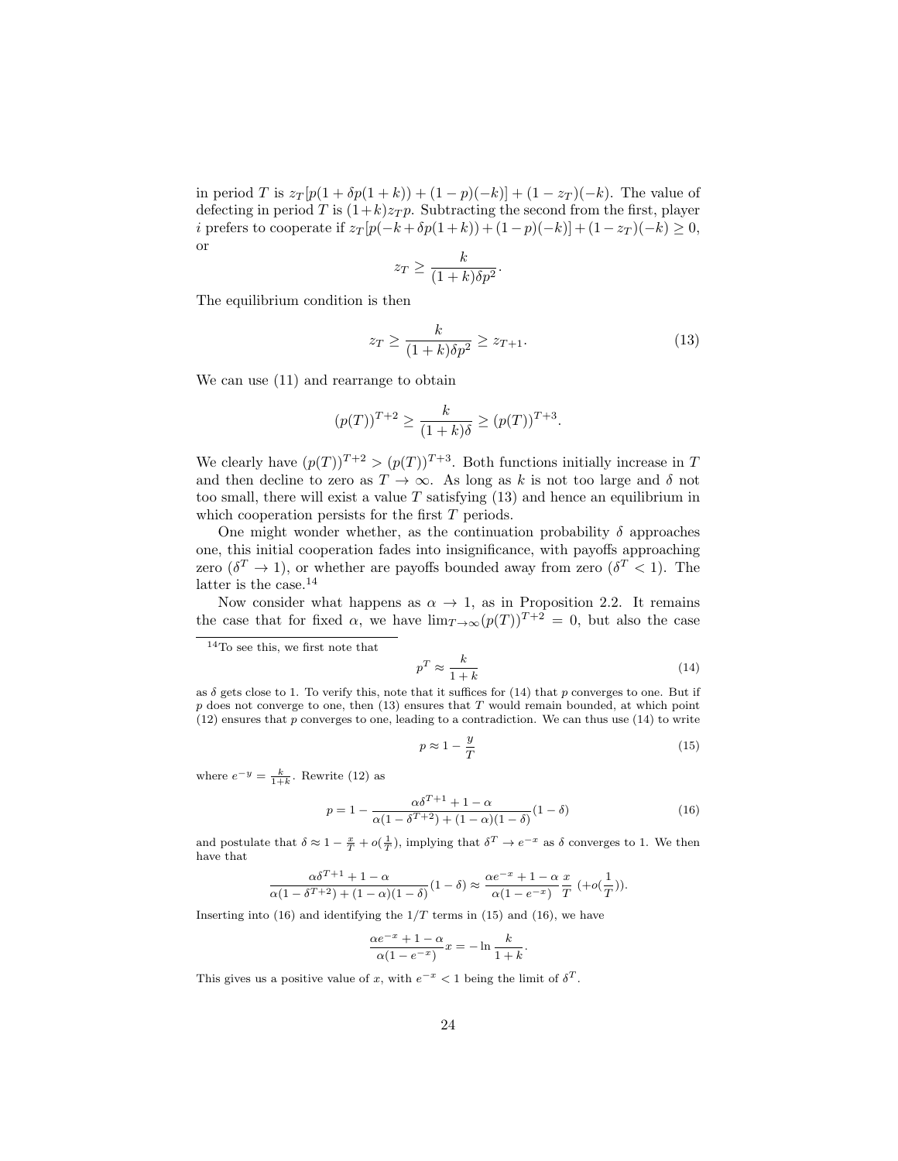in period T is  $z_T[p(1 + \delta p(1 + k)) + (1 - p)(-k)] + (1 - z_T)(-k)$ . The value of defecting in period T is  $(1+k)z_T p$ . Subtracting the second from the first, player i prefers to cooperate if  $z_T [p(-k+\delta p(1+k)) + (1-p)(-k)] + (1-z_T)(-k) \ge 0$ , or

$$
z_T \ge \frac{k}{(1+k)\delta p^2}.
$$

The equilibrium condition is then

$$
z_T \ge \frac{k}{(1+k)\delta p^2} \ge z_{T+1}.\tag{13}
$$

We can use (11) and rearrange to obtain

$$
(p(T))^{T+2} \ge \frac{k}{(1+k)\delta} \ge (p(T))^{T+3}.
$$

We clearly have  $(p(T))^{T+2} > (p(T))^{T+3}$ . Both functions initially increase in T and then decline to zero as  $T \rightarrow \infty$ . As long as k is not too large and  $\delta$  not too small, there will exist a value  $T$  satisfying  $(13)$  and hence an equilibrium in which cooperation persists for the first T periods.

One might wonder whether, as the continuation probability  $\delta$  approaches one, this initial cooperation fades into insignificance, with payoffs approaching zero  $(\delta^T \to 1)$ , or whether are payoffs bounded away from zero  $(\delta^T < 1)$ . The latter is the case.<sup>14</sup>

Now consider what happens as  $\alpha \to 1$ , as in Proposition 2.2. It remains the case that for fixed  $\alpha$ , we have  $\lim_{T\to\infty} (p(T))^{T+2} = 0$ , but also the case

$$
p^T \approx \frac{k}{1+k} \tag{14}
$$

as  $\delta$  gets close to 1. To verify this, note that it suffices for (14) that p converges to one. But if  $p$  does not converge to one, then  $(13)$  ensures that  $T$  would remain bounded, at which point  $(12)$  ensures that p converges to one, leading to a contradiction. We can thus use  $(14)$  to write

$$
p \approx 1 - \frac{y}{T} \tag{15}
$$

where  $e^{-y} = \frac{k}{1+k}$ . Rewrite (12) as

$$
p = 1 - \frac{\alpha \delta^{T+1} + 1 - \alpha}{\alpha (1 - \delta^{T+2}) + (1 - \alpha)(1 - \delta)} (1 - \delta)
$$
\n(16)

and postulate that  $\delta \approx 1 - \frac{x}{T} + o(\frac{1}{T})$ , implying that  $\delta^T \to e^{-x}$  as  $\delta$  converges to 1. We then have that

$$
\frac{\alpha\delta^{T+1}+1-\alpha}{\alpha(1-\delta^{T+2})+(1-\alpha)(1-\delta)}(1-\delta)\approx \frac{\alpha e^{-x}+1-\alpha}{\alpha(1-e^{-x})}\frac{x}{T}\,\,(+o(\frac{1}{T})).
$$

Inserting into (16) and identifying the  $1/T$  terms in (15) and (16), we have

$$
\frac{\alpha e^{-x} + 1 - \alpha}{\alpha (1 - e^{-x})} x = -\ln \frac{k}{1 + k}.
$$

This gives us a positive value of x, with  $e^{-x} < 1$  being the limit of  $\delta^T$ .

<sup>14</sup>To see this, we first note that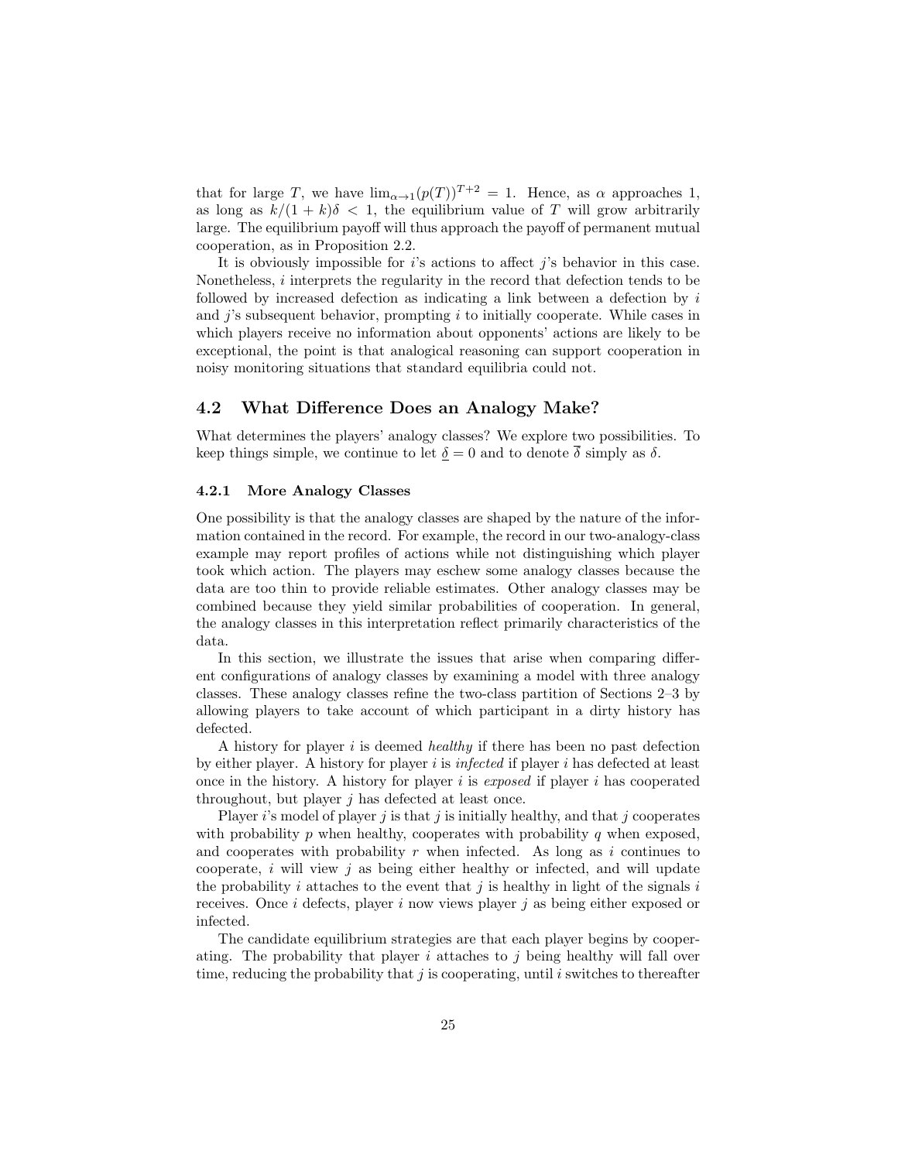that for large T, we have  $\lim_{\alpha\to 1}(p(T))^{T+2} = 1$ . Hence, as  $\alpha$  approaches 1, as long as  $k/(1 + k)\delta < 1$ , the equilibrium value of T will grow arbitrarily large. The equilibrium payoff will thus approach the payoff of permanent mutual cooperation, as in Proposition 2.2.

It is obviously impossible for  $i$ 's actions to affect  $i$ 's behavior in this case. Nonetheless, i interprets the regularity in the record that defection tends to be followed by increased defection as indicating a link between a defection by  $i$ and  $j$ 's subsequent behavior, prompting  $i$  to initially cooperate. While cases in which players receive no information about opponents' actions are likely to be exceptional, the point is that analogical reasoning can support cooperation in noisy monitoring situations that standard equilibria could not.

### 4.2 What Difference Does an Analogy Make?

What determines the players' analogy classes? We explore two possibilities. To keep things simple, we continue to let  $\delta = 0$  and to denote  $\delta$  simply as  $\delta$ .

#### 4.2.1 More Analogy Classes

One possibility is that the analogy classes are shaped by the nature of the information contained in the record. For example, the record in our two-analogy-class example may report profiles of actions while not distinguishing which player took which action. The players may eschew some analogy classes because the data are too thin to provide reliable estimates. Other analogy classes may be combined because they yield similar probabilities of cooperation. In general, the analogy classes in this interpretation reflect primarily characteristics of the data.

In this section, we illustrate the issues that arise when comparing different configurations of analogy classes by examining a model with three analogy classes. These analogy classes refine the two-class partition of Sections 2–3 by allowing players to take account of which participant in a dirty history has defected.

A history for player i is deemed healthy if there has been no past defection by either player. A history for player  $i$  is infected if player  $i$  has defected at least once in the history. A history for player i is exposed if player i has cooperated throughout, but player  $j$  has defected at least once.

Player i's model of player j is that j is initially healthy, and that j cooperates with probability  $p$  when healthy, cooperates with probability  $q$  when exposed, and cooperates with probability  $r$  when infected. As long as  $i$  continues to cooperate,  $i$  will view  $j$  as being either healthy or infected, and will update the probability i attaches to the event that j is healthy in light of the signals i receives. Once i defects, player i now views player j as being either exposed or infected.

The candidate equilibrium strategies are that each player begins by cooperating. The probability that player i attaches to j being healthy will fall over time, reducing the probability that  $j$  is cooperating, until  $i$  switches to thereafter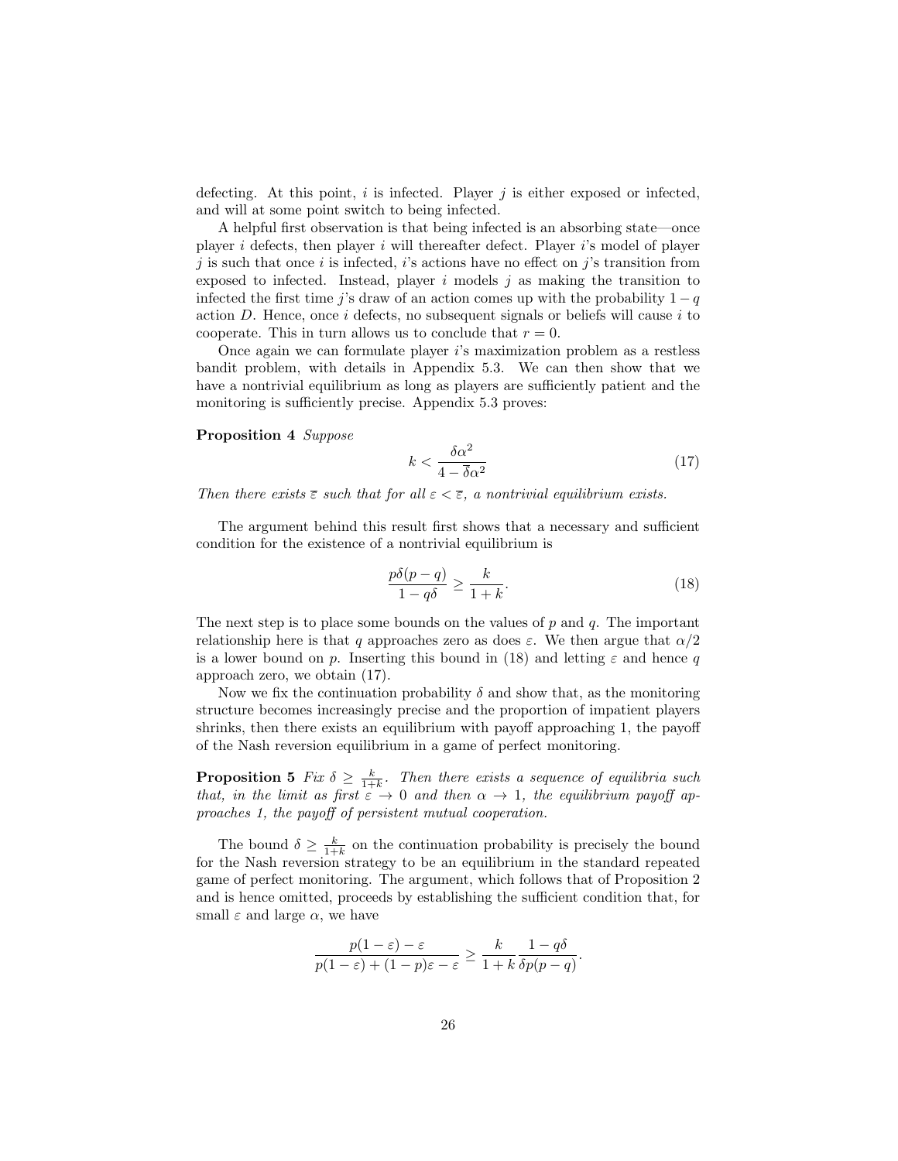defecting. At this point,  $i$  is infected. Player  $j$  is either exposed or infected, and will at some point switch to being infected.

A helpful first observation is that being infected is an absorbing state—once player  $i$  defects, then player  $i$  will thereafter defect. Player  $i$ 's model of player j is such that once i is infected, i's actions have no effect on j's transition from exposed to infected. Instead, player  $i$  models  $j$  as making the transition to infected the first time j's draw of an action comes up with the probability  $1 - q$ action  $D$ . Hence, once i defects, no subsequent signals or beliefs will cause i to cooperate. This in turn allows us to conclude that  $r = 0$ .

Once again we can formulate player i's maximization problem as a restless bandit problem, with details in Appendix 5.3. We can then show that we have a nontrivial equilibrium as long as players are sufficiently patient and the monitoring is sufficiently precise. Appendix 5.3 proves:

#### Proposition 4 Suppose

$$
k < \frac{\delta \alpha^2}{4 - \overline{\delta} \alpha^2} \tag{17}
$$

Then there exists  $\overline{\varepsilon}$  such that for all  $\varepsilon < \overline{\varepsilon}$ , a nontrivial equilibrium exists.

The argument behind this result first shows that a necessary and sufficient condition for the existence of a nontrivial equilibrium is

$$
\frac{p\delta(p-q)}{1-q\delta} \ge \frac{k}{1+k}.\tag{18}
$$

The next step is to place some bounds on the values of  $p$  and  $q$ . The important relationship here is that q approaches zero as does  $\varepsilon$ . We then argue that  $\alpha/2$ is a lower bound on p. Inserting this bound in (18) and letting  $\varepsilon$  and hence q approach zero, we obtain (17).

Now we fix the continuation probability  $\delta$  and show that, as the monitoring structure becomes increasingly precise and the proportion of impatient players shrinks, then there exists an equilibrium with payoff approaching 1, the payoff of the Nash reversion equilibrium in a game of perfect monitoring.

**Proposition 5** Fix  $\delta \geq \frac{k}{1+k}$ . Then there exists a sequence of equilibria such that, in the limit as first  $\varepsilon \to 0$  and then  $\alpha \to 1$ , the equilibrium payoff approaches 1, the payoff of persistent mutual cooperation.

The bound  $\delta \geq \frac{k}{1+k}$  on the continuation probability is precisely the bound for the Nash reversion strategy to be an equilibrium in the standard repeated game of perfect monitoring. The argument, which follows that of Proposition 2 and is hence omitted, proceeds by establishing the sufficient condition that, for small  $\varepsilon$  and large  $\alpha$ , we have

$$
\frac{p(1-\varepsilon)-\varepsilon}{p(1-\varepsilon)+(1-p)\varepsilon-\varepsilon} \ge \frac{k}{1+k} \frac{1-q\delta}{\delta p(p-q)}.
$$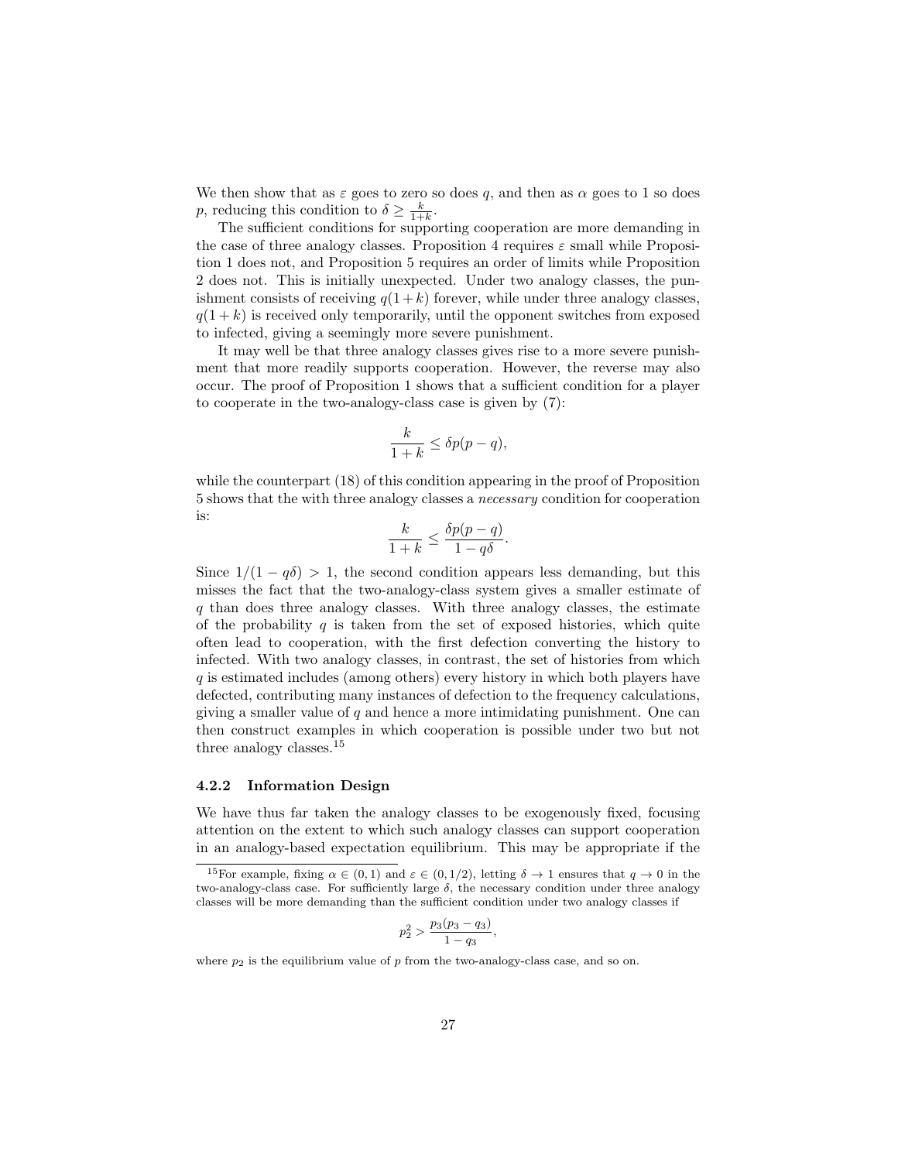We then show that as  $\varepsilon$  goes to zero so does q, and then as  $\alpha$  goes to 1 so does p, reducing this condition to  $\delta \geq \frac{k}{1+k}$ .

The sufficient conditions for supporting cooperation are more demanding in the case of three analogy classes. Proposition 4 requires  $\varepsilon$  small while Proposition 1 does not, and Proposition 5 requires an order of limits while Proposition 2 does not. This is initially unexpected. Under two analogy classes, the punishment consists of receiving  $q(1 + k)$  forever, while under three analogy classes,  $q(1 + k)$  is received only temporarily, until the opponent switches from exposed to infected, giving a seemingly more severe punishment.

It may well be that three analogy classes gives rise to a more severe punishment that more readily supports cooperation. However, the reverse may also occur. The proof of Proposition 1 shows that a sufficient condition for a player to cooperate in the two-analogy-class case is given by (7):

$$
\frac{k}{1+k} \le \delta p(p-q),
$$

while the counterpart (18) of this condition appearing in the proof of Proposition 5 shows that the with three analogy classes a necessary condition for cooperation is:

$$
\frac{k}{1+k} \le \frac{\delta p(p-q)}{1-q\delta}.
$$

Since  $1/(1 - q\delta) > 1$ , the second condition appears less demanding, but this misses the fact that the two-analogy-class system gives a smaller estimate of q than does three analogy classes. With three analogy classes, the estimate of the probability  $q$  is taken from the set of exposed histories, which quite often lead to cooperation, with the first defection converting the history to infected. With two analogy classes, in contrast, the set of histories from which q is estimated includes (among others) every history in which both players have defected, contributing many instances of defection to the frequency calculations, giving a smaller value of  $q$  and hence a more intimidating punishment. One can then construct examples in which cooperation is possible under two but not three analogy classes.<sup>15</sup>

#### 4.2.2 Information Design

We have thus far taken the analogy classes to be exogenously fixed, focusing attention on the extent to which such analogy classes can support cooperation in an analogy-based expectation equilibrium. This may be appropriate if the

$$
p_2^2 > \frac{p_3(p_3 - q_3)}{1 - q_3},
$$

where  $p_2$  is the equilibrium value of p from the two-analogy-class case, and so on.

<sup>&</sup>lt;sup>15</sup>For example, fixing  $\alpha \in (0,1)$  and  $\varepsilon \in (0,1/2)$ , letting  $\delta \to 1$  ensures that  $q \to 0$  in the two-analogy-class case. For sufficiently large  $\delta$ , the necessary condition under three analogy classes will be more demanding than the sufficient condition under two analogy classes if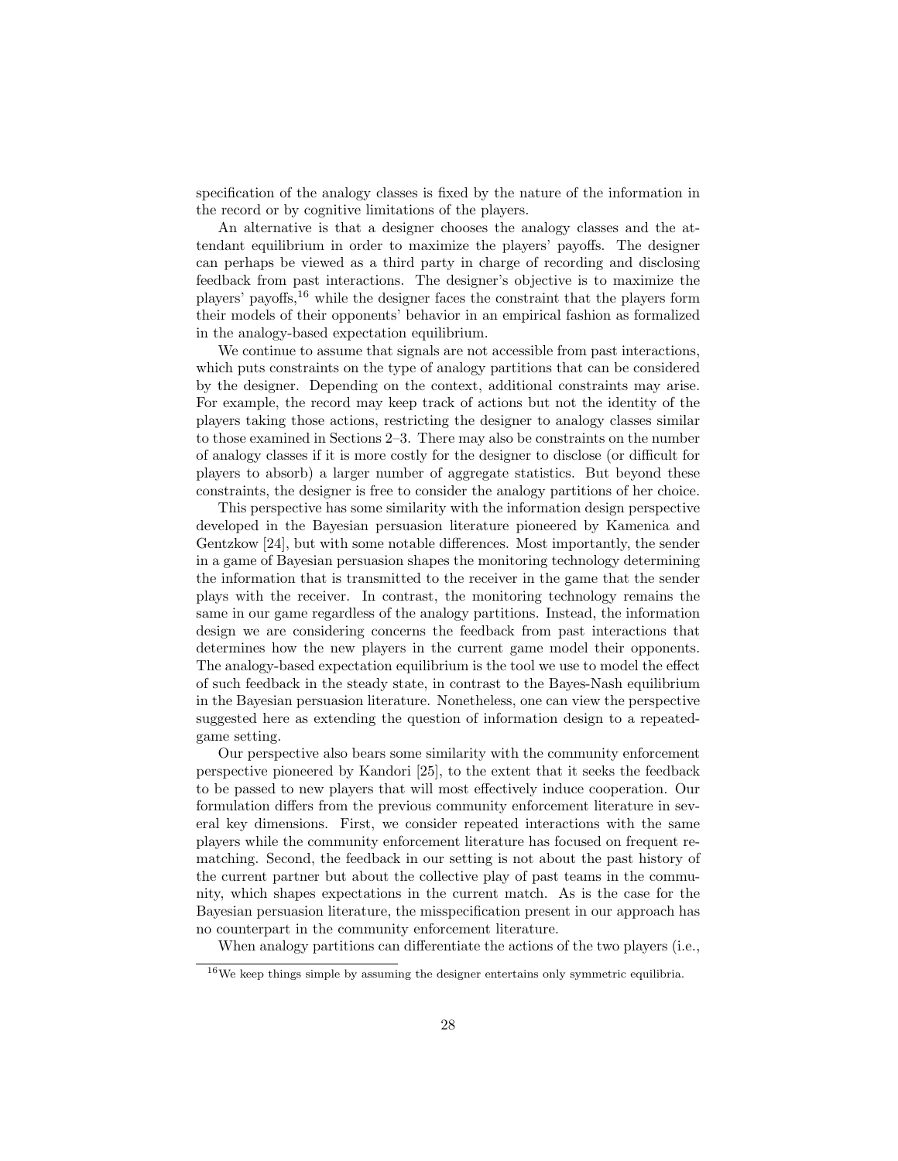specification of the analogy classes is fixed by the nature of the information in the record or by cognitive limitations of the players.

An alternative is that a designer chooses the analogy classes and the attendant equilibrium in order to maximize the players' payoffs. The designer can perhaps be viewed as a third party in charge of recording and disclosing feedback from past interactions. The designer's objective is to maximize the players' payoffs,<sup>16</sup> while the designer faces the constraint that the players form their models of their opponents' behavior in an empirical fashion as formalized in the analogy-based expectation equilibrium.

We continue to assume that signals are not accessible from past interactions, which puts constraints on the type of analogy partitions that can be considered by the designer. Depending on the context, additional constraints may arise. For example, the record may keep track of actions but not the identity of the players taking those actions, restricting the designer to analogy classes similar to those examined in Sections 2–3. There may also be constraints on the number of analogy classes if it is more costly for the designer to disclose (or difficult for players to absorb) a larger number of aggregate statistics. But beyond these constraints, the designer is free to consider the analogy partitions of her choice.

This perspective has some similarity with the information design perspective developed in the Bayesian persuasion literature pioneered by Kamenica and Gentzkow [24], but with some notable differences. Most importantly, the sender in a game of Bayesian persuasion shapes the monitoring technology determining the information that is transmitted to the receiver in the game that the sender plays with the receiver. In contrast, the monitoring technology remains the same in our game regardless of the analogy partitions. Instead, the information design we are considering concerns the feedback from past interactions that determines how the new players in the current game model their opponents. The analogy-based expectation equilibrium is the tool we use to model the effect of such feedback in the steady state, in contrast to the Bayes-Nash equilibrium in the Bayesian persuasion literature. Nonetheless, one can view the perspective suggested here as extending the question of information design to a repeatedgame setting.

Our perspective also bears some similarity with the community enforcement perspective pioneered by Kandori [25], to the extent that it seeks the feedback to be passed to new players that will most effectively induce cooperation. Our formulation differs from the previous community enforcement literature in several key dimensions. First, we consider repeated interactions with the same players while the community enforcement literature has focused on frequent rematching. Second, the feedback in our setting is not about the past history of the current partner but about the collective play of past teams in the community, which shapes expectations in the current match. As is the case for the Bayesian persuasion literature, the misspecification present in our approach has no counterpart in the community enforcement literature.

When analogy partitions can differentiate the actions of the two players (i.e.,

 $16$ We keep things simple by assuming the designer entertains only symmetric equilibria.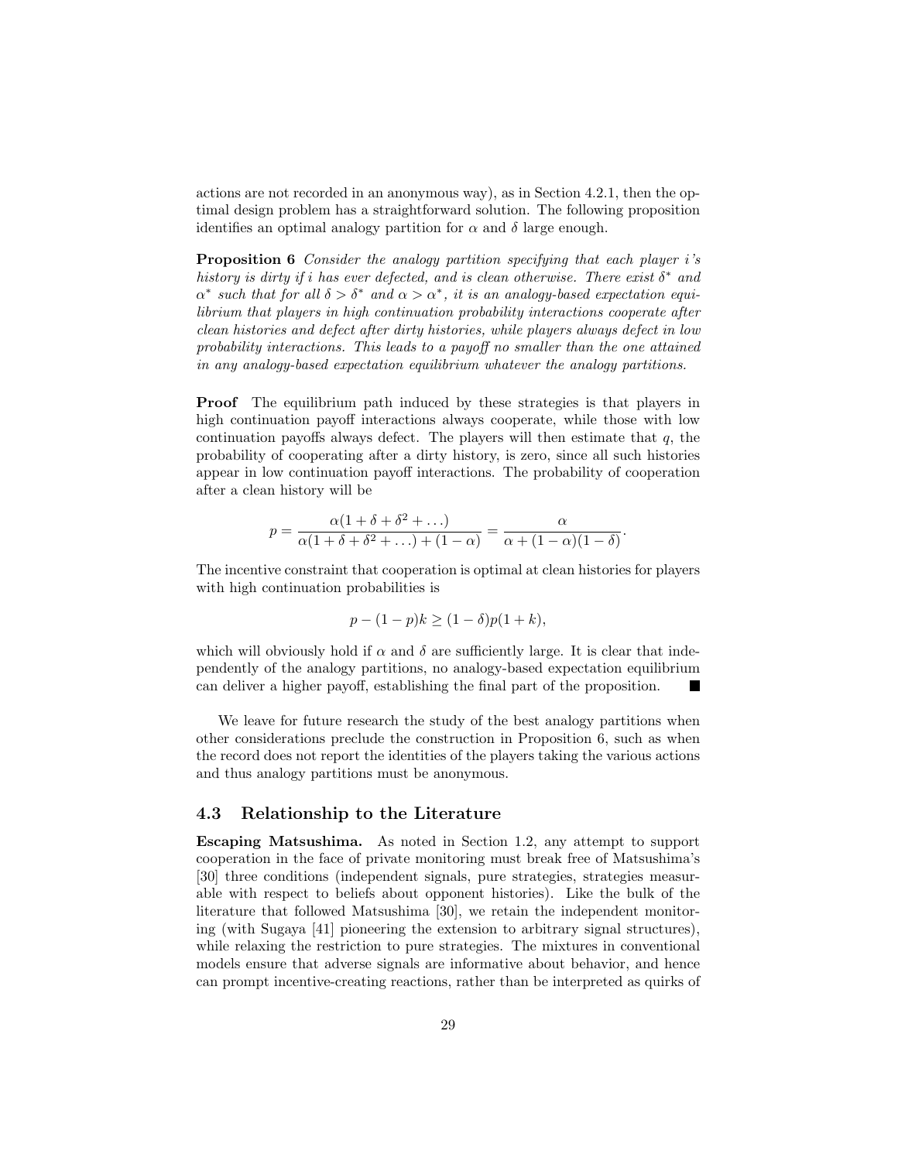actions are not recorded in an anonymous way), as in Section 4.2.1, then the optimal design problem has a straightforward solution. The following proposition identifies an optimal analogy partition for  $\alpha$  and  $\delta$  large enough.

**Proposition 6** Consider the analogy partition specifying that each player i's history is dirty if i has ever defected, and is clean otherwise. There exist  $\delta^*$  and  $\alpha^*$  such that for all  $\delta > \delta^*$  and  $\alpha > \alpha^*$ , it is an analogy-based expectation equilibrium that players in high continuation probability interactions cooperate after clean histories and defect after dirty histories, while players always defect in low probability interactions. This leads to a payoff no smaller than the one attained in any analogy-based expectation equilibrium whatever the analogy partitions.

Proof The equilibrium path induced by these strategies is that players in high continuation payoff interactions always cooperate, while those with low continuation payoffs always defect. The players will then estimate that  $q$ , the probability of cooperating after a dirty history, is zero, since all such histories appear in low continuation payoff interactions. The probability of cooperation after a clean history will be

$$
p = \frac{\alpha(1+\delta+\delta^2+\ldots)}{\alpha(1+\delta+\delta^2+\ldots)+(1-\alpha)} = \frac{\alpha}{\alpha+(1-\alpha)(1-\delta)}.
$$

The incentive constraint that cooperation is optimal at clean histories for players with high continuation probabilities is

$$
p - (1 - p)k \ge (1 - \delta)p(1 + k),
$$

which will obviously hold if  $\alpha$  and  $\delta$  are sufficiently large. It is clear that independently of the analogy partitions, no analogy-based expectation equilibrium can deliver a higher payoff, establishing the final part of the proposition.

We leave for future research the study of the best analogy partitions when other considerations preclude the construction in Proposition 6, such as when the record does not report the identities of the players taking the various actions and thus analogy partitions must be anonymous.

## 4.3 Relationship to the Literature

Escaping Matsushima. As noted in Section 1.2, any attempt to support cooperation in the face of private monitoring must break free of Matsushima's [30] three conditions (independent signals, pure strategies, strategies measurable with respect to beliefs about opponent histories). Like the bulk of the literature that followed Matsushima [30], we retain the independent monitoring (with Sugaya [41] pioneering the extension to arbitrary signal structures), while relaxing the restriction to pure strategies. The mixtures in conventional models ensure that adverse signals are informative about behavior, and hence can prompt incentive-creating reactions, rather than be interpreted as quirks of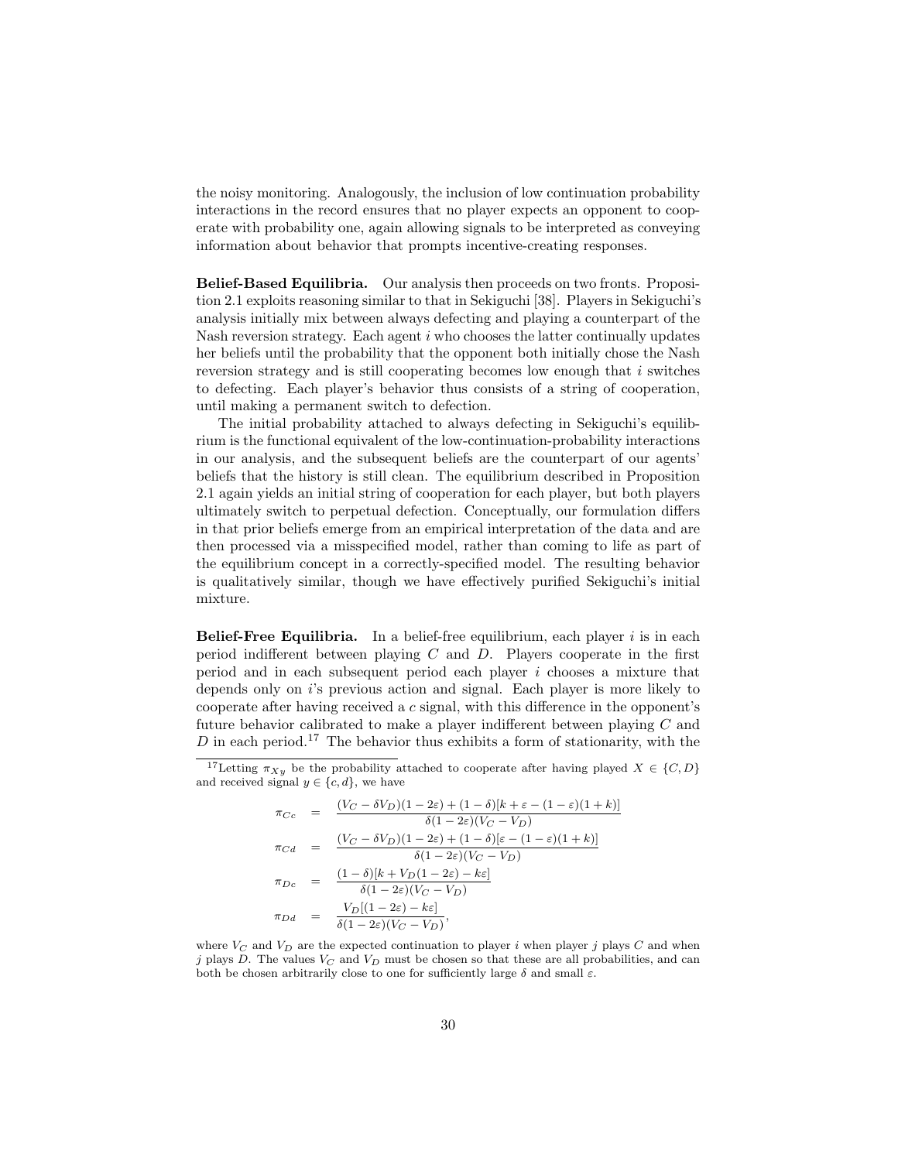the noisy monitoring. Analogously, the inclusion of low continuation probability interactions in the record ensures that no player expects an opponent to cooperate with probability one, again allowing signals to be interpreted as conveying information about behavior that prompts incentive-creating responses.

Belief-Based Equilibria. Our analysis then proceeds on two fronts. Proposition 2.1 exploits reasoning similar to that in Sekiguchi [38]. Players in Sekiguchi's analysis initially mix between always defecting and playing a counterpart of the Nash reversion strategy. Each agent i who chooses the latter continually updates her beliefs until the probability that the opponent both initially chose the Nash reversion strategy and is still cooperating becomes low enough that i switches to defecting. Each player's behavior thus consists of a string of cooperation, until making a permanent switch to defection.

The initial probability attached to always defecting in Sekiguchi's equilibrium is the functional equivalent of the low-continuation-probability interactions in our analysis, and the subsequent beliefs are the counterpart of our agents' beliefs that the history is still clean. The equilibrium described in Proposition 2.1 again yields an initial string of cooperation for each player, but both players ultimately switch to perpetual defection. Conceptually, our formulation differs in that prior beliefs emerge from an empirical interpretation of the data and are then processed via a misspecified model, rather than coming to life as part of the equilibrium concept in a correctly-specified model. The resulting behavior is qualitatively similar, though we have effectively purified Sekiguchi's initial mixture.

**Belief-Free Equilibria.** In a belief-free equilibrium, each player  $i$  is in each period indifferent between playing  $C$  and  $D$ . Players cooperate in the first period and in each subsequent period each player  $i$  chooses a mixture that depends only on i's previous action and signal. Each player is more likely to cooperate after having received a c signal, with this difference in the opponent's future behavior calibrated to make a player indifferent between playing C and  $D$  in each period.<sup>17</sup> The behavior thus exhibits a form of stationarity, with the

$$
\pi_{Cc} = \frac{(V_C - \delta V_D)(1 - 2\varepsilon) + (1 - \delta)[k + \varepsilon - (1 - \varepsilon)(1 + k)]}{\delta(1 - 2\varepsilon)(V_C - V_D)} \n\pi_{Cd} = \frac{(V_C - \delta V_D)(1 - 2\varepsilon) + (1 - \delta)[\varepsilon - (1 - \varepsilon)(1 + k)]}{\delta(1 - 2\varepsilon)(V_C - V_D)} \n\pi_{Dc} = \frac{(1 - \delta)[k + V_D(1 - 2\varepsilon) - k\varepsilon]}{\delta(1 - 2\varepsilon)(V_C - V_D)} \n\pi_{Dd} = \frac{V_D[(1 - 2\varepsilon) - k\varepsilon]}{\delta(1 - 2\varepsilon)(V_C - V_D)},
$$

<sup>&</sup>lt;sup>17</sup>Letting  $\pi_{Xy}$  be the probability attached to cooperate after having played  $X \in \{C, D\}$ and received signal  $y \in \{c, d\}$ , we have

where  $V_C$  and  $V_D$  are the expected continuation to player i when player j plays C and when j plays D. The values  $V_C$  and  $V_D$  must be chosen so that these are all probabilities, and can both be chosen arbitrarily close to one for sufficiently large  $\delta$  and small  $\varepsilon$ .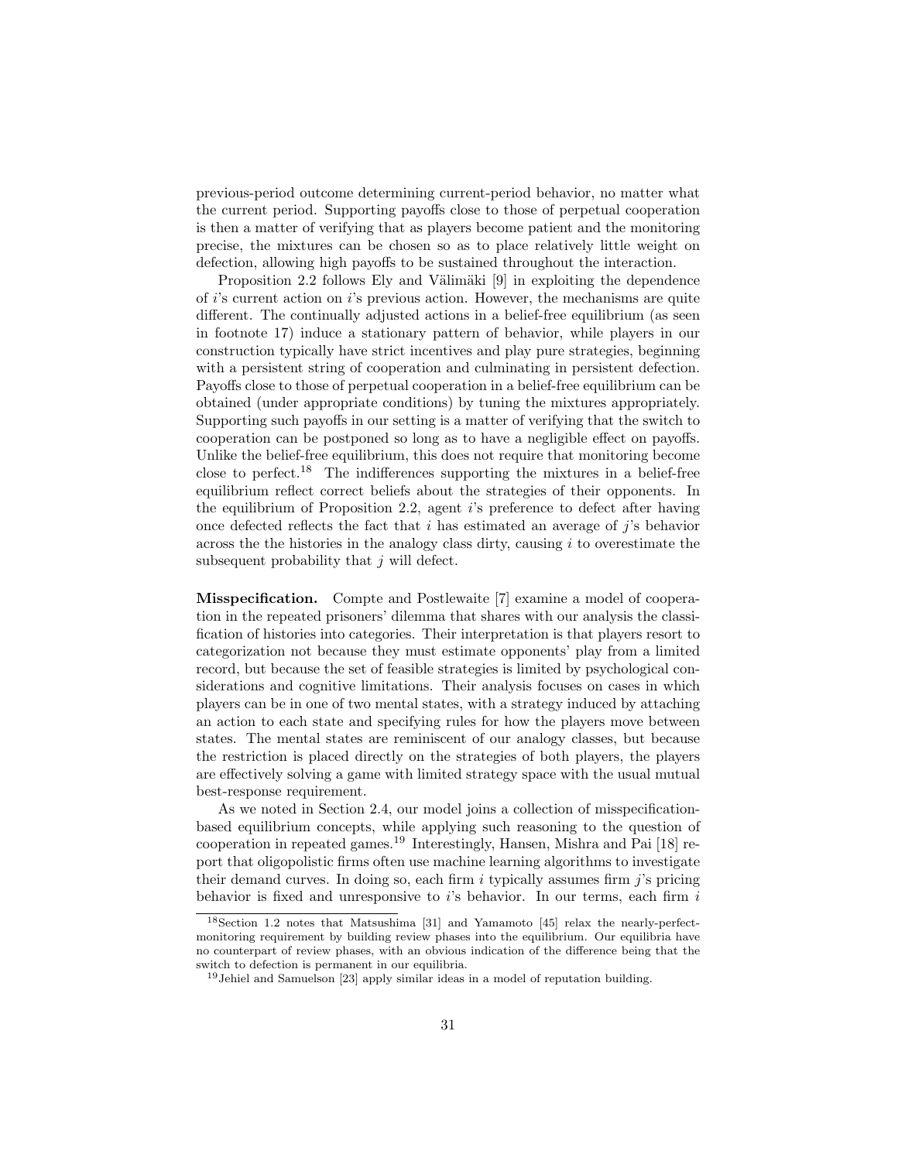previous-period outcome determining current-period behavior, no matter what the current period. Supporting payoffs close to those of perpetual cooperation is then a matter of verifying that as players become patient and the monitoring precise, the mixtures can be chosen so as to place relatively little weight on defection, allowing high payoffs to be sustained throughout the interaction.

Proposition 2.2 follows Ely and Välimäki  $[9]$  in exploiting the dependence of  $i$ 's current action on  $i$ 's previous action. However, the mechanisms are quite different. The continually adjusted actions in a belief-free equilibrium (as seen in footnote 17) induce a stationary pattern of behavior, while players in our construction typically have strict incentives and play pure strategies, beginning with a persistent string of cooperation and culminating in persistent defection. Payoffs close to those of perpetual cooperation in a belief-free equilibrium can be obtained (under appropriate conditions) by tuning the mixtures appropriately. Supporting such payoffs in our setting is a matter of verifying that the switch to cooperation can be postponed so long as to have a negligible effect on payoffs. Unlike the belief-free equilibrium, this does not require that monitoring become close to perfect.<sup>18</sup> The indifferences supporting the mixtures in a belief-free equilibrium reflect correct beliefs about the strategies of their opponents. In the equilibrium of Proposition 2.2, agent i's preference to defect after having once defected reflects the fact that i has estimated an average of j's behavior across the the histories in the analogy class dirty, causing  $i$  to overestimate the subsequent probability that  $j$  will defect.

Misspecification. Compte and Postlewaite [7] examine a model of cooperation in the repeated prisoners' dilemma that shares with our analysis the classification of histories into categories. Their interpretation is that players resort to categorization not because they must estimate opponents' play from a limited record, but because the set of feasible strategies is limited by psychological considerations and cognitive limitations. Their analysis focuses on cases in which players can be in one of two mental states, with a strategy induced by attaching an action to each state and specifying rules for how the players move between states. The mental states are reminiscent of our analogy classes, but because the restriction is placed directly on the strategies of both players, the players are effectively solving a game with limited strategy space with the usual mutual best-response requirement.

As we noted in Section 2.4, our model joins a collection of misspecificationbased equilibrium concepts, while applying such reasoning to the question of cooperation in repeated games.<sup>19</sup> Interestingly, Hansen, Mishra and Pai [18] report that oligopolistic firms often use machine learning algorithms to investigate their demand curves. In doing so, each firm  $i$  typically assumes firm  $j$ 's pricing behavior is fixed and unresponsive to  $i$ 's behavior. In our terms, each firm  $i$ 

<sup>18</sup>Section 1.2 notes that Matsushima [31] and Yamamoto [45] relax the nearly-perfectmonitoring requirement by building review phases into the equilibrium. Our equilibria have no counterpart of review phases, with an obvious indication of the difference being that the switch to defection is permanent in our equilibria.

<sup>19</sup>Jehiel and Samuelson [23] apply similar ideas in a model of reputation building.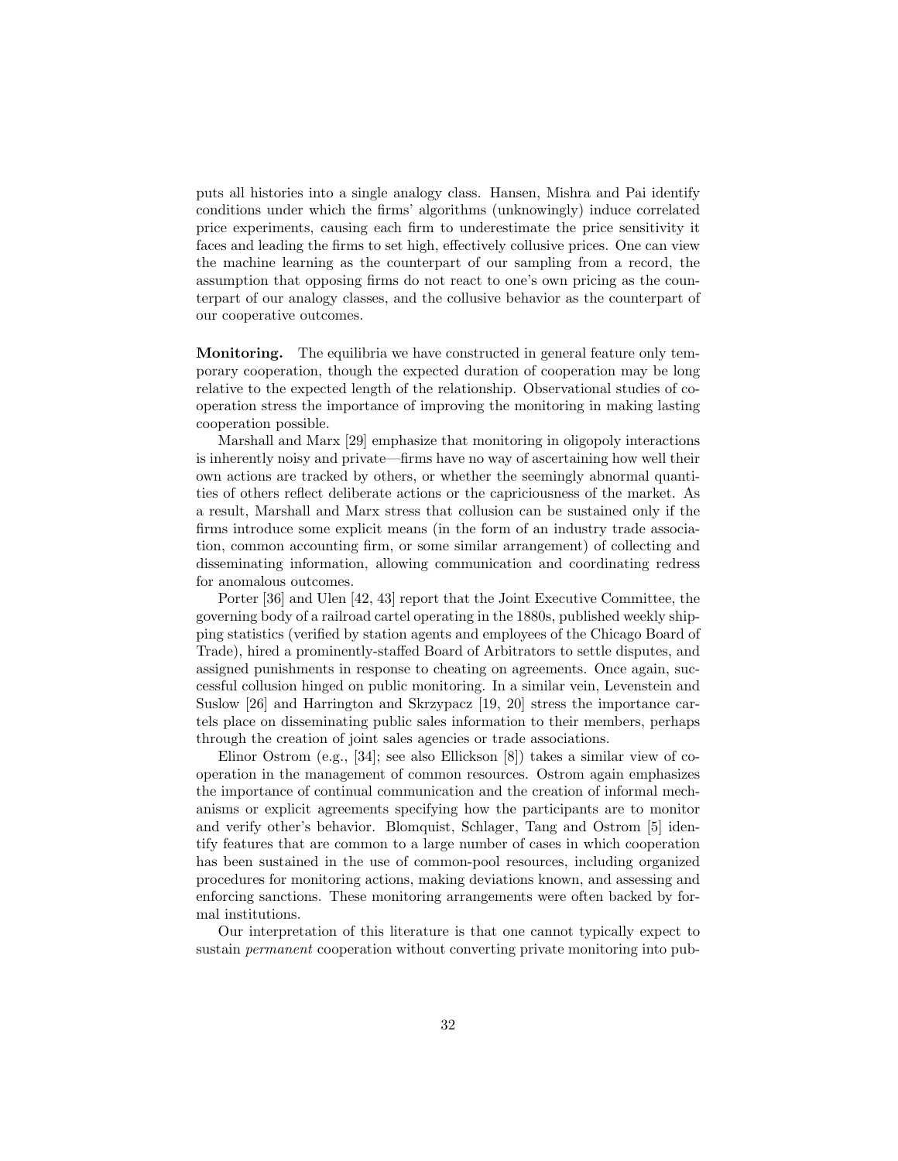puts all histories into a single analogy class. Hansen, Mishra and Pai identify conditions under which the firms' algorithms (unknowingly) induce correlated price experiments, causing each firm to underestimate the price sensitivity it faces and leading the firms to set high, effectively collusive prices. One can view the machine learning as the counterpart of our sampling from a record, the assumption that opposing firms do not react to one's own pricing as the counterpart of our analogy classes, and the collusive behavior as the counterpart of our cooperative outcomes.

Monitoring. The equilibria we have constructed in general feature only temporary cooperation, though the expected duration of cooperation may be long relative to the expected length of the relationship. Observational studies of cooperation stress the importance of improving the monitoring in making lasting cooperation possible.

Marshall and Marx [29] emphasize that monitoring in oligopoly interactions is inherently noisy and private—firms have no way of ascertaining how well their own actions are tracked by others, or whether the seemingly abnormal quantities of others reflect deliberate actions or the capriciousness of the market. As a result, Marshall and Marx stress that collusion can be sustained only if the firms introduce some explicit means (in the form of an industry trade association, common accounting firm, or some similar arrangement) of collecting and disseminating information, allowing communication and coordinating redress for anomalous outcomes.

Porter [36] and Ulen [42, 43] report that the Joint Executive Committee, the governing body of a railroad cartel operating in the 1880s, published weekly shipping statistics (verified by station agents and employees of the Chicago Board of Trade), hired a prominently-staffed Board of Arbitrators to settle disputes, and assigned punishments in response to cheating on agreements. Once again, successful collusion hinged on public monitoring. In a similar vein, Levenstein and Suslow [26] and Harrington and Skrzypacz [19, 20] stress the importance cartels place on disseminating public sales information to their members, perhaps through the creation of joint sales agencies or trade associations.

Elinor Ostrom (e.g., [34]; see also Ellickson [8]) takes a similar view of cooperation in the management of common resources. Ostrom again emphasizes the importance of continual communication and the creation of informal mechanisms or explicit agreements specifying how the participants are to monitor and verify other's behavior. Blomquist, Schlager, Tang and Ostrom [5] identify features that are common to a large number of cases in which cooperation has been sustained in the use of common-pool resources, including organized procedures for monitoring actions, making deviations known, and assessing and enforcing sanctions. These monitoring arrangements were often backed by formal institutions.

Our interpretation of this literature is that one cannot typically expect to sustain permanent cooperation without converting private monitoring into pub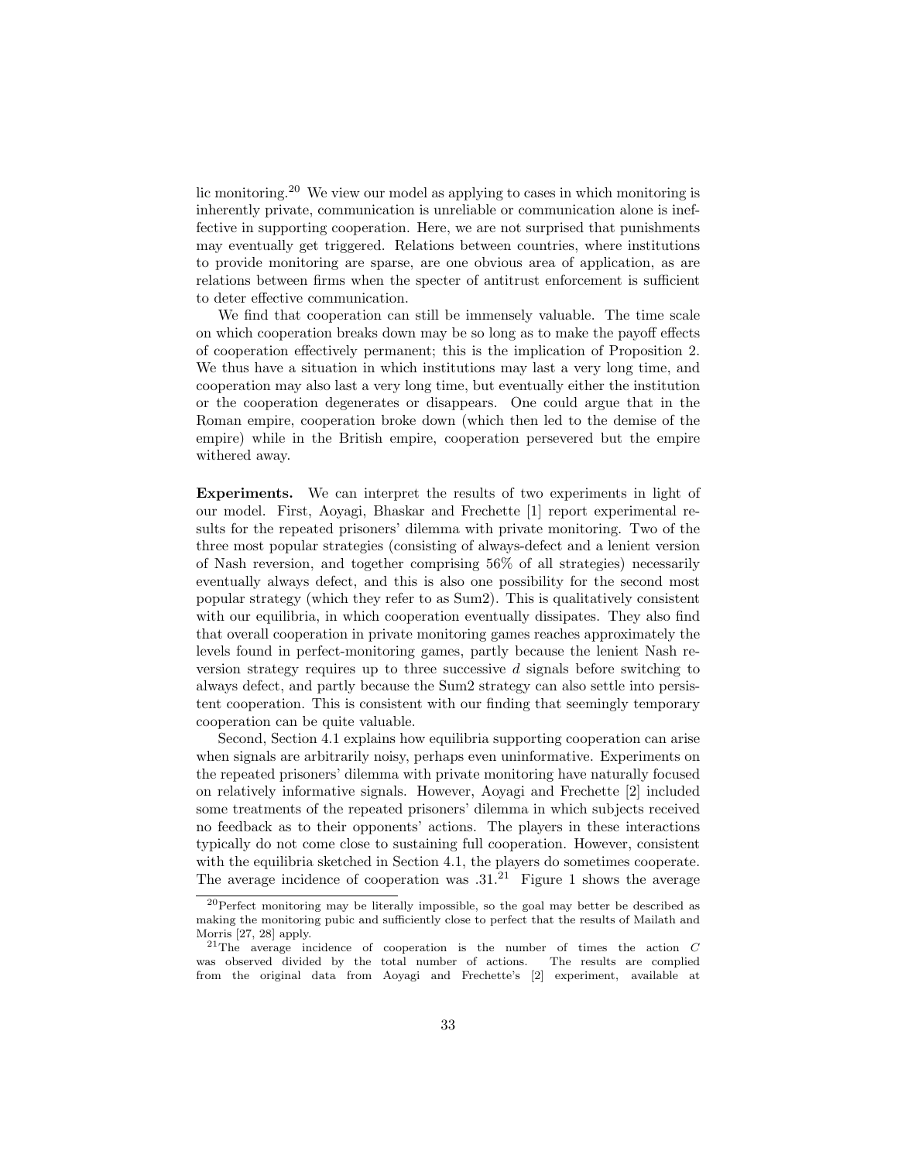lic monitoring.<sup>20</sup> We view our model as applying to cases in which monitoring is inherently private, communication is unreliable or communication alone is ineffective in supporting cooperation. Here, we are not surprised that punishments may eventually get triggered. Relations between countries, where institutions to provide monitoring are sparse, are one obvious area of application, as are relations between firms when the specter of antitrust enforcement is sufficient to deter effective communication.

We find that cooperation can still be immensely valuable. The time scale on which cooperation breaks down may be so long as to make the payoff effects of cooperation effectively permanent; this is the implication of Proposition 2. We thus have a situation in which institutions may last a very long time, and cooperation may also last a very long time, but eventually either the institution or the cooperation degenerates or disappears. One could argue that in the Roman empire, cooperation broke down (which then led to the demise of the empire) while in the British empire, cooperation persevered but the empire withered away.

Experiments. We can interpret the results of two experiments in light of our model. First, Aoyagi, Bhaskar and Frechette [1] report experimental results for the repeated prisoners' dilemma with private monitoring. Two of the three most popular strategies (consisting of always-defect and a lenient version of Nash reversion, and together comprising 56% of all strategies) necessarily eventually always defect, and this is also one possibility for the second most popular strategy (which they refer to as Sum2). This is qualitatively consistent with our equilibria, in which cooperation eventually dissipates. They also find that overall cooperation in private monitoring games reaches approximately the levels found in perfect-monitoring games, partly because the lenient Nash reversion strategy requires up to three successive  $d$  signals before switching to always defect, and partly because the Sum2 strategy can also settle into persistent cooperation. This is consistent with our finding that seemingly temporary cooperation can be quite valuable.

Second, Section 4.1 explains how equilibria supporting cooperation can arise when signals are arbitrarily noisy, perhaps even uninformative. Experiments on the repeated prisoners' dilemma with private monitoring have naturally focused on relatively informative signals. However, Aoyagi and Frechette [2] included some treatments of the repeated prisoners' dilemma in which subjects received no feedback as to their opponents' actions. The players in these interactions typically do not come close to sustaining full cooperation. However, consistent with the equilibria sketched in Section 4.1, the players do sometimes cooperate. The average incidence of cooperation was  $.31<sup>21</sup>$  Figure 1 shows the average

<sup>20</sup>Perfect monitoring may be literally impossible, so the goal may better be described as making the monitoring pubic and sufficiently close to perfect that the results of Mailath and Morris [27, 28] apply.

<sup>&</sup>lt;sup>21</sup>The average incidence of cooperation is the number of times the action  $C$ was observed divided by the total number of actions. The results are complied from the original data from Aoyagi and Frechette's [2] experiment, available at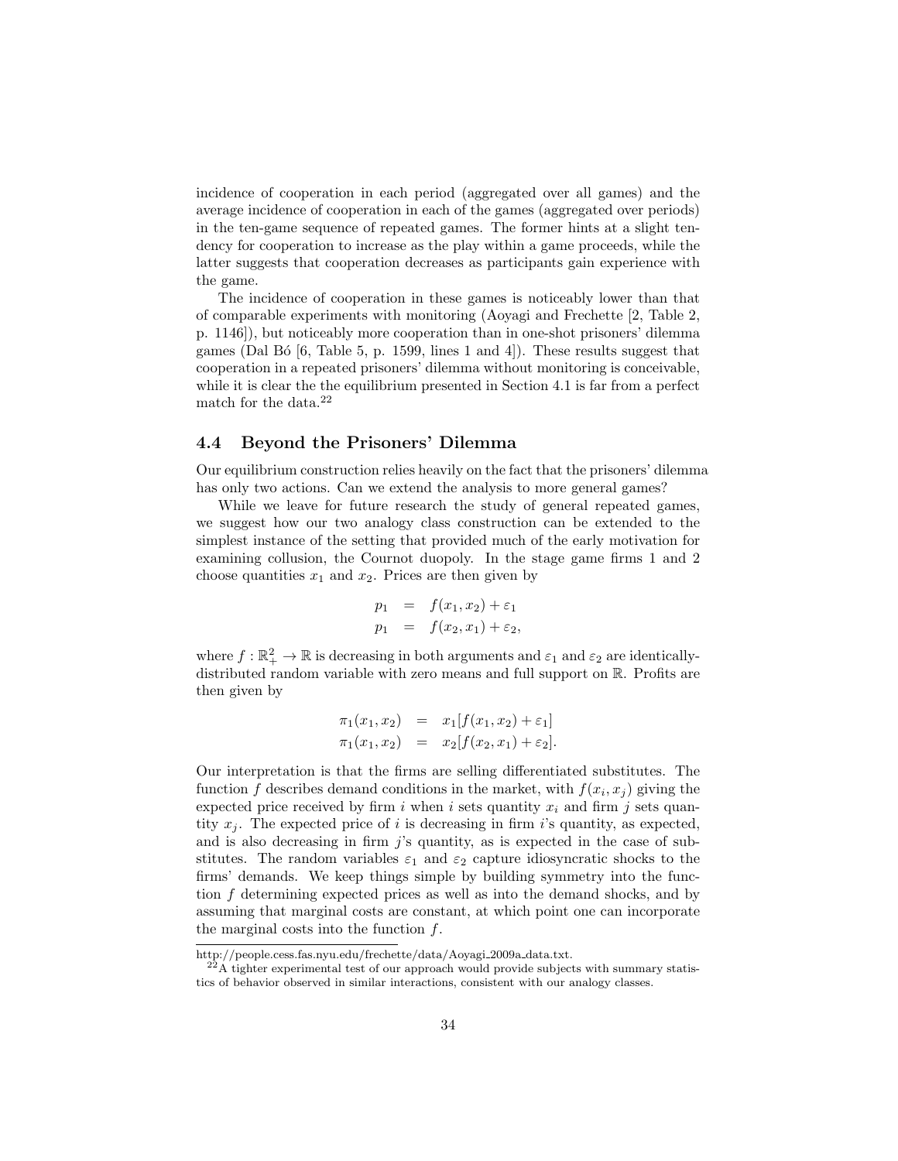incidence of cooperation in each period (aggregated over all games) and the average incidence of cooperation in each of the games (aggregated over periods) in the ten-game sequence of repeated games. The former hints at a slight tendency for cooperation to increase as the play within a game proceeds, while the latter suggests that cooperation decreases as participants gain experience with the game.

The incidence of cooperation in these games is noticeably lower than that of comparable experiments with monitoring (Aoyagi and Frechette [2, Table 2, p. 1146]), but noticeably more cooperation than in one-shot prisoners' dilemma games (Dal Bó  $[6,$  Table 5, p. 1599, lines 1 and 4.). These results suggest that cooperation in a repeated prisoners' dilemma without monitoring is conceivable, while it is clear the the equilibrium presented in Section 4.1 is far from a perfect match for the data. $22$ 

## 4.4 Beyond the Prisoners' Dilemma

Our equilibrium construction relies heavily on the fact that the prisoners' dilemma has only two actions. Can we extend the analysis to more general games?

While we leave for future research the study of general repeated games, we suggest how our two analogy class construction can be extended to the simplest instance of the setting that provided much of the early motivation for examining collusion, the Cournot duopoly. In the stage game firms 1 and 2 choose quantities  $x_1$  and  $x_2$ . Prices are then given by

$$
p_1 = f(x_1, x_2) + \varepsilon_1 p_1 = f(x_2, x_1) + \varepsilon_2,
$$

where  $f : \mathbb{R}_+^2 \to \mathbb{R}$  is decreasing in both arguments and  $\varepsilon_1$  and  $\varepsilon_2$  are identicallydistributed random variable with zero means and full support on R. Profits are then given by

$$
\pi_1(x_1, x_2) = x_1[f(x_1, x_2) + \varepsilon_1] \n\pi_1(x_1, x_2) = x_2[f(x_2, x_1) + \varepsilon_2].
$$

Our interpretation is that the firms are selling differentiated substitutes. The function f describes demand conditions in the market, with  $f(x_i, x_j)$  giving the expected price received by firm i when i sets quantity  $x_i$  and firm j sets quantity  $x_i$ . The expected price of i is decreasing in firm i's quantity, as expected, and is also decreasing in firm  $j$ 's quantity, as is expected in the case of substitutes. The random variables  $\varepsilon_1$  and  $\varepsilon_2$  capture idiosyncratic shocks to the firms' demands. We keep things simple by building symmetry into the function f determining expected prices as well as into the demand shocks, and by assuming that marginal costs are constant, at which point one can incorporate the marginal costs into the function  $f$ .

http://people.cess.fas.nyu.edu/frechette/data/Aoyagi 2009a data.txt.

 $^{22}$ A tighter experimental test of our approach would provide subjects with summary statistics of behavior observed in similar interactions, consistent with our analogy classes.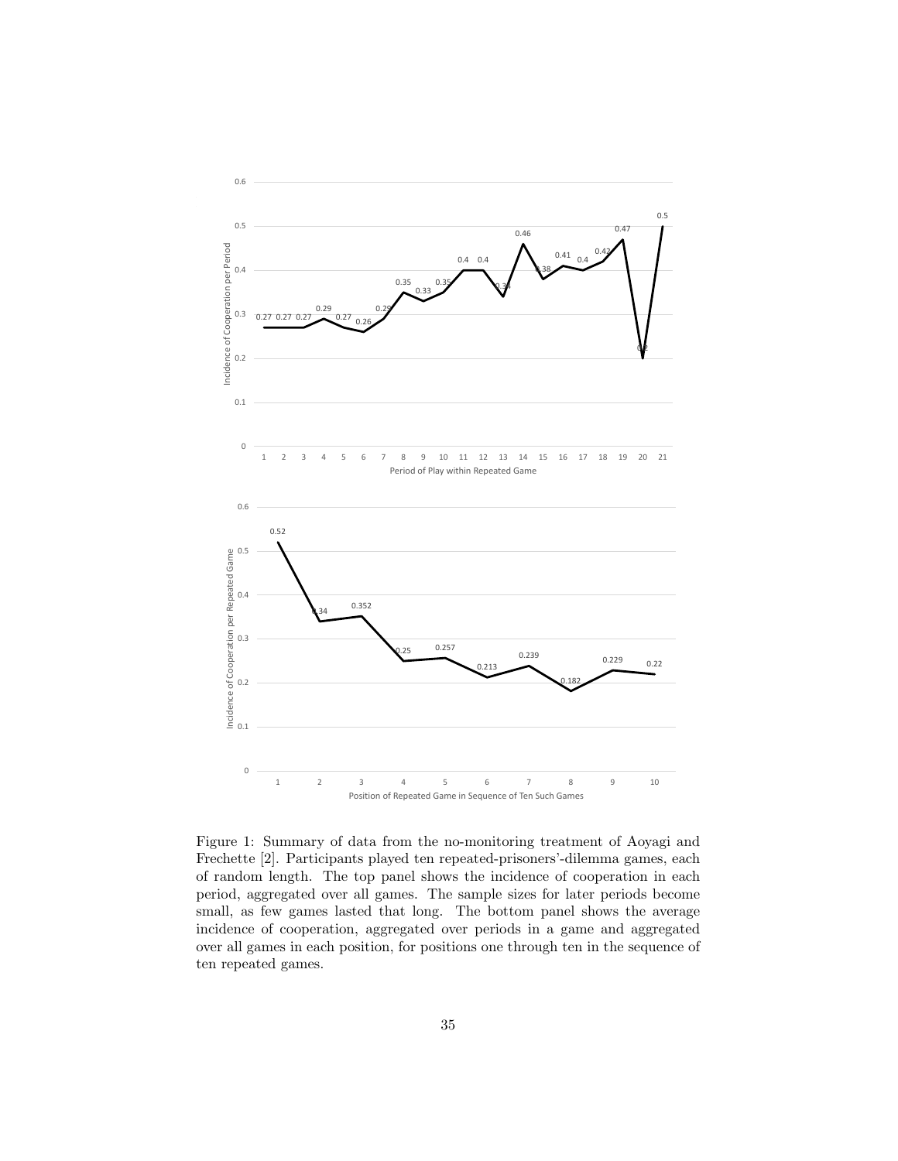

Figure 1: Summary of data from the no-monitoring treatment of Aoyagi and Frechette [2]. Participants played ten repeated-prisoners'-dilemma games, each of random length. The top panel shows the incidence of cooperation in each period, aggregated over all games. The sample sizes for later periods become small, as few games lasted that long. The bottom panel shows the average incidence of cooperation, aggregated over periods in a game and aggregated over all games in each position, for positions one through ten in the sequence of ten repeated games.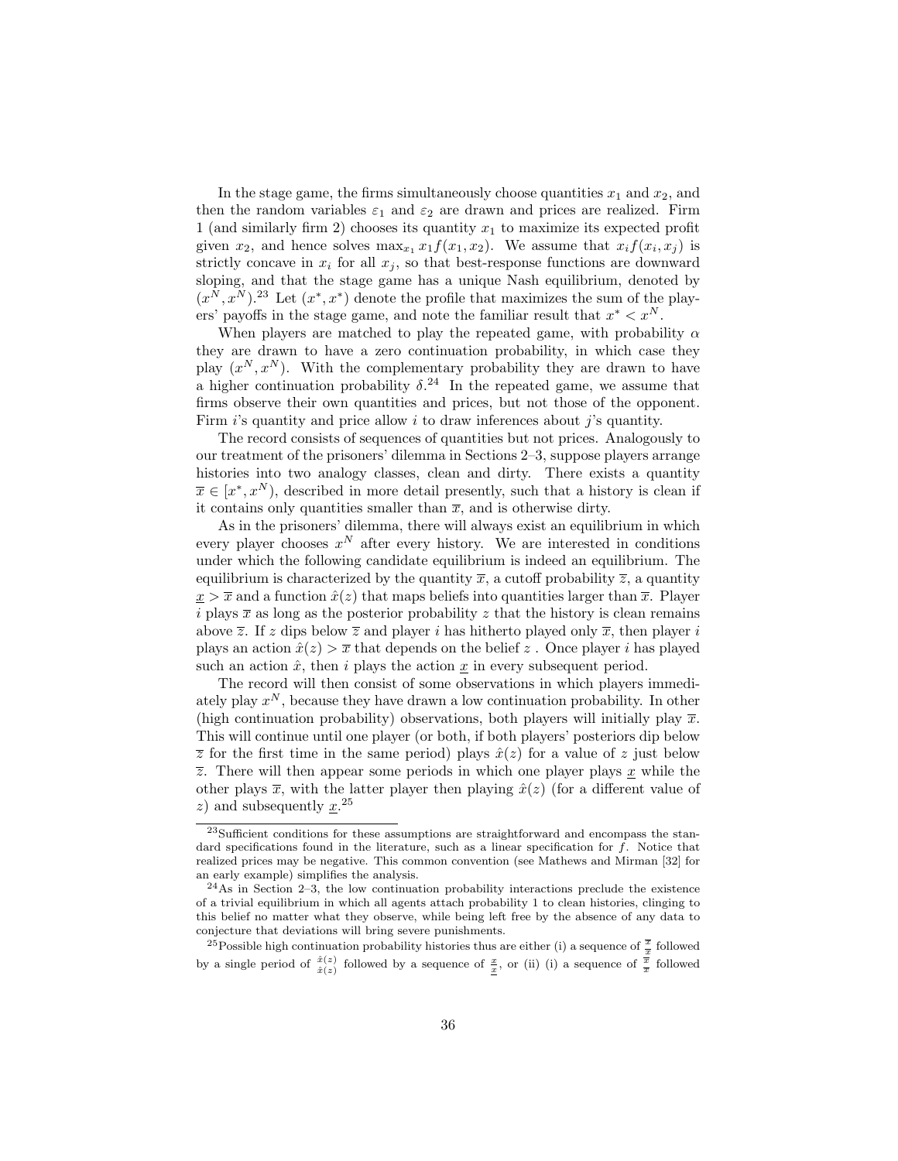In the stage game, the firms simultaneously choose quantities  $x_1$  and  $x_2$ , and then the random variables  $\varepsilon_1$  and  $\varepsilon_2$  are drawn and prices are realized. Firm 1 (and similarly firm 2) chooses its quantity  $x_1$  to maximize its expected profit given  $x_2$ , and hence solves  $\max_{x_1} x_1 f(x_1, x_2)$ . We assume that  $x_i f(x_i, x_j)$  is strictly concave in  $x_i$  for all  $x_j$ , so that best-response functions are downward sloping, and that the stage game has a unique Nash equilibrium, denoted by  $(x^N, x^N)$ <sup>23</sup> Let  $(x^*, x^*)$  denote the profile that maximizes the sum of the players' payoffs in the stage game, and note the familiar result that  $x^* < x^N$ .

When players are matched to play the repeated game, with probability  $\alpha$ they are drawn to have a zero continuation probability, in which case they play  $(x^N, x^N)$ . With the complementary probability they are drawn to have a higher continuation probability  $\delta^{24}$ . In the repeated game, we assume that firms observe their own quantities and prices, but not those of the opponent. Firm  $i$ 's quantity and price allow  $i$  to draw inferences about  $j$ 's quantity.

The record consists of sequences of quantities but not prices. Analogously to our treatment of the prisoners' dilemma in Sections 2–3, suppose players arrange histories into two analogy classes, clean and dirty. There exists a quantity  $\overline{x} \in [x^*, x^N)$ , described in more detail presently, such that a history is clean if it contains only quantities smaller than  $\bar{x}$ , and is otherwise dirty.

As in the prisoners' dilemma, there will always exist an equilibrium in which every player chooses  $x^N$  after every history. We are interested in conditions under which the following candidate equilibrium is indeed an equilibrium. The equilibrium is characterized by the quantity  $\bar{x}$ , a cutoff probability  $\bar{z}$ , a quantity  $x > \overline{x}$  and a function  $\hat{x}(z)$  that maps beliefs into quantities larger than  $\overline{x}$ . Player i plays  $\bar{x}$  as long as the posterior probability z that the history is clean remains above  $\overline{z}$ . If z dips below  $\overline{z}$  and player i has hitherto played only  $\overline{x}$ , then player i plays an action  $\hat{x}(z) > \overline{x}$  that depends on the belief z. Once player i has played such an action  $\hat{x}$ , then i plays the action  $\underline{x}$  in every subsequent period.

The record will then consist of some observations in which players immediately play  $x^N$ , because they have drawn a low continuation probability. In other (high continuation probability) observations, both players will initially play  $\bar{x}$ . This will continue until one player (or both, if both players' posteriors dip below  $\overline{z}$  for the first time in the same period) plays  $\hat{x}(z)$  for a value of z just below  $\overline{z}$ . There will then appear some periods in which one player plays  $\underline{x}$  while the other plays  $\bar{x}$ , with the latter player then playing  $\hat{x}(z)$  (for a different value of z) and subsequently  $x^{25}$ .

<sup>23</sup>Sufficient conditions for these assumptions are straightforward and encompass the standard specifications found in the literature, such as a linear specification for  $f$ . Notice that realized prices may be negative. This common convention (see Mathews and Mirman [32] for an early example) simplifies the analysis.

 $^{24}$ As in Section 2–3, the low continuation probability interactions preclude the existence of a trivial equilibrium in which all agents attach probability 1 to clean histories, clinging to this belief no matter what they observe, while being left free by the absence of any data to conjecture that deviations will bring severe punishments.

<sup>&</sup>lt;sup>25</sup>Possible high continuation probability histories thus are either (i) a sequence of  $\frac{\overline{x}}{x}$  followed by a single period of  $\frac{\hat{x}(z)}{\hat{x}(z)}$  followed by a sequence of  $\frac{x}{x}$ , or (ii) (i) a sequence of  $\frac{\overline{x}}{\overline{x}}$  followed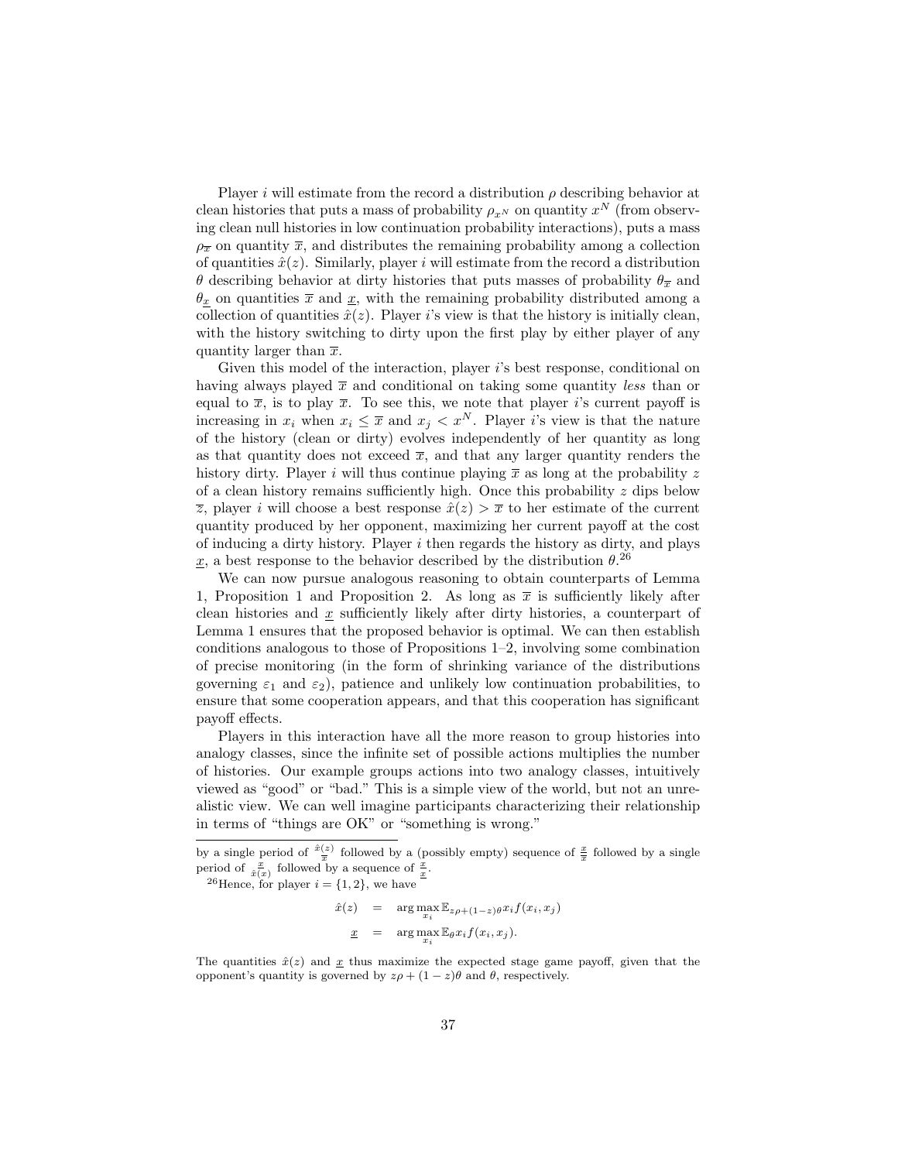Player i will estimate from the record a distribution  $\rho$  describing behavior at clean histories that puts a mass of probability  $\rho_{x^N}$  on quantity  $x^N$  (from observing clean null histories in low continuation probability interactions), puts a mass  $\rho_{\overline{x}}$  on quantity  $\overline{x}$ , and distributes the remaining probability among a collection of quantities  $\hat{x}(z)$ . Similarly, player i will estimate from the record a distribution θ describing behavior at dirty histories that puts masses of probability  $θ_{\overline{x}}$  and  $\theta_x$  on quantities  $\bar{x}$  and  $\underline{x}$ , with the remaining probability distributed among a collection of quantities  $\hat{x}(z)$ . Player i's view is that the history is initially clean, with the history switching to dirty upon the first play by either player of any quantity larger than  $\bar{x}$ .

Given this model of the interaction, player is best response, conditional on having always played  $\bar{x}$  and conditional on taking some quantity less than or equal to  $\bar{x}$ , is to play  $\bar{x}$ . To see this, we note that player is current payoff is increasing in  $x_i$  when  $x_i \leq \overline{x}$  and  $x_i < x^N$ . Player is view is that the nature of the history (clean or dirty) evolves independently of her quantity as long as that quantity does not exceed  $\bar{x}$ , and that any larger quantity renders the history dirty. Player i will thus continue playing  $\bar{x}$  as long at the probability z of a clean history remains sufficiently high. Once this probability  $z$  dips below  $\overline{z}$ , player *i* will choose a best response  $\hat{x}(z) > \overline{x}$  to her estimate of the current quantity produced by her opponent, maximizing her current payoff at the cost of inducing a dirty history. Player  $i$  then regards the history as dirty, and plays  $\underline{x}$ , a best response to the behavior described by the distribution  $\theta$ <sup>26</sup>

We can now pursue analogous reasoning to obtain counterparts of Lemma 1, Proposition 1 and Proposition 2. As long as  $\bar{x}$  is sufficiently likely after clean histories and  $x$  sufficiently likely after dirty histories, a counterpart of Lemma 1 ensures that the proposed behavior is optimal. We can then establish conditions analogous to those of Propositions 1–2, involving some combination of precise monitoring (in the form of shrinking variance of the distributions governing  $\varepsilon_1$  and  $\varepsilon_2$ ), patience and unlikely low continuation probabilities, to ensure that some cooperation appears, and that this cooperation has significant payoff effects.

Players in this interaction have all the more reason to group histories into analogy classes, since the infinite set of possible actions multiplies the number of histories. Our example groups actions into two analogy classes, intuitively viewed as "good" or "bad." This is a simple view of the world, but not an unrealistic view. We can well imagine participants characterizing their relationship in terms of "things are OK" or "something is wrong."

<sup>26</sup>Hence, for player  $i = \{1, 2\}$ , we have

$$
\hat{x}(z) = \arg \max_{x_i} \mathbb{E}_{z\rho + (1-z)\theta} x_i f(x_i, x_j)
$$

$$
\underline{x} = \arg \max_{x_i} \mathbb{E}_{\theta} x_i f(x_i, x_j).
$$

The quantities  $\hat{x}(z)$  and  $\underline{x}$  thus maximize the expected stage game payoff, given that the opponent's quantity is governed by  $z\rho + (1 - z)\theta$  and  $\theta$ , respectively.

by a single period of  $\frac{\hat{x}(z)}{\overline{x}}$  followed by a (possibly empty) sequence of  $\frac{x}{\overline{x}}$  followed by a single period of  $\frac{x}{\hat{x}(x)}$  followed by a sequence of  $\frac{x}{x}$ .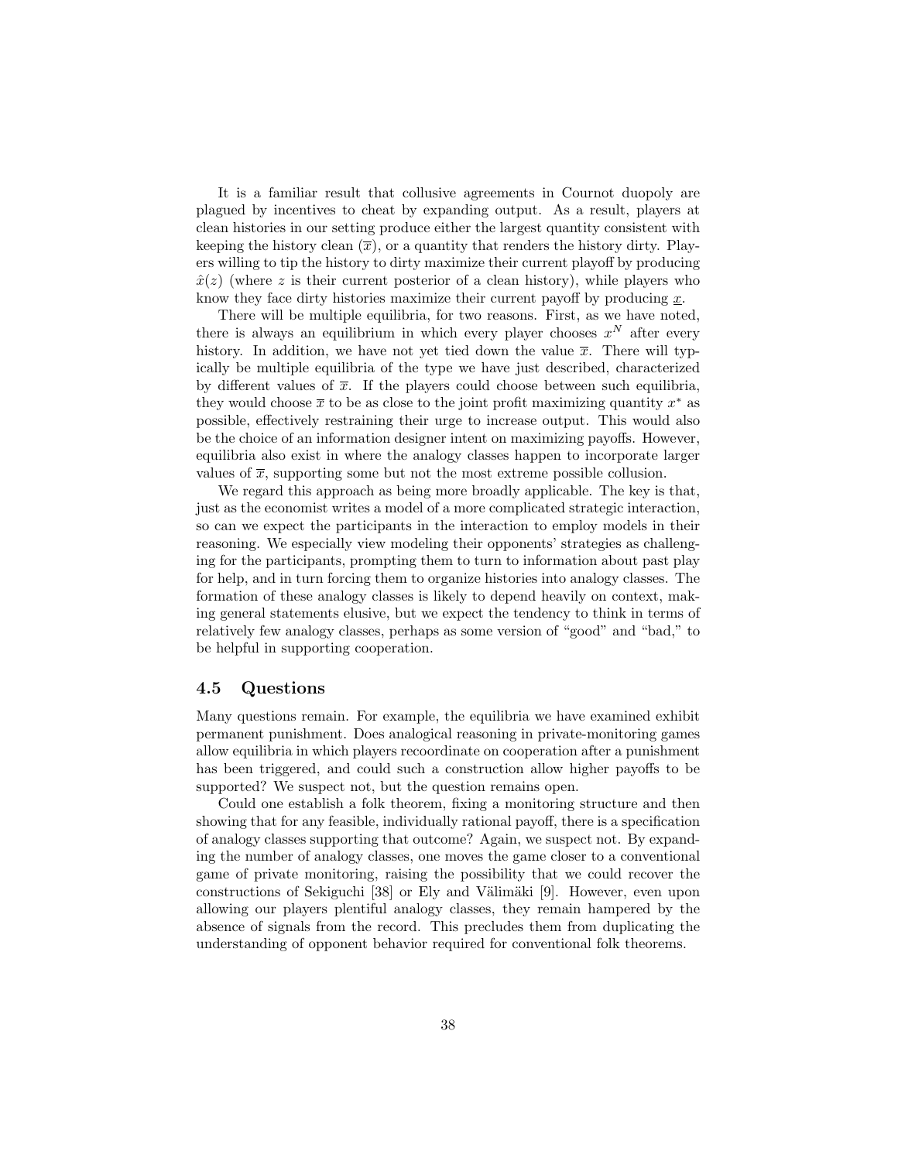It is a familiar result that collusive agreements in Cournot duopoly are plagued by incentives to cheat by expanding output. As a result, players at clean histories in our setting produce either the largest quantity consistent with keeping the history clean  $(\bar{x})$ , or a quantity that renders the history dirty. Players willing to tip the history to dirty maximize their current playoff by producing  $\hat{x}(z)$  (where z is their current posterior of a clean history), while players who know they face dirty histories maximize their current payoff by producing  $x$ .

There will be multiple equilibria, for two reasons. First, as we have noted, there is always an equilibrium in which every player chooses  $x^N$  after every history. In addition, we have not yet tied down the value  $\bar{x}$ . There will typically be multiple equilibria of the type we have just described, characterized by different values of  $\bar{x}$ . If the players could choose between such equilibria, they would choose  $\bar{x}$  to be as close to the joint profit maximizing quantity  $x^*$  as possible, effectively restraining their urge to increase output. This would also be the choice of an information designer intent on maximizing payoffs. However, equilibria also exist in where the analogy classes happen to incorporate larger values of  $\bar{x}$ , supporting some but not the most extreme possible collusion.

We regard this approach as being more broadly applicable. The key is that, just as the economist writes a model of a more complicated strategic interaction, so can we expect the participants in the interaction to employ models in their reasoning. We especially view modeling their opponents' strategies as challenging for the participants, prompting them to turn to information about past play for help, and in turn forcing them to organize histories into analogy classes. The formation of these analogy classes is likely to depend heavily on context, making general statements elusive, but we expect the tendency to think in terms of relatively few analogy classes, perhaps as some version of "good" and "bad," to be helpful in supporting cooperation.

#### 4.5 Questions

Many questions remain. For example, the equilibria we have examined exhibit permanent punishment. Does analogical reasoning in private-monitoring games allow equilibria in which players recoordinate on cooperation after a punishment has been triggered, and could such a construction allow higher payoffs to be supported? We suspect not, but the question remains open.

Could one establish a folk theorem, fixing a monitoring structure and then showing that for any feasible, individually rational payoff, there is a specification of analogy classes supporting that outcome? Again, we suspect not. By expanding the number of analogy classes, one moves the game closer to a conventional game of private monitoring, raising the possibility that we could recover the constructions of Sekiguchi [38] or Ely and Välimäki [9]. However, even upon allowing our players plentiful analogy classes, they remain hampered by the absence of signals from the record. This precludes them from duplicating the understanding of opponent behavior required for conventional folk theorems.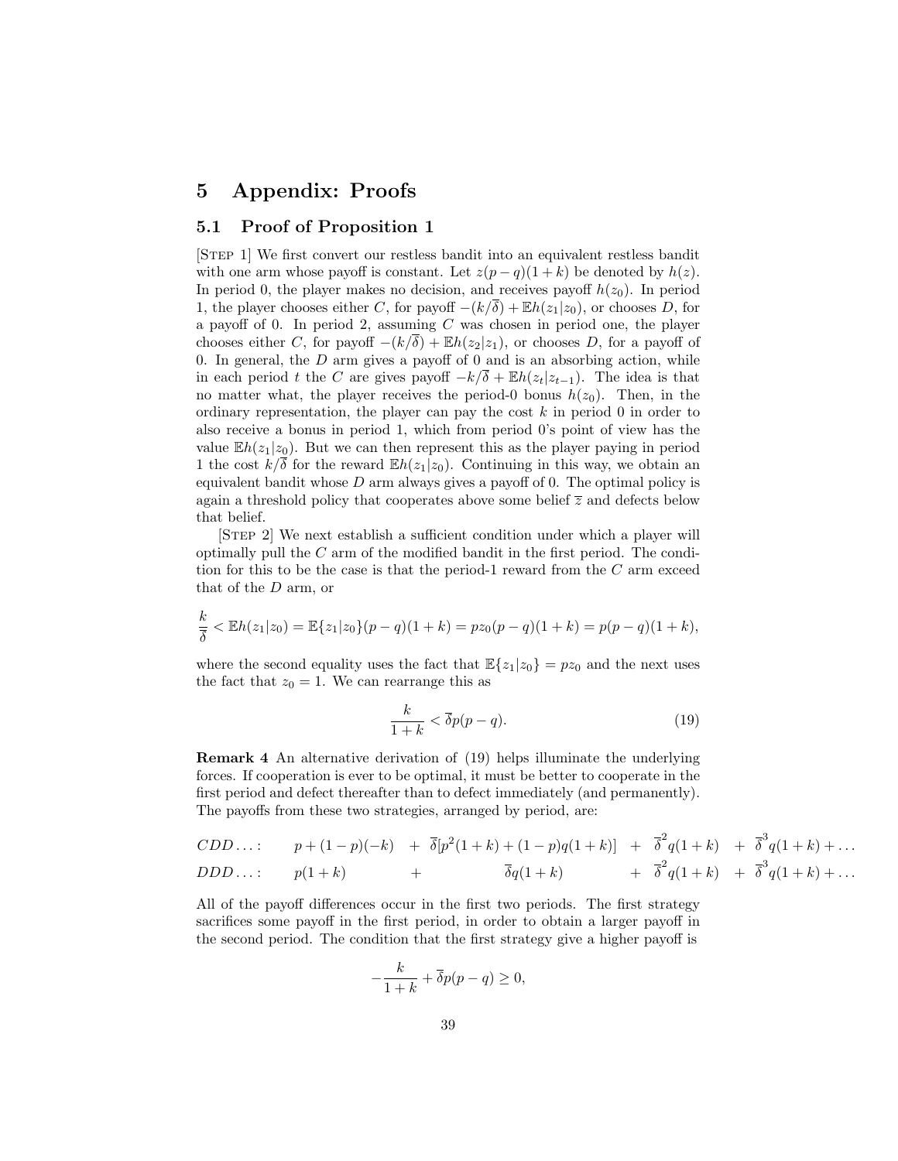# 5 Appendix: Proofs

## 5.1 Proof of Proposition 1

[Step 1] We first convert our restless bandit into an equivalent restless bandit with one arm whose payoff is constant. Let  $z(p-q)(1+k)$  be denoted by  $h(z)$ . In period 0, the player makes no decision, and receives payoff  $h(z_0)$ . In period 1, the player chooses either C, for payoff  $-(k/\delta) + \mathbb{E}h(z_1|z_0)$ , or chooses D, for a payoff of 0. In period 2, assuming  $C$  was chosen in period one, the player chooses either C, for payoff  $-(k/\overline{\delta}) + \mathbb{E}h(z_2|z_1)$ , or chooses D, for a payoff of 0. In general, the  $D$  arm gives a payoff of 0 and is an absorbing action, while in each period t the C are gives payoff  $-k/\overline{\delta} + \mathbb{E}h(z_t|z_{t-1})$ . The idea is that no matter what, the player receives the period-0 bonus  $h(z_0)$ . Then, in the ordinary representation, the player can pay the cost  $k$  in period 0 in order to also receive a bonus in period 1, which from period 0's point of view has the value  $Eh(z_1|z_0)$ . But we can then represent this as the player paying in period 1 the cost  $k/\overline{\delta}$  for the reward  $\mathbb{E}h(z_1|z_0)$ . Continuing in this way, we obtain an equivalent bandit whose  $D$  arm always gives a payoff of 0. The optimal policy is again a threshold policy that cooperates above some belief  $\overline{z}$  and defects below that belief.

[Step 2] We next establish a sufficient condition under which a player will optimally pull the C arm of the modified bandit in the first period. The condition for this to be the case is that the period-1 reward from the  $C$  arm exceed that of the D arm, or

$$
\frac{k}{\overline{\delta}} < \mathbb{E}h(z_1|z_0) = \mathbb{E}\{z_1|z_0\}(p-q)(1+k) = pz_0(p-q)(1+k) = p(p-q)(1+k),
$$

where the second equality uses the fact that  $\mathbb{E}\{z_1|z_0\}=pz_0$  and the next uses the fact that  $z_0 = 1$ . We can rearrange this as

$$
\frac{k}{1+k} < \overline{\delta}p(p-q). \tag{19}
$$

Remark 4 An alternative derivation of (19) helps illuminate the underlying forces. If cooperation is ever to be optimal, it must be better to cooperate in the first period and defect thereafter than to defect immediately (and permanently). The payoffs from these two strategies, arranged by period, are:

$$
CDD...: \t p + (1-p)(-k) + \overline{\delta}[p^{2}(1+k) + (1-p)q(1+k)] + \overline{\delta}^{2}q(1+k) + \overline{\delta}^{3}q(1+k) + ... DDD...: \t p(1+k) + \overline{\delta}q(1+k) + \overline{\delta}^{2}q(1+k) + \overline{\delta}^{3}q(1+k) + ...
$$

All of the payoff differences occur in the first two periods. The first strategy sacrifices some payoff in the first period, in order to obtain a larger payoff in the second period. The condition that the first strategy give a higher payoff is

$$
-\frac{k}{1+k} + \overline{\delta}p(p-q) \ge 0,
$$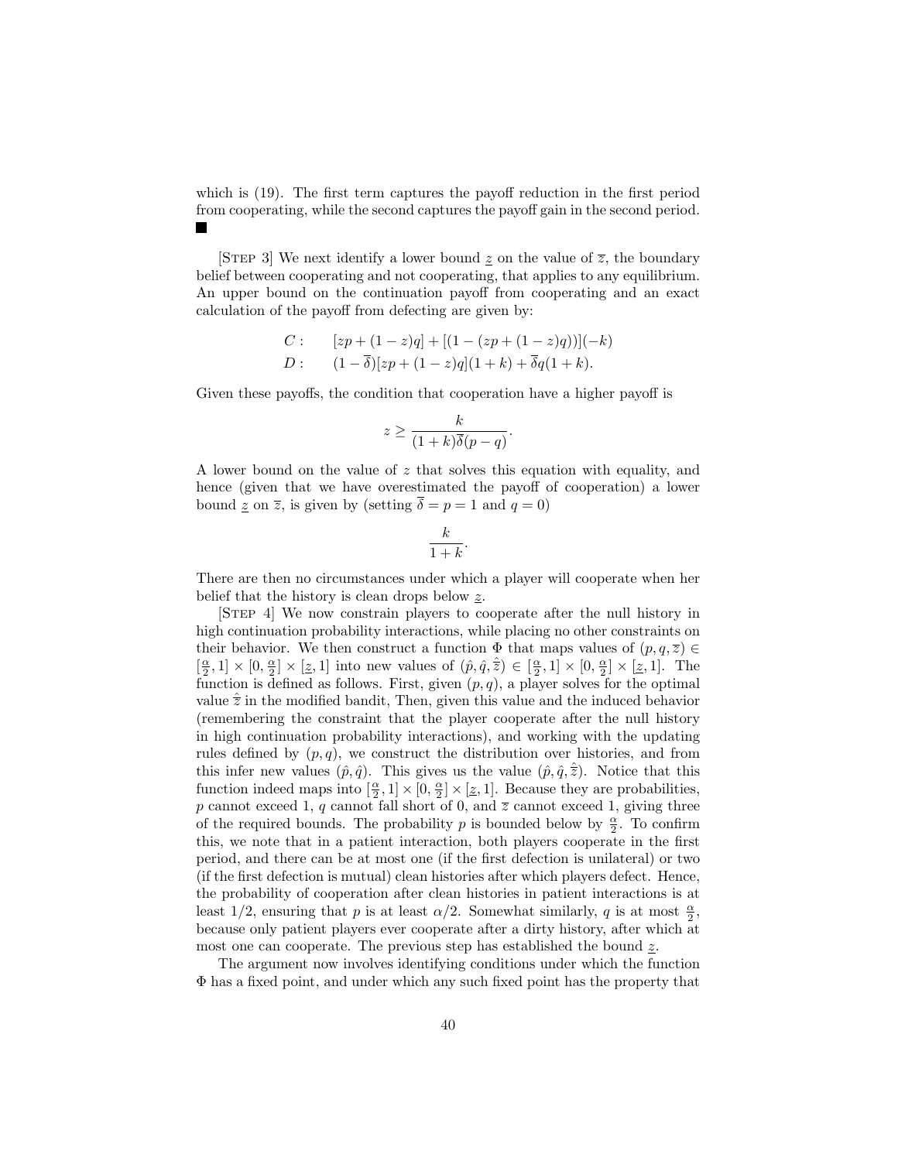which is (19). The first term captures the payoff reduction in the first period from cooperating, while the second captures the payoff gain in the second period.

[STEP 3] We next identify a lower bound  $z$  on the value of  $\overline{z}$ , the boundary belief between cooperating and not cooperating, that applies to any equilibrium. An upper bound on the continuation payoff from cooperating and an exact calculation of the payoff from defecting are given by:

C: 
$$
[zp + (1-z)q] + [(1-(zp + (1-z)q))](-k)
$$
  
D:  $(1-\overline{\delta})[zp + (1-z)q](1+k) + \overline{\delta}q(1+k).$ 

Given these payoffs, the condition that cooperation have a higher payoff is

$$
z \ge \frac{k}{(1+k)\overline{\delta}(p-q)}.
$$

A lower bound on the value of z that solves this equation with equality, and hence (given that we have overestimated the payoff of cooperation) a lower bound  $\underline{z}$  on  $\overline{z}$ , is given by (setting  $\delta = p = 1$  and  $q = 0$ )

$$
\frac{k}{1+k}.
$$

There are then no circumstances under which a player will cooperate when her belief that the history is clean drops below z.

[Step 4] We now constrain players to cooperate after the null history in high continuation probability interactions, while placing no other constraints on their behavior. We then construct a function  $\Phi$  that maps values of  $(p, q, \overline{z}) \in$  $\left[\frac{\alpha}{2},1\right] \times [0,\frac{\alpha}{2}] \times [\underline{z},1]$  into new values of  $(\hat{p},\hat{q},\hat{z}) \in [\frac{\alpha}{2},1] \times [0,\frac{\alpha}{2}] \times [\underline{z},1]$ . The function is defined as follows. First, given  $(p, q)$ , a player solves for the optimal value  $\hat{\overline{z}}$  in the modified bandit, Then, given this value and the induced behavior (remembering the constraint that the player cooperate after the null history in high continuation probability interactions), and working with the updating rules defined by  $(p, q)$ , we construct the distribution over histories, and from this infer new values  $(\hat{p}, \hat{q})$ . This gives us the value  $(\hat{p}, \hat{q}, \overline{z})$ . Notice that this function indeed maps into  $[\frac{\alpha}{2}, 1] \times [0, \frac{\alpha}{2}] \times [\underline{z}, 1]$ . Because they are probabilities, p cannot exceed 1, q cannot fall short of 0, and  $\overline{z}$  cannot exceed 1, giving three of the required bounds. The probability p is bounded below by  $\frac{\alpha}{2}$ . To confirm this, we note that in a patient interaction, both players cooperate in the first period, and there can be at most one (if the first defection is unilateral) or two (if the first defection is mutual) clean histories after which players defect. Hence, the probability of cooperation after clean histories in patient interactions is at least 1/2, ensuring that p is at least  $\alpha/2$ . Somewhat similarly, q is at most  $\frac{\alpha}{2}$ , because only patient players ever cooperate after a dirty history, after which at most one can cooperate. The previous step has established the bound  $z$ .

The argument now involves identifying conditions under which the function Φ has a fixed point, and under which any such fixed point has the property that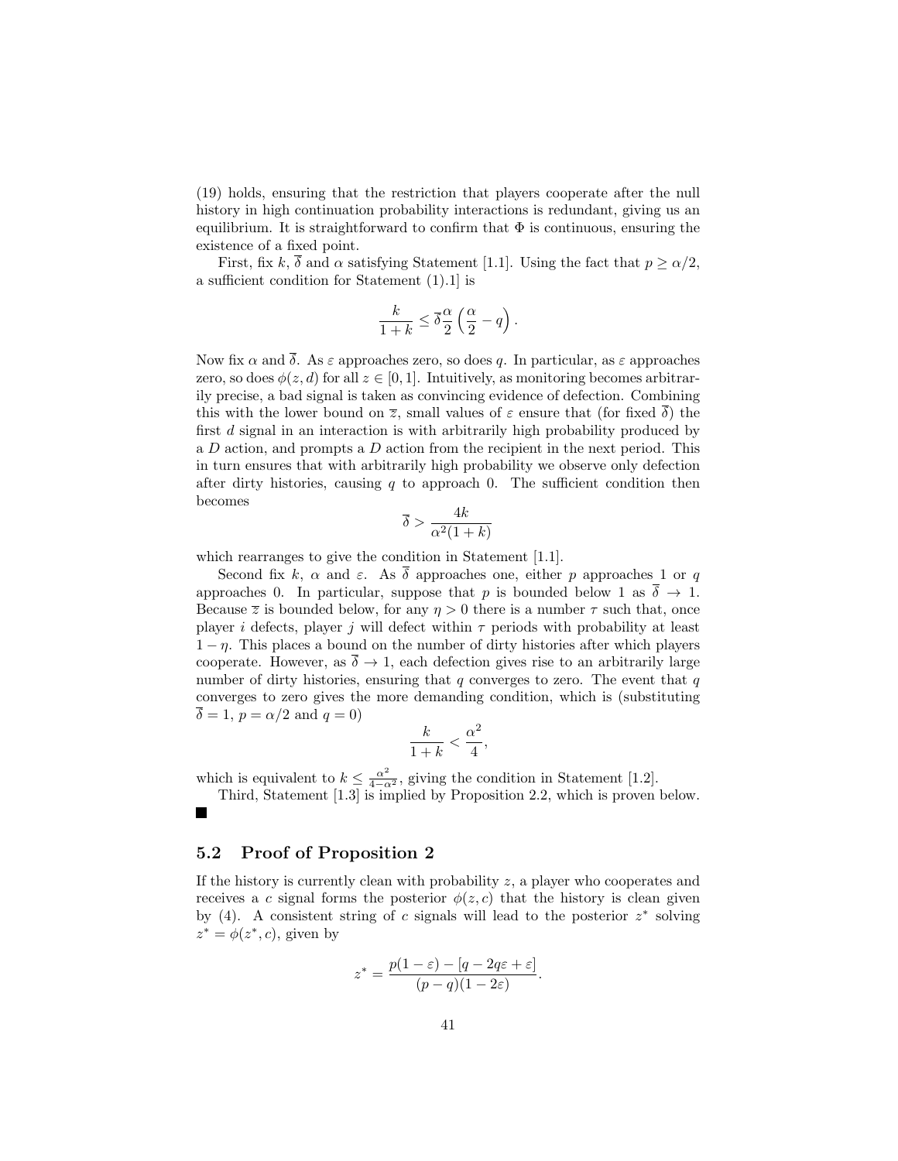(19) holds, ensuring that the restriction that players cooperate after the null history in high continuation probability interactions is redundant, giving us an equilibrium. It is straightforward to confirm that  $\Phi$  is continuous, ensuring the existence of a fixed point.

First, fix k,  $\overline{\delta}$  and  $\alpha$  satisfying Statement [1.1]. Using the fact that  $p > \alpha/2$ , a sufficient condition for Statement (1).1] is

$$
\frac{k}{1+k} \leq \overline{\delta} \frac{\alpha}{2} \left( \frac{\alpha}{2} - q \right).
$$

Now fix  $\alpha$  and  $\overline{\delta}$ . As  $\varepsilon$  approaches zero, so does q. In particular, as  $\varepsilon$  approaches zero, so does  $\phi(z, d)$  for all  $z \in [0, 1]$ . Intuitively, as monitoring becomes arbitrarily precise, a bad signal is taken as convincing evidence of defection. Combining this with the lower bound on  $\overline{z}$ , small values of  $\varepsilon$  ensure that (for fixed  $\overline{\delta}$ ) the first d signal in an interaction is with arbitrarily high probability produced by a D action, and prompts a D action from the recipient in the next period. This in turn ensures that with arbitrarily high probability we observe only defection after dirty histories, causing  $q$  to approach 0. The sufficient condition then becomes

$$
\overline{\delta} > \frac{4k}{\alpha^2(1+k)}
$$

which rearranges to give the condition in Statement [1.1].

Second fix k,  $\alpha$  and  $\varepsilon$ . As  $\overline{\delta}$  approaches one, either p approaches 1 or q approaches 0. In particular, suppose that p is bounded below 1 as  $\delta \to 1$ . Because  $\overline{z}$  is bounded below, for any  $\eta > 0$  there is a number  $\tau$  such that, once player i defects, player j will defect within  $\tau$  periods with probability at least  $1 - \eta$ . This places a bound on the number of dirty histories after which players cooperate. However, as  $\bar{\delta} \rightarrow 1$ , each defection gives rise to an arbitrarily large number of dirty histories, ensuring that  $q$  converges to zero. The event that  $q$ converges to zero gives the more demanding condition, which is (substituting  $\delta = 1, p = \alpha/2$  and  $q = 0$ )

$$
\frac{k}{1+k} < \frac{\alpha^2}{4},
$$

which is equivalent to  $k \leq \frac{\alpha^2}{4-\alpha^2}$ , giving the condition in Statement [1.2].

Third, Statement [1.3] is implied by Proposition 2.2, which is proven below.

### 5.2 Proof of Proposition 2

If the history is currently clean with probability  $z$ , a player who cooperates and receives a c signal forms the posterior  $\phi(z, c)$  that the history is clean given by (4). A consistent string of c signals will lead to the posterior  $z^*$  solving  $z^* = \phi(z^*, c)$ , given by

$$
z^* = \frac{p(1-\varepsilon) - [q - 2q\varepsilon + \varepsilon]}{(p-q)(1-2\varepsilon)}.
$$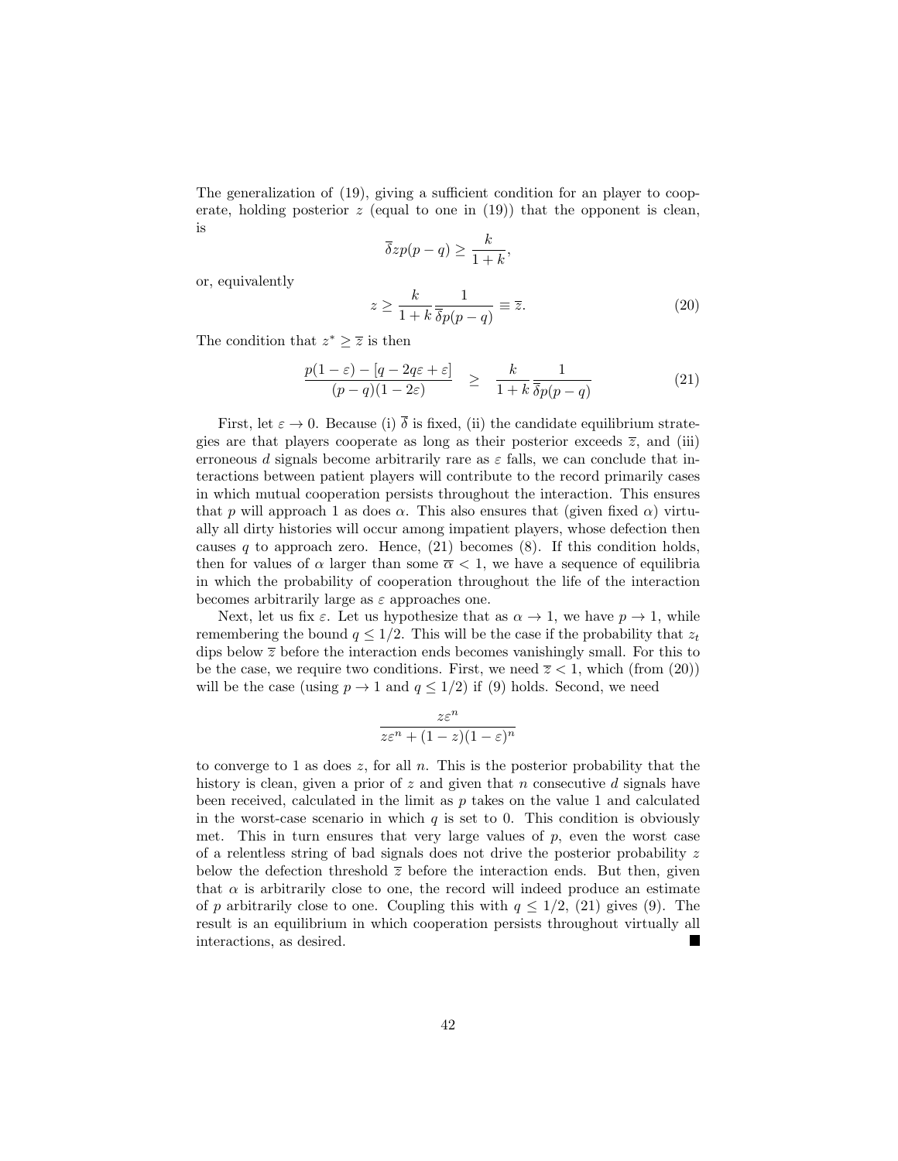The generalization of (19), giving a sufficient condition for an player to cooperate, holding posterior  $z$  (equal to one in (19)) that the opponent is clean, is

$$
\overline{\delta}zp(p-q) \ge \frac{k}{1+k},
$$

or, equivalently

$$
z \ge \frac{k}{1+k} \frac{1}{\overline{\delta}p(p-q)} \equiv \overline{z}.\tag{20}
$$

The condition that  $z^* \geq \overline{z}$  is then

$$
\frac{p(1-\varepsilon) - [q - 2q\varepsilon + \varepsilon]}{(p-q)(1-2\varepsilon)} \ge \frac{k}{1+k} \frac{1}{\overline{\delta}p(p-q)}
$$
(21)

First, let  $\varepsilon \to 0$ . Because (i)  $\overline{\delta}$  is fixed, (ii) the candidate equilibrium strategies are that players cooperate as long as their posterior exceeds  $\overline{z}$ , and (iii) erroneous d signals become arbitrarily rare as  $\varepsilon$  falls, we can conclude that interactions between patient players will contribute to the record primarily cases in which mutual cooperation persists throughout the interaction. This ensures that p will approach 1 as does  $\alpha$ . This also ensures that (given fixed  $\alpha$ ) virtually all dirty histories will occur among impatient players, whose defection then causes q to approach zero. Hence,  $(21)$  becomes  $(8)$ . If this condition holds, then for values of  $\alpha$  larger than some  $\overline{\alpha}$  < 1, we have a sequence of equilibria in which the probability of cooperation throughout the life of the interaction becomes arbitrarily large as  $\varepsilon$  approaches one.

Next, let us fix  $\varepsilon$ . Let us hypothesize that as  $\alpha \to 1$ , we have  $p \to 1$ , while remembering the bound  $q \leq 1/2$ . This will be the case if the probability that  $z_t$ dips below  $\bar{z}$  before the interaction ends becomes vanishingly small. For this to be the case, we require two conditions. First, we need  $\overline{z}$  < 1, which (from (20)) will be the case (using  $p \to 1$  and  $q \leq 1/2$ ) if (9) holds. Second, we need

$$
\frac{z\varepsilon^n}{z\varepsilon^n + (1-z)(1-\varepsilon)^n}
$$

to converge to 1 as does  $z$ , for all  $n$ . This is the posterior probability that the history is clean, given a prior of  $z$  and given that n consecutive d signals have been received, calculated in the limit as  $p$  takes on the value 1 and calculated in the worst-case scenario in which  $q$  is set to 0. This condition is obviously met. This in turn ensures that very large values of  $p$ , even the worst case of a relentless string of bad signals does not drive the posterior probability z below the defection threshold  $\bar{z}$  before the interaction ends. But then, given that  $\alpha$  is arbitrarily close to one, the record will indeed produce an estimate of p arbitrarily close to one. Coupling this with  $q \leq 1/2$ , (21) gives (9). The result is an equilibrium in which cooperation persists throughout virtually all interactions, as desired. L.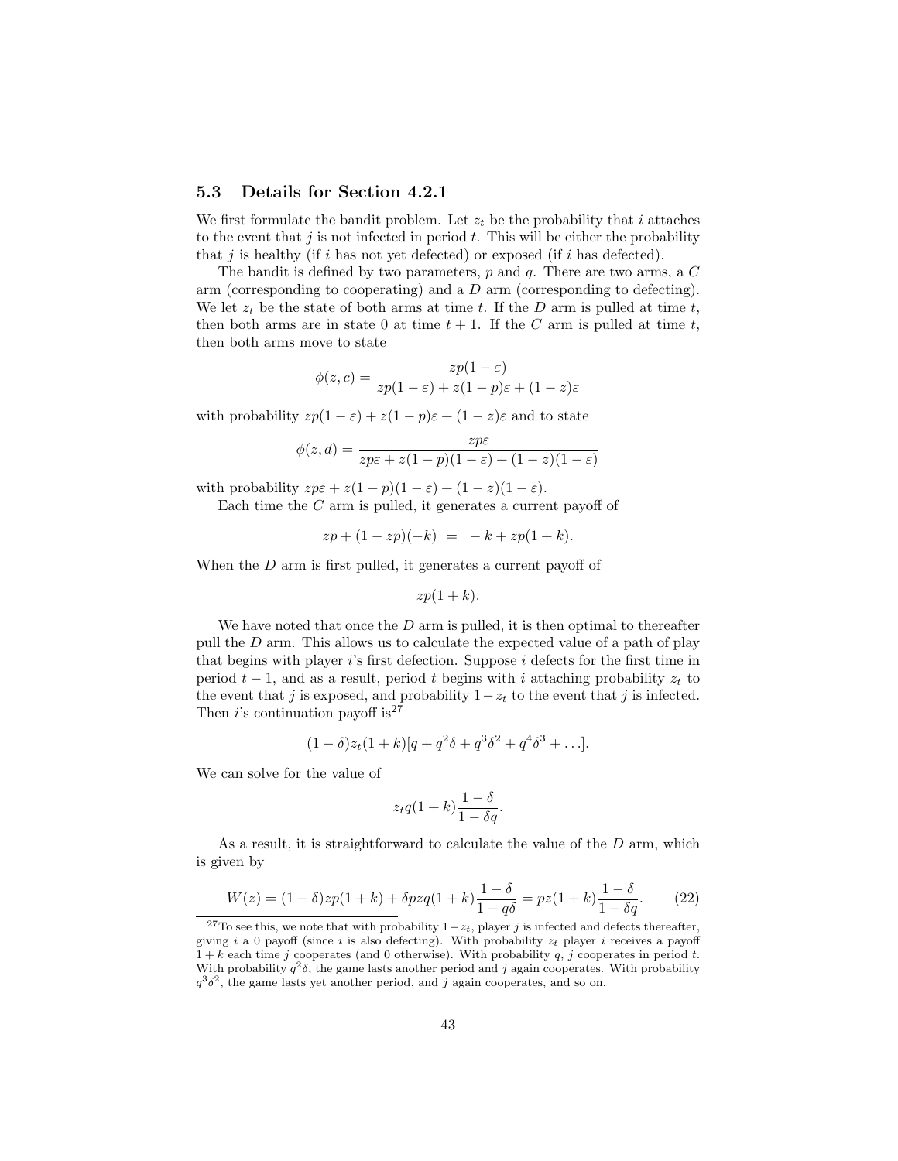## 5.3 Details for Section 4.2.1

We first formulate the bandit problem. Let  $z_t$  be the probability that i attaches to the event that  $j$  is not infected in period  $t$ . This will be either the probability that j is healthy (if i has not yet defected) or exposed (if i has defected).

The bandit is defined by two parameters,  $p$  and  $q$ . There are two arms, a  $C$ arm (corresponding to cooperating) and a D arm (corresponding to defecting). We let  $z_t$  be the state of both arms at time t. If the D arm is pulled at time t, then both arms are in state 0 at time  $t + 1$ . If the C arm is pulled at time t, then both arms move to state

$$
\phi(z,c) = \frac{zp(1-\varepsilon)}{zp(1-\varepsilon) + z(1-p)\varepsilon + (1-z)\varepsilon}
$$

with probability  $zp(1 - \varepsilon) + z(1 - p)\varepsilon + (1 - z)\varepsilon$  and to state

$$
\phi(z,d) = \frac{zp\varepsilon}{zp\varepsilon + z(1-p)(1-\varepsilon) + (1-z)(1-\varepsilon)}
$$

with probability  $z p \varepsilon + z(1-p)(1-\varepsilon) + (1-z)(1-\varepsilon)$ .

Each time the  $C$  arm is pulled, it generates a current payoff of

$$
zp + (1 - zp)(-k) = -k + zp(1 + k).
$$

When the D arm is first pulled, it generates a current payoff of

$$
zp(1+k).
$$

We have noted that once the  $D$  arm is pulled, it is then optimal to thereafter pull the  $D$  arm. This allows us to calculate the expected value of a path of play that begins with player  $i$ 's first defection. Suppose  $i$  defects for the first time in period  $t-1$ , and as a result, period t begins with i attaching probability  $z_t$  to the event that j is exposed, and probability  $1-z_t$  to the event that j is infected. Then *i*'s continuation payoff is<sup>27</sup>

$$
(1 - \delta)z_t(1 + k)[q + q^2\delta + q^3\delta^2 + q^4\delta^3 + \ldots].
$$

We can solve for the value of

$$
z_tq(1+k)\frac{1-\delta}{1-\delta q}.
$$

As a result, it is straightforward to calculate the value of the  $D$  arm, which is given by

$$
W(z) = (1 - \delta)zp(1 + k) + \delta pzq(1 + k)\frac{1 - \delta}{1 - q\delta} = pz(1 + k)\frac{1 - \delta}{1 - \delta q}.
$$
 (22)

<sup>&</sup>lt;sup>27</sup>To see this, we note that with probability  $1-z_t$ , player j is infected and defects thereafter, giving i a 0 payoff (since i is also defecting). With probability  $z_t$  player i receives a payoff  $1 + k$  each time j cooperates (and 0 otherwise). With probability q, j cooperates in period t. With probability  $q^2\delta$ , the game lasts another period and j again cooperates. With probability  $q^3\delta^2$ , the game lasts yet another period, and j again cooperates, and so on.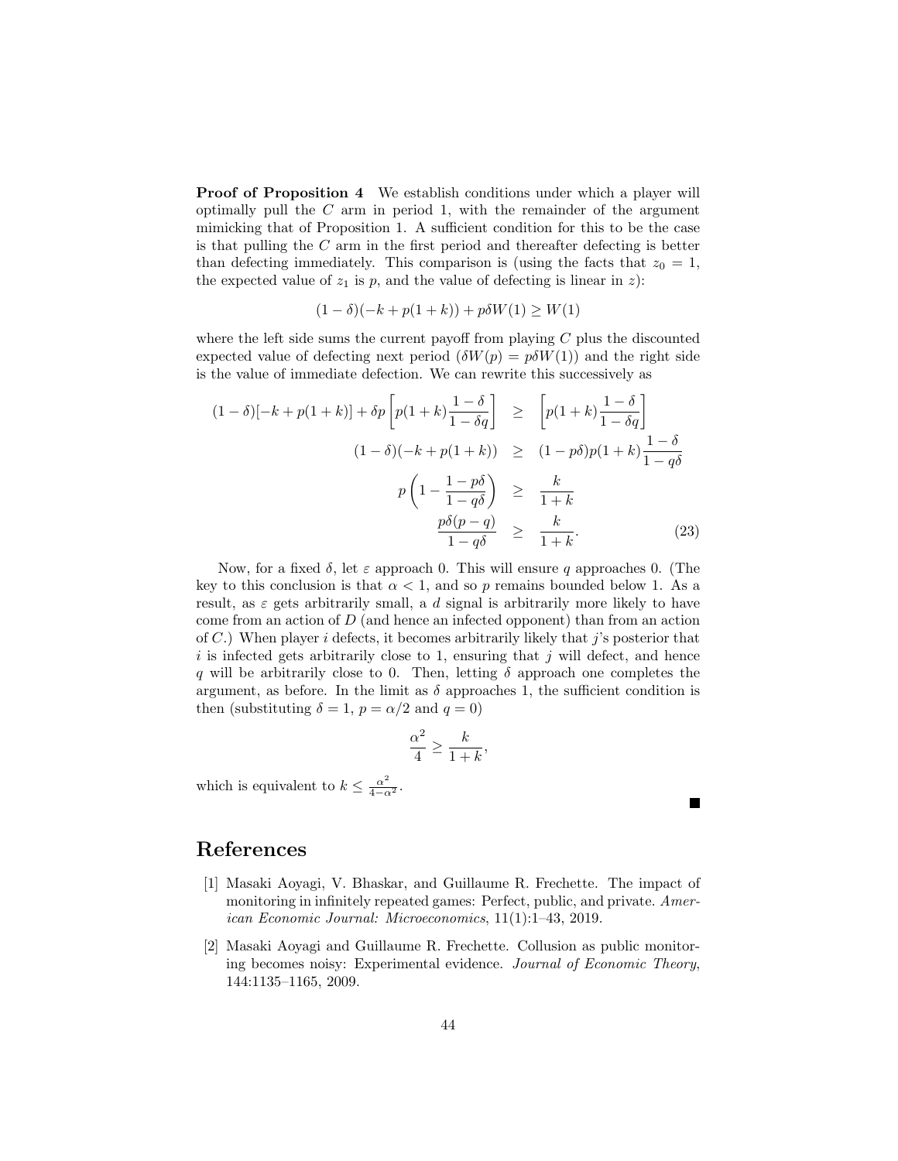Proof of Proposition 4 We establish conditions under which a player will optimally pull the  $C$  arm in period 1, with the remainder of the argument mimicking that of Proposition 1. A sufficient condition for this to be the case is that pulling the C arm in the first period and thereafter defecting is better than defecting immediately. This comparison is (using the facts that  $z_0 = 1$ , the expected value of  $z_1$  is p, and the value of defecting is linear in z):

$$
(1 - \delta)(-k + p(1 + k)) + p\delta W(1) \ge W(1)
$$

where the left side sums the current payoff from playing  $C$  plus the discounted expected value of defecting next period  $(\delta W(p) = p\delta W(1))$  and the right side is the value of immediate defection. We can rewrite this successively as

$$
(1 - \delta)[-k + p(1 + k)] + \delta p \left[ p(1 + k) \frac{1 - \delta}{1 - \delta q} \right] \ge \left[ p(1 + k) \frac{1 - \delta}{1 - \delta q} \right]
$$

$$
(1 - \delta)(-k + p(1 + k)) \ge (1 - p\delta)p(1 + k)\frac{1 - \delta}{1 - q\delta}
$$

$$
p \left( 1 - \frac{1 - p\delta}{1 - q\delta} \right) \ge \frac{k}{1 + k}
$$

$$
\frac{p\delta(p - q)}{1 - q\delta} \ge \frac{k}{1 + k}.
$$
(23)

Now, for a fixed  $\delta$ , let  $\varepsilon$  approach 0. This will ensure q approaches 0. (The key to this conclusion is that  $\alpha < 1$ , and so p remains bounded below 1. As a result, as  $\varepsilon$  gets arbitrarily small, a d signal is arbitrarily more likely to have come from an action of D (and hence an infected opponent) than from an action of C.) When player i defects, it becomes arbitrarily likely that j's posterior that  $i$  is infected gets arbitrarily close to 1, ensuring that j will defect, and hence q will be arbitrarily close to 0. Then, letting  $\delta$  approach one completes the argument, as before. In the limit as  $\delta$  approaches 1, the sufficient condition is then (substituting  $\delta = 1$ ,  $p = \alpha/2$  and  $q = 0$ )

$$
\frac{\alpha^2}{4} \ge \frac{k}{1+k},
$$

**The Second Service** 

which is equivalent to  $k \leq \frac{\alpha^2}{4-\alpha^2}$ .

## References

- [1] Masaki Aoyagi, V. Bhaskar, and Guillaume R. Frechette. The impact of monitoring in infinitely repeated games: Perfect, public, and private. American Economic Journal: Microeconomics, 11(1):1–43, 2019.
- [2] Masaki Aoyagi and Guillaume R. Frechette. Collusion as public monitoring becomes noisy: Experimental evidence. Journal of Economic Theory, 144:1135–1165, 2009.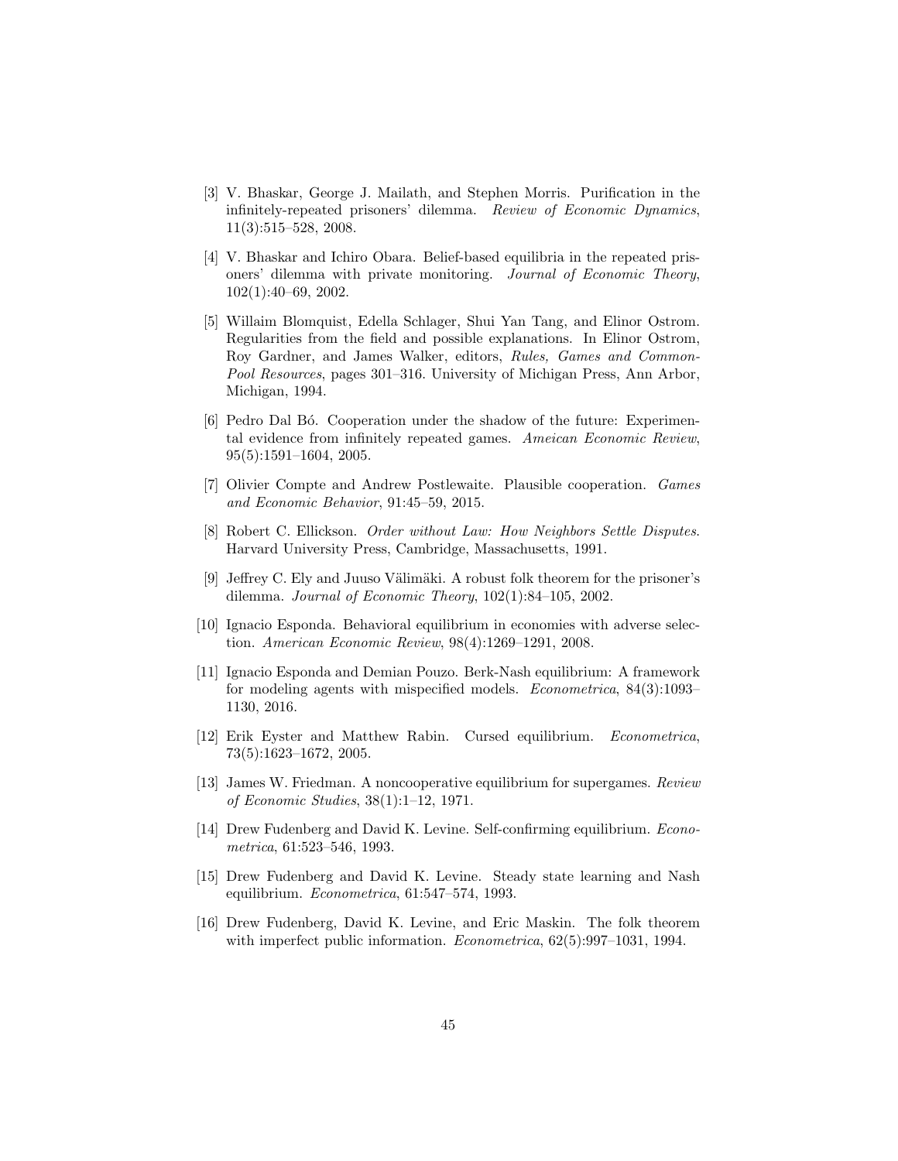- [3] V. Bhaskar, George J. Mailath, and Stephen Morris. Purification in the infinitely-repeated prisoners' dilemma. Review of Economic Dynamics, 11(3):515–528, 2008.
- [4] V. Bhaskar and Ichiro Obara. Belief-based equilibria in the repeated prisoners' dilemma with private monitoring. Journal of Economic Theory, 102(1):40–69, 2002.
- [5] Willaim Blomquist, Edella Schlager, Shui Yan Tang, and Elinor Ostrom. Regularities from the field and possible explanations. In Elinor Ostrom, Roy Gardner, and James Walker, editors, Rules, Games and Common-Pool Resources, pages 301–316. University of Michigan Press, Ann Arbor, Michigan, 1994.
- [6] Pedro Dal B´o. Cooperation under the shadow of the future: Experimental evidence from infinitely repeated games. Ameican Economic Review, 95(5):1591–1604, 2005.
- [7] Olivier Compte and Andrew Postlewaite. Plausible cooperation. Games and Economic Behavior, 91:45–59, 2015.
- [8] Robert C. Ellickson. Order without Law: How Neighbors Settle Disputes. Harvard University Press, Cambridge, Massachusetts, 1991.
- [9] Jeffrey C. Ely and Juuso Välimäki. A robust folk theorem for the prisoner's dilemma. Journal of Economic Theory, 102(1):84–105, 2002.
- [10] Ignacio Esponda. Behavioral equilibrium in economies with adverse selection. American Economic Review, 98(4):1269–1291, 2008.
- [11] Ignacio Esponda and Demian Pouzo. Berk-Nash equilibrium: A framework for modeling agents with mispecified models. Econometrica, 84(3):1093– 1130, 2016.
- [12] Erik Eyster and Matthew Rabin. Cursed equilibrium. Econometrica, 73(5):1623–1672, 2005.
- [13] James W. Friedman. A noncooperative equilibrium for supergames. Review of Economic Studies, 38(1):1–12, 1971.
- [14] Drew Fudenberg and David K. Levine. Self-confirming equilibrium. Econometrica, 61:523–546, 1993.
- [15] Drew Fudenberg and David K. Levine. Steady state learning and Nash equilibrium. Econometrica, 61:547–574, 1993.
- [16] Drew Fudenberg, David K. Levine, and Eric Maskin. The folk theorem with imperfect public information. *Econometrica*,  $62(5):997-1031$ , 1994.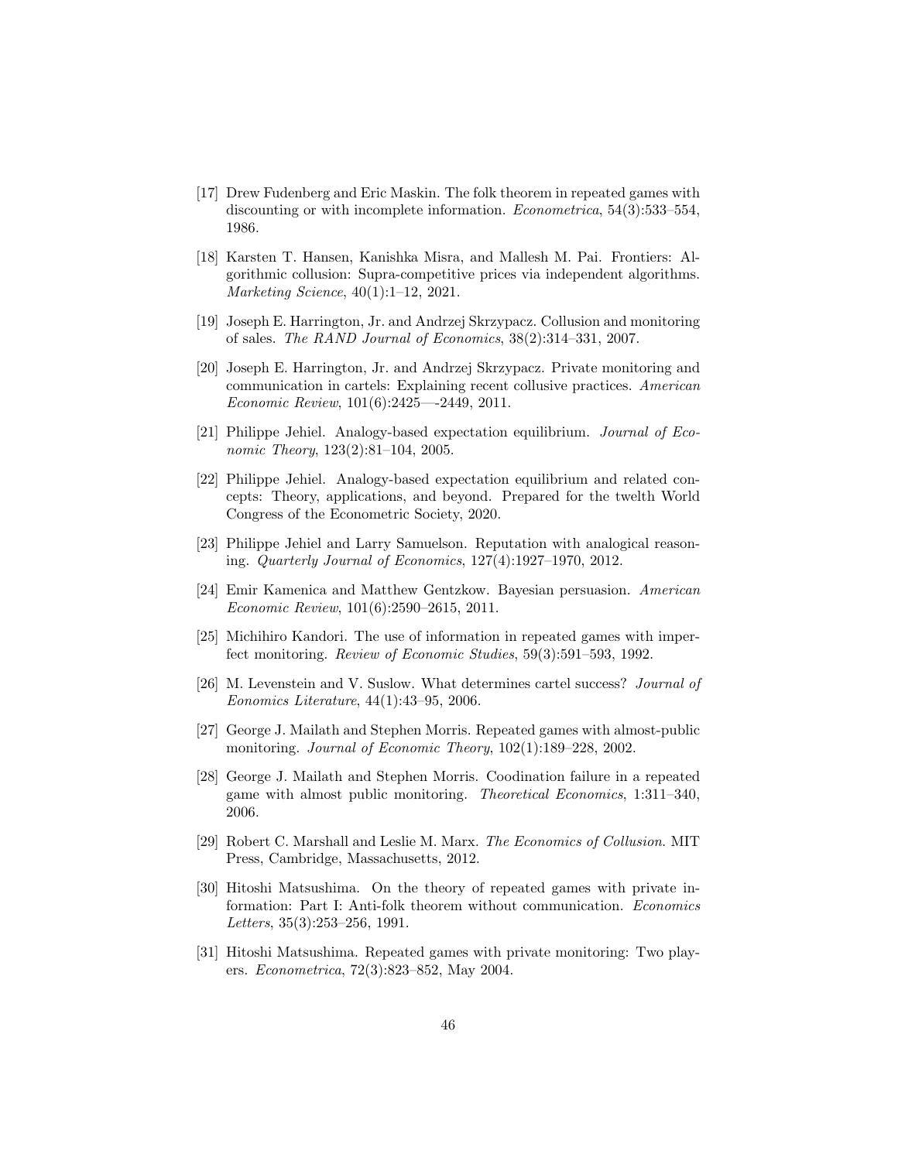- [17] Drew Fudenberg and Eric Maskin. The folk theorem in repeated games with discounting or with incomplete information. Econometrica, 54(3):533–554, 1986.
- [18] Karsten T. Hansen, Kanishka Misra, and Mallesh M. Pai. Frontiers: Algorithmic collusion: Supra-competitive prices via independent algorithms. Marketing Science, 40(1):1–12, 2021.
- [19] Joseph E. Harrington, Jr. and Andrzej Skrzypacz. Collusion and monitoring of sales. The RAND Journal of Economics, 38(2):314–331, 2007.
- [20] Joseph E. Harrington, Jr. and Andrzej Skrzypacz. Private monitoring and communication in cartels: Explaining recent collusive practices. American Economic Review, 101(6):2425—-2449, 2011.
- [21] Philippe Jehiel. Analogy-based expectation equilibrium. Journal of Economic Theory, 123(2):81–104, 2005.
- [22] Philippe Jehiel. Analogy-based expectation equilibrium and related concepts: Theory, applications, and beyond. Prepared for the twelth World Congress of the Econometric Society, 2020.
- [23] Philippe Jehiel and Larry Samuelson. Reputation with analogical reasoning. Quarterly Journal of Economics, 127(4):1927–1970, 2012.
- [24] Emir Kamenica and Matthew Gentzkow. Bayesian persuasion. American Economic Review, 101(6):2590–2615, 2011.
- [25] Michihiro Kandori. The use of information in repeated games with imperfect monitoring. Review of Economic Studies, 59(3):591–593, 1992.
- [26] M. Levenstein and V. Suslow. What determines cartel success? Journal of Eonomics Literature, 44(1):43–95, 2006.
- [27] George J. Mailath and Stephen Morris. Repeated games with almost-public monitoring. Journal of Economic Theory, 102(1):189–228, 2002.
- [28] George J. Mailath and Stephen Morris. Coodination failure in a repeated game with almost public monitoring. Theoretical Economics, 1:311–340, 2006.
- [29] Robert C. Marshall and Leslie M. Marx. The Economics of Collusion. MIT Press, Cambridge, Massachusetts, 2012.
- [30] Hitoshi Matsushima. On the theory of repeated games with private information: Part I: Anti-folk theorem without communication. Economics Letters, 35(3):253–256, 1991.
- [31] Hitoshi Matsushima. Repeated games with private monitoring: Two players. Econometrica, 72(3):823–852, May 2004.